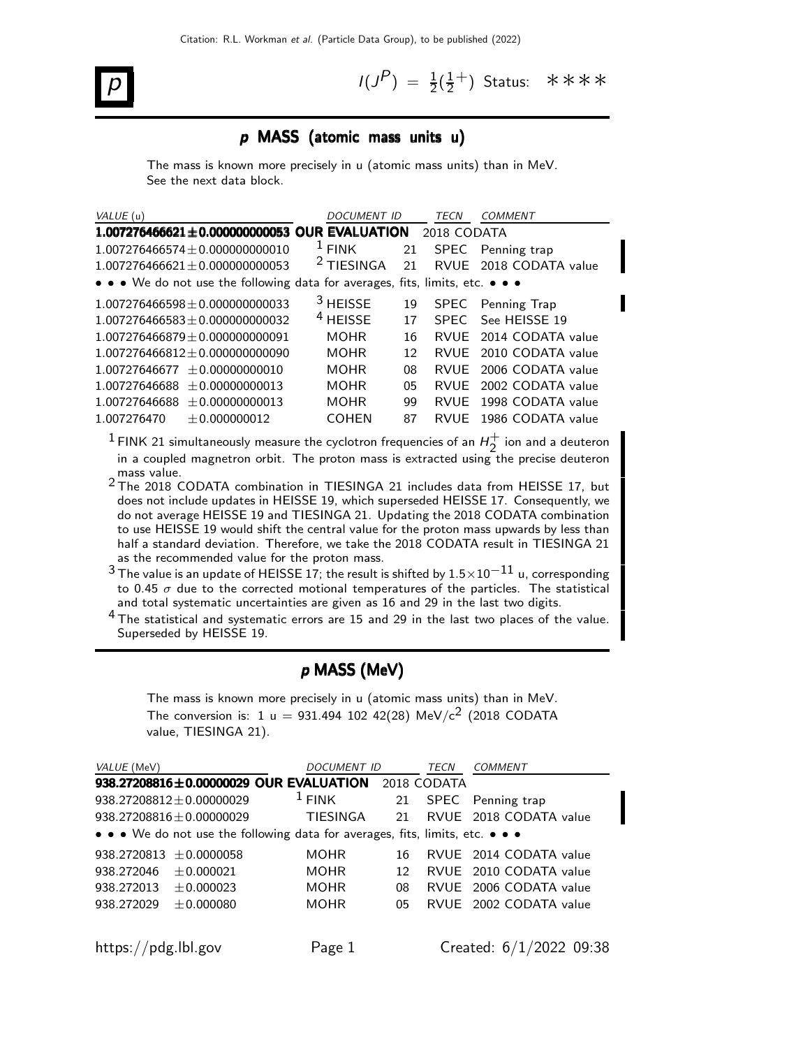$p$   $\vert$   $\vert$   $\vert$ 

#### $P$ ) =  $\frac{1}{2}(\frac{1}{2})$  $\frac{1}{2}^+$ ) Status: \*\*\*\*

#### p MASS (atomic mass units u)

The mass is known more precisely in u (atomic mass units) than in MeV. See the next data block.

| VALUE (u)                                                                     | <b>DOCUMENT ID</b>  |    | TECN        | <b>COMMENT</b>         |  |  |
|-------------------------------------------------------------------------------|---------------------|----|-------------|------------------------|--|--|
| $1.007276466621 \pm 0.000000000053$ OUR EVALUATION<br>2018 CODATA             |                     |    |             |                        |  |  |
| $1.007276466574 \pm 0.000000000010$                                           | $1$ FINK            | 21 |             | SPEC Penning trap      |  |  |
| $1.007276466621 + 0.000000000053$                                             | $2$ TIESINGA        | 21 |             | RVUE 2018 CODATA value |  |  |
| • • • We do not use the following data for averages, fits, limits, etc. • • • |                     |    |             |                        |  |  |
| $1.007276466598 \pm 0.000000000033$                                           | $3$ HEISSE          | 19 |             | SPEC Penning Trap      |  |  |
| $1.007276466583 \pm 0.000000000032$                                           | <sup>4</sup> HEISSE | 17 | <b>SPEC</b> | See HEISSE 19          |  |  |
| $1.007276466879 + 0.000000000091$                                             | <b>MOHR</b>         | 16 | RVUF        | 2014 CODATA value      |  |  |
| $1.007276466812 + 0.000000000090$                                             | <b>MOHR</b>         | 12 |             | RVUE 2010 CODATA value |  |  |
| $1.00727646677 + 0.00000000010$                                               | <b>MOHR</b>         | 08 | <b>RVUE</b> | 2006 CODATA value      |  |  |
| $1.00727646688 + 0.00000000013$                                               | <b>MOHR</b>         | 05 | <b>RVUF</b> | 2002 CODATA value      |  |  |
| 1.00727646688<br>$+0.00000000013$                                             | <b>MOHR</b>         | 99 | <b>RVUF</b> | 1998 CODATA value      |  |  |
| 1.007276470<br>$+0.000000012$                                                 | <b>COHEN</b>        | 87 | <b>RVUF</b> | 1986 CODATA value      |  |  |

 $^1$  FINK 21 simultaneously measure the cyclotron frequencies of an  $H_2^+$  $\overline{2}^+$  ion and a deuteron in a coupled magnetron orbit. The proton mass is extracted using the precise deuteron

mass value. 2 The 2018 CODATA combination in TIESINGA 21 includes data from HEISSE 17, but does not include updates in HEISSE 19, which superseded HEISSE 17. Consequently, we do not average HEISSE 19 and TIESINGA 21. Updating the 2018 CODATA combination to use HEISSE 19 would shift the central value for the proton mass upwards by less than half a standard deviation. Therefore, we take the 2018 CODATA result in TIESINGA 21 as the recommended value for the proton mass.

 $^3$  The value is an update of HEISSE 17; the result is shifted by  $1.5\times10^{-11}$  u, corresponding to 0.45  $\sigma$  due to the corrected motional temperatures of the particles. The statistical and total systematic uncertainties are given as 16 and 29 in the last two digits.

4 The statistical and systematic errors are 15 and 29 in the last two places of the value. Superseded by HEISSE 19.

## p MASS (MeV)

The mass is known more precisely in u (atomic mass units) than in MeV. The conversion is: 1 u = 931.494 102 42(28) MeV/c<sup>2</sup> (2018 CODATA value, TIESINGA 21).

| VALUE (MeV)         |                                                                               | <b>DOCUMENT ID</b> |    | <b>TECN</b> | <b>COMMENT</b>            |
|---------------------|-------------------------------------------------------------------------------|--------------------|----|-------------|---------------------------|
|                     | 938.27208816±0.00000029 OUR EVALUATION 2018 CODATA                            |                    |    |             |                           |
|                     | $938.27208812 + 0.00000029$                                                   | $1$ FINK           | 21 |             | SPEC Penning trap         |
|                     | $938.27208816 + 0.00000029$                                                   | TIESINGA           | 21 |             | RVUE 2018 CODATA value    |
|                     | • • • We do not use the following data for averages, fits, limits, etc. • • • |                    |    |             |                           |
| 938.2720813         | $+0.0000058$                                                                  | <b>MOHR</b>        | 16 |             | RVUE 2014 CODATA value    |
| 938.272046          | ± 0.000021                                                                    | <b>MOHR</b>        | 12 |             | RVUE 2010 CODATA value    |
| 938.272013          | $+0.000023$                                                                   | <b>MOHR</b>        | 08 |             | RVUE 2006 CODATA value    |
| 938.272029          | $+0.000080$                                                                   | <b>MOHR</b>        | 05 |             | RVUE 2002 CODATA value    |
|                     |                                                                               |                    |    |             |                           |
| https://pdg.lbl.gov |                                                                               | Page 1             |    |             | Created: $6/1/2022$ 09:38 |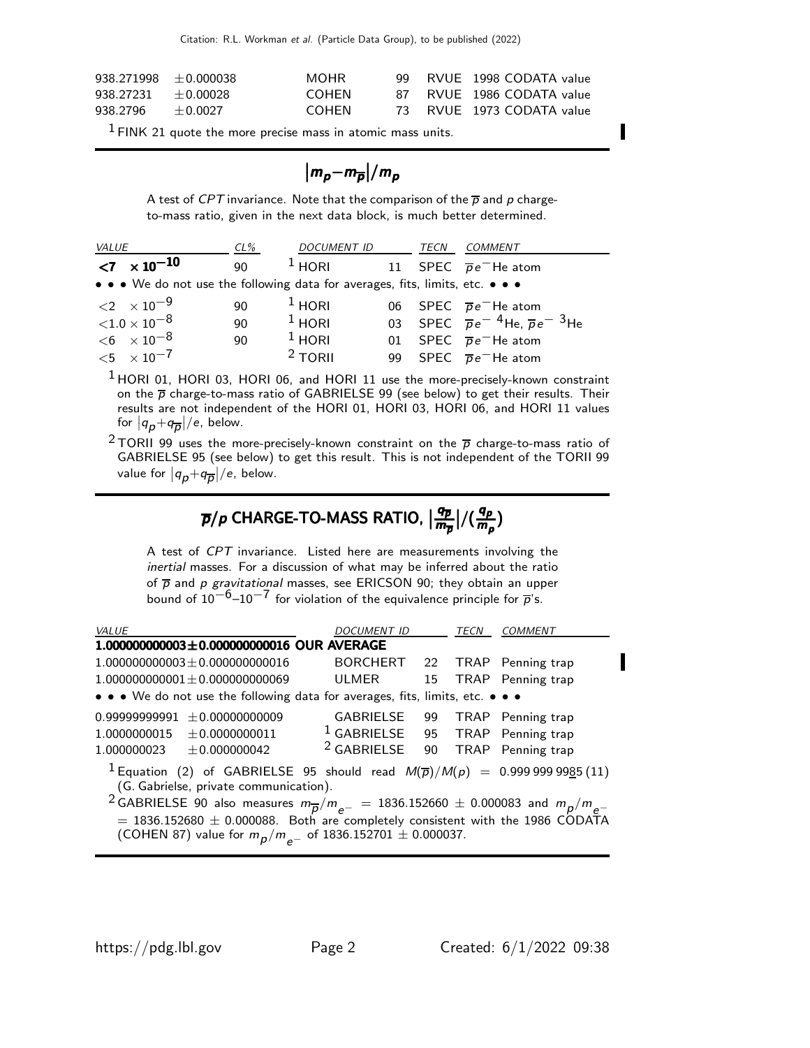Citation: R.L. Workman et al. (Particle Data Group), to be published (2022)

| $938.271998 + 0.000038$ |            | <b>MOHR</b>  | QQ. | RVUE 1998 CODATA value    |
|-------------------------|------------|--------------|-----|---------------------------|
| 938.27231               | $+0.00028$ | <b>COHEN</b> |     | 87 RVUE 1986 CODATA value |
| 938.2796                | $+0.0027$  | <b>COHEN</b> |     | 73 RVUE 1973 CODATA value |

 $1$  FINK 21 quote the more precise mass in atomic mass units.

Π

# $\left|m_p{-}m_{\overline{p}}\right|/m_p$

A test of CPT invariance. Note that the comparison of the  $\overline{p}$  and p chargeto-mass ratio, given in the next data block, is much better determined.

| <i>VALUE</i> |                                     | $CL\%$ | DOCUMENT ID                                                                   |    | TECN | COMMENT                                                  |
|--------------|-------------------------------------|--------|-------------------------------------------------------------------------------|----|------|----------------------------------------------------------|
|              | $\langle 7 \times 10^{-10} \rangle$ | 90     | $1$ HORI                                                                      | 11 |      | SPEC $\overline{p}e^{-}$ He atom                         |
|              |                                     |        | • • • We do not use the following data for averages, fits, limits, etc. • • • |    |      |                                                          |
|              | $\langle 2 \times 10^{-9} \rangle$  | 90     | $1$ HORI                                                                      |    |      | 06 SPEC $\overline{p}e^{-}$ He atom                      |
|              | ${<}1.0\times10^{-8}$               | 90     | $1$ HORI                                                                      |    |      | 03 SPEC $\overline{p}e^{-4}$ He, $\overline{p}e^{-3}$ He |
|              | $<$ 6 $\times$ 10 <sup>-8</sup>     | 90     | $1$ HORI                                                                      |    |      | 01 SPEC $\overline{p}e^{-}$ He atom                      |
|              | $<$ 5 $\times$ 10 <sup>-7</sup>     |        | $2 \tau$ ORIL                                                                 |    |      | 99 SPEC $\overline{p}e^{-}$ He atom                      |

 $1$  HORI 01, HORI 03, HORI 06, and HORI 11 use the more-precisely-known constraint on the  $\bar{p}$  charge-to-mass ratio of GABRIELSE 99 (see below) to get their results. Their results are not independent of the HORI 01, HORI 03, HORI 06, and HORI 11 values for  $|q_{\boldsymbol{p}}+q_{\overline{\boldsymbol{p}}}|/e$ , below.

<sup>2</sup> TORII 99 uses the more-precisely-known constraint on the  $\bar{p}$  charge-to-mass ratio of GABRIELSE 95 (see below) to get this result. This is not independent of the TORII 99 value for  $\left|q_{\boldsymbol{\rho}}+q_{\overline{\boldsymbol{\rho}}}\right|/e$ , below.

#### $\overline{p}/p$  CHARGE-TO-MASS RATIO,  $|$ qp  $\overline{p}/p$  CHARGE-TO-MASS RATIO,  $\big|\frac{q_{\overline{p}}}{m_{\overline{p}}}\big|/(\frac{q_p}{m_p})$  $\overline{p}/p$  CHARGE-TO-MASS RATIO,  $\big|\frac{q_{\overline{p}}}{m_{\overline{p}}}\big|/(\frac{q_p}{m_p})\big|$  $\overline{p}/p$  CHARGE-TO-MASS RATIO,  $\big|\frac{q_{\overline{p}}}{m_{\overline{p}}}\big|/(\frac{q_p}{m_p})$  $\frac{q_{\overline{p}}}{m_{\overline{p}}}\Big|/(\frac{q_p}{m_p})$

A test of CPT invariance. Listed here are measurements involving the inertial masses. For a discussion of what may be inferred about the ratio of  $\overline{p}$  and  $p$  gravitational masses, see ERICSON 90; they obtain an upper bound of  $10^{-6}$ – $10^{-7}$  for violation of the equivalence principle for  $\overline{p}$ 's.

| <b>VALUE</b>                                                                                                                                                                                                                                                                                                                                                                                                                                       | <i>DOCUMENT ID</i>                                                                 | TECN     | <i>COMMENT</i>    |  |  |  |  |
|----------------------------------------------------------------------------------------------------------------------------------------------------------------------------------------------------------------------------------------------------------------------------------------------------------------------------------------------------------------------------------------------------------------------------------------------------|------------------------------------------------------------------------------------|----------|-------------------|--|--|--|--|
| $1.000000000003 \pm 0.000000000016$ OUR AVERAGE                                                                                                                                                                                                                                                                                                                                                                                                    |                                                                                    |          |                   |  |  |  |  |
| $1.000000000003 \pm 0.000000000016$                                                                                                                                                                                                                                                                                                                                                                                                                | BORCHERT 22 TRAP Penning trap                                                      |          |                   |  |  |  |  |
| $1.000000000001 \pm 0.000000000069$                                                                                                                                                                                                                                                                                                                                                                                                                | ULMER                                                                              | 15       | TRAP Penning trap |  |  |  |  |
| • • • We do not use the following data for averages, fits, limits, etc. • • •                                                                                                                                                                                                                                                                                                                                                                      |                                                                                    |          |                   |  |  |  |  |
| 0.99999999991<br>$+0.00000000009$<br>$1.0000000015 \pm 0.0000000011$<br>$1.000000023 \pm 0.000000042$                                                                                                                                                                                                                                                                                                                                              | GABRIELSE<br><sup>1</sup> GABRIELSE 95 TRAP Penning trap<br><sup>2</sup> GABRIELSE | 99<br>90 | TRAP Penning trap |  |  |  |  |
| TRAP Penning trap<br><sup>1</sup> Equation (2) of GABRIELSE 95 should read $M(\overline{p})/M(p) = 0.9999999985(11)$<br>(G. Gabrielse, private communication).<br><sup>2</sup> GABRIELSE 90 also measures $m_{\overline{p}}/m_{e^-} = 1836.152660 \pm 0.000083$ and $m_{p}/m_{e^-}$<br>$=$ 1836.152680 $\pm$ 0.000088. Both are completely consistent with the 1986 CODATA<br>(COHEN 87) value for $m_p/m_{\rho^-}$ of 1836.152701 $\pm$ 0.000037. |                                                                                    |          |                   |  |  |  |  |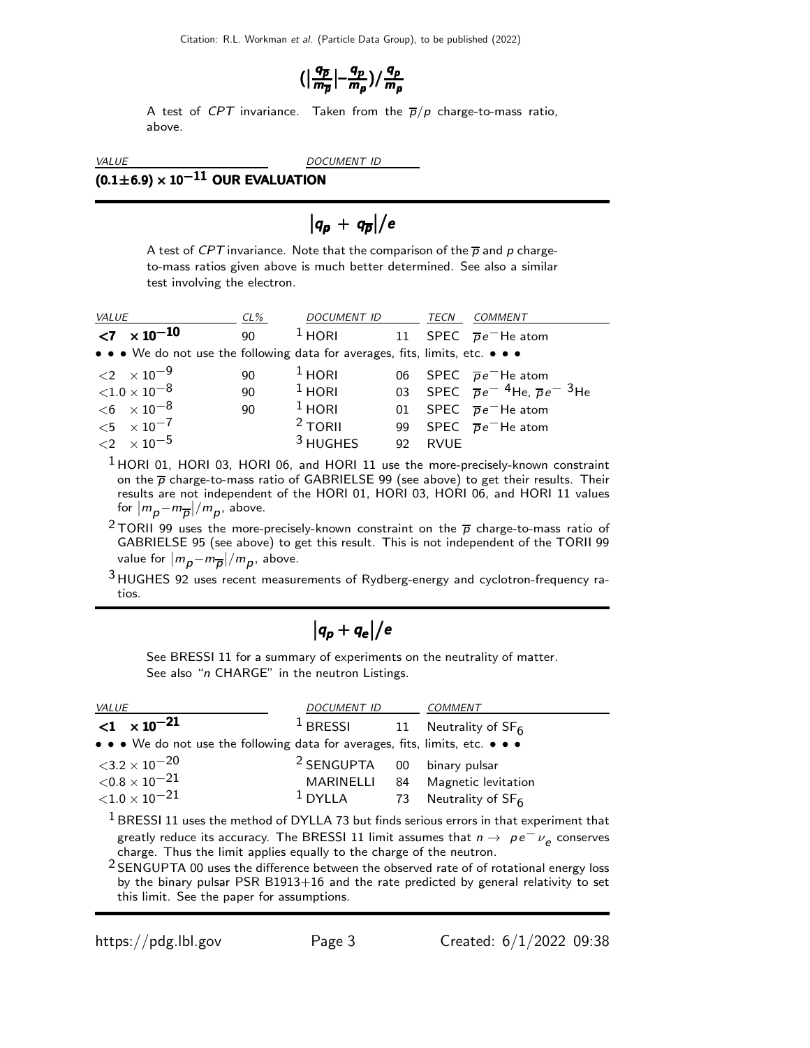$$
\Big(\Big|\frac{q_{\overline{\rho}}}{m_{\overline{\rho}}}\Big|-\frac{q_p}{m_p}\Big)/\frac{q_p}{m_p}
$$

A test of CPT invariance. Taken from the  $\overline{p}/p$  charge-to-mass ratio, above.

VALUE DOCUMENT ID

#### $(0.1\pm6.9)\times 10^{-11}$  OUR EVALUATION

# $|q_p + q_{\overline{p}}|/e$

A test of CPT invariance. Note that the comparison of the  $\overline{p}$  and p chargeto-mass ratios given above is much better determined. See also a similar test involving the electron.

| <b>VALUE</b> |                                                                               | $CL\%$ | <b>DOCUMENT ID</b> |    | TECN        | <b>COMMENT</b>                                           |
|--------------|-------------------------------------------------------------------------------|--------|--------------------|----|-------------|----------------------------------------------------------|
|              | ${10^{-10}}$                                                                  | 90     | $1$ HORI           | 11 |             | SPEC $\overline{p}e^{-}$ He atom                         |
|              | • • • We do not use the following data for averages, fits, limits, etc. • • • |        |                    |    |             |                                                          |
|              | $\langle 2 \times 10^{-9} \rangle$                                            | 90     | $1$ HORI           |    |             | 06 SPEC $\overline{p}e^{-}$ He atom                      |
|              | ${<}1.0\times10^{-8}$                                                         | 90     | $1$ HORI           |    |             | 03 SPEC $\overline{p}e^{-4}$ He, $\overline{p}e^{-3}$ He |
|              | $< 6 \times 10^{-8}$                                                          | 90     | $1$ HORI           |    |             | 01 SPEC $\overline{p}e^{-}$ He atom                      |
|              | ${<}5 \times 10^{-7}$                                                         |        | $2$ TORII          | 99 |             | SPEC $\overline{p}e^{-}$ He atom                         |
|              | $\langle 2 \times 10^{-5} \rangle$                                            |        | $3$ HUGHES         | 92 | <b>RVUE</b> |                                                          |

1 HORI 01, HORI 03, HORI 06, and HORI 11 use the more-precisely-known constraint on the  $\overline{p}$  charge-to-mass ratio of GABRIELSE 99 (see above) to get their results. Their results are not independent of the HORI 01, HORI 03, HORI 06, and HORI 11 values for  $|m_p - m_{\overline{p}}|/m_p$ , above.

<sup>2</sup> TORII 99 uses the more-precisely-known constraint on the  $\overline{p}$  charge-to-mass ratio of GABRIELSE 95 (see above) to get this result. This is not independent of the TORII 99 value for  $|m_{\boldsymbol{p}} {-} m_{\overline{\boldsymbol{\rho}}}|/m_{\boldsymbol{p}}$ , above.

3 HUGHES 92 uses recent measurements of Rydberg-energy and cyclotron-frequency ratios.

$$
\left|q_p+q_e\right|/e
$$

See BRESSI 11 for a summary of experiments on the neutrality of matter. See also "n CHARGE" in the neutron Listings.

| <b>VALUE</b> |                                                                                            | DOCUMENT ID     |  | <b>COMMENT</b>                                                                                 |  |  |  |  |
|--------------|--------------------------------------------------------------------------------------------|-----------------|--|------------------------------------------------------------------------------------------------|--|--|--|--|
|              | $<$ 1 $\times$ 10 <sup>-21</sup>                                                           | $1$ BRESSI      |  | 11 Neutrality of SF <sub>6</sub>                                                               |  |  |  |  |
|              | • • • We do not use the following data for averages, fits, limits, etc. • • •              |                 |  |                                                                                                |  |  |  |  |
|              | ${<}3.2\times10^{-20}$                                                                     | $2$ SENGUPTA 00 |  | binary pulsar                                                                                  |  |  |  |  |
|              | $< 0.8 \times 10^{-21}$                                                                    |                 |  | MARINELLI 84 Magnetic levitation                                                               |  |  |  |  |
|              | ${<}1.0 \times 10^{-21}$                                                                   | $1$ DYLLA       |  | 73 Neutrality of SF <sub>6</sub>                                                               |  |  |  |  |
|              | $1$ BRESSI 11 uses the method of DYLLA 73 but finds serious errors in that experiment that |                 |  |                                                                                                |  |  |  |  |
|              | charge. Thus the limit applies equally to the charge of the neutron.                       |                 |  | greatly reduce its accuracy. The BRESSI 11 limit assumes that $n \to p e^- \nu_\rho$ conserves |  |  |  |  |

 $2$  SENGUPTA 00 uses the difference between the observed rate of of rotational energy loss by the binary pulsar PSR B1913+16 and the rate predicted by general relativity to set this limit. See the paper for assumptions.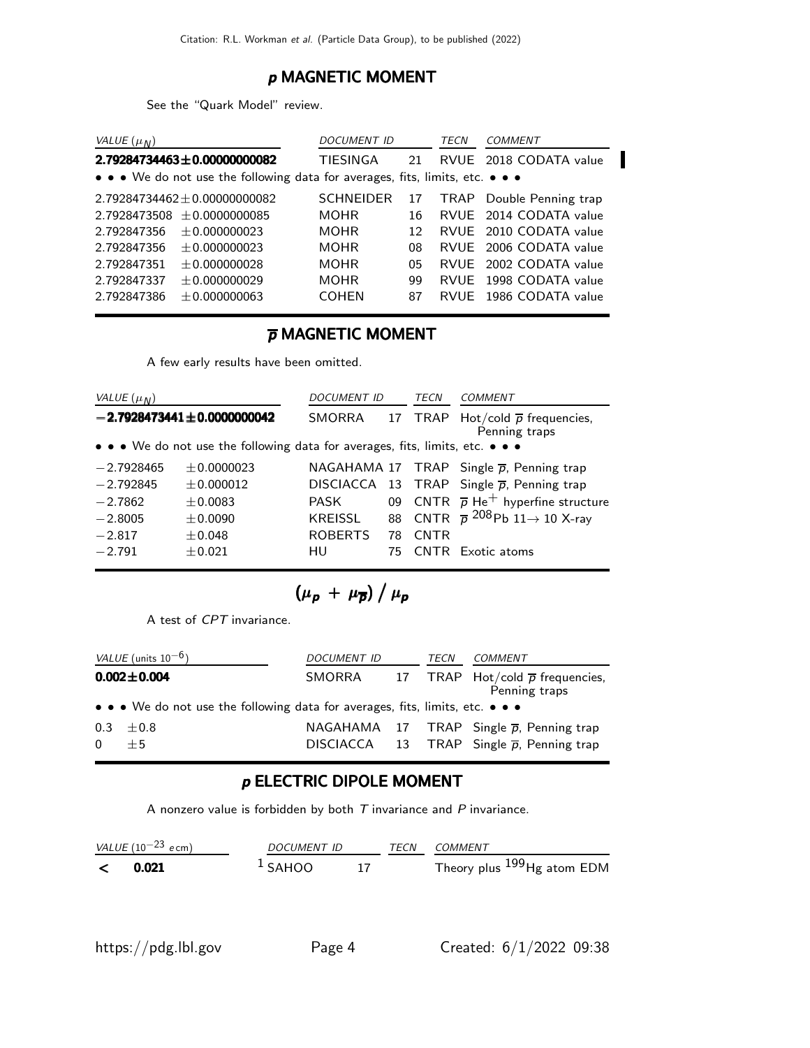### p MAGNETIC MOMENT

See the "Quark Model" review.

| VALUE $(\mu_N)$                                                               | DOCUMENT ID      |    | TECN | COMMENT                         |  |
|-------------------------------------------------------------------------------|------------------|----|------|---------------------------------|--|
| 2.79284734463±0.00000000082                                                   | <b>TIESINGA</b>  | 21 |      | RVUE 2018 CODATA value          |  |
| • • • We do not use the following data for averages, fits, limits, etc. • • • |                  |    |      |                                 |  |
| $2.79284734462 \pm 0.00000000082$                                             | <b>SCHNEIDER</b> | 17 |      | <b>TRAP</b> Double Penning trap |  |
| $2.7928473508 \pm 0.0000000085$                                               | <b>MOHR</b>      | 16 |      | RVUE 2014 CODATA value          |  |
| 2.792847356<br>$\pm 0.000000023$                                              | <b>MOHR</b>      | 12 |      | RVUE 2010 CODATA value          |  |
| 2.792847356<br>$+0.000000023$                                                 | <b>MOHR</b>      | 08 |      | RVUE 2006 CODATA value          |  |
| 2.792847351<br>$+0.000000028$                                                 | <b>MOHR</b>      | 05 |      | RVUE 2002 CODATA value          |  |
| 2.792847337<br>± 0.000000029                                                  | <b>MOHR</b>      | 99 | RVUF | 1998 CODATA value               |  |
| 2.792847386<br>$+0.000000063$                                                 | <b>COHEN</b>     | 87 |      | RVUE 1986 CODATA value          |  |

#### $\overline{p}$  MAGNETIC MOMENT

A few early results have been omitted.

| VALUE $(\mu_N)$                  |                                                                               | <b>DOCUMENT ID</b><br><b>COMMENT</b><br>TECN |    |             |                                                               |
|----------------------------------|-------------------------------------------------------------------------------|----------------------------------------------|----|-------------|---------------------------------------------------------------|
| $-2.7928473441 \pm 0.0000000042$ |                                                                               | <b>SMORRA</b>                                |    |             | 17 TRAP Hot/cold $\overline{p}$ frequencies,<br>Penning traps |
|                                  | • • • We do not use the following data for averages, fits, limits, etc. • • • |                                              |    |             |                                                               |
| $-2.7928465$                     | ±0.0000023                                                                    |                                              |    |             | NAGAHAMA 17 TRAP Single $\overline{p}$ , Penning trap         |
| $-2.792845$                      | ± 0.000012                                                                    | <b>DISCIACCA</b>                             |    |             | 13 TRAP Single $\overline{p}$ , Penning trap                  |
| $-2.7862$                        | ± 0.0083                                                                      | PASK                                         | 09 |             | CNTR $\overline{p}$ He <sup>+</sup> hyperfine structure       |
| $-2.8005$                        | ± 0.0090                                                                      | KREISSL                                      |    |             | 88 CNTR $\overline{p}$ 208 Pb 11 $\rightarrow$ 10 X-ray       |
| $-2.817$                         | $\pm 0.048$                                                                   | <b>ROBERTS</b>                               | 78 | <b>CNTR</b> |                                                               |
| $-2.791$                         | $+0.021$                                                                      | HU                                           | 75 |             | CNTR Exotic atoms                                             |

 $\left(\mu_{\bm p}~+~\mu_{\overline{\bm p}}\right)$   $/~\mu_{\bm p}$ 

A test of CPT invariance.

|                   | VALUE (units $10^{-6}$ )                                                      | <b>DOCUMENT ID</b> | TECN | COMMENT                                                                                                         |
|-------------------|-------------------------------------------------------------------------------|--------------------|------|-----------------------------------------------------------------------------------------------------------------|
| $0.002 \pm 0.004$ |                                                                               |                    |      | SMORRA 17 TRAP Hot/cold $\bar{p}$ frequencies,<br>Penning traps                                                 |
|                   | • • • We do not use the following data for averages, fits, limits, etc. • • • |                    |      |                                                                                                                 |
| $\overline{0}$    | $0.3 \pm 0.8$<br>$+5$                                                         |                    |      | NAGAHAMA 17 TRAP Single $\overline{p}$ , Penning trap<br>DISCIACCA 13 TRAP Single $\overline{p}$ , Penning trap |

## p ELECTRIC DIPOLE MOMENT

A nonzero value is forbidden by both  $T$  invariance and  $P$  invariance.

| VALUE ( $10^{-23}$ ecm) | DOCUMENT ID |  | TECN COMMENT                     |
|-------------------------|-------------|--|----------------------------------|
| 0.021                   | $^1$ SAHOO  |  | Theory plus $^{199}$ Hg atom EDM |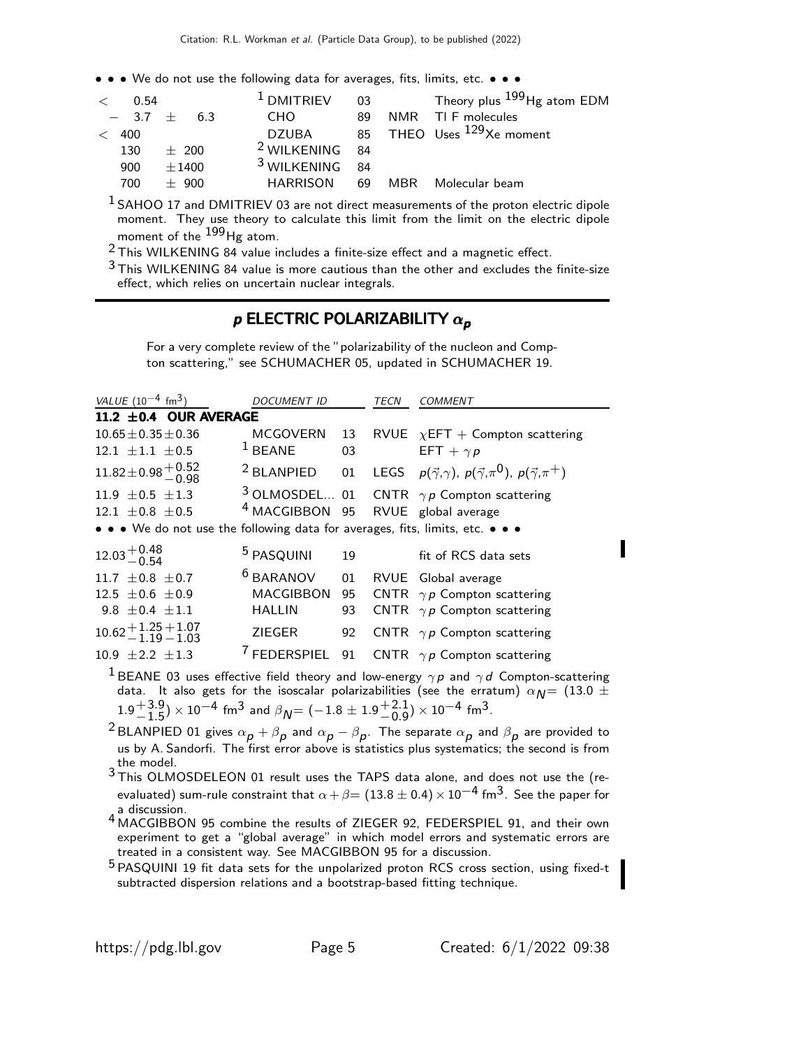| 0.54<br>$\lt$  |         |                           |    |     | <sup>1</sup> DMITRIEV 03 Theory plus $^{199}$ Hg atom EDM |
|----------------|---------|---------------------------|----|-----|-----------------------------------------------------------|
| $-3.7 \pm 6.3$ |         | CHO.                      | 89 |     | NMR TI F molecules                                        |
| < 400          |         | DZUBA                     |    |     | 85 THEO Uses <sup>129</sup> Xe moment                     |
| 130            | $+200$  | <sup>2</sup> WILKENING 84 |    |     |                                                           |
| 900            | $+1400$ | <sup>3</sup> WILKENING 84 |    |     |                                                           |
| 700            | $+900$  | HARRISON                  | 69 | MBR | Molecular beam                                            |

 $<sup>1</sup>$  SAHOO 17 and DMITRIEV 03 are not direct measurements of the proton electric dipole</sup> moment. They use theory to calculate this limit from the limit on the electric dipole moment of the <sup>199</sup>Hg atom.

2 This WILKENING 84 value includes a finite-size effect and a magnetic effect.

 $3$  This WILKENING 84 value is more cautious than the other and excludes the finite-size effect, which relies on uncertain nuclear integrals.

## p ELECTRIC POLARIZABILITY  $\alpha_p$

For a very complete review of the "polarizability of the nucleon and Compton scattering," see SCHUMACHER 05, updated in SCHUMACHER 19.

| VALUE $(10^{-4}$ fm <sup>3</sup> )                                                                                    | <b>DOCUMENT ID</b>                            |    | TECN | <b>COMMENT</b>                                                                                           |
|-----------------------------------------------------------------------------------------------------------------------|-----------------------------------------------|----|------|----------------------------------------------------------------------------------------------------------|
| 11.2 $\pm$ 0.4 OUR AVERAGE                                                                                            |                                               |    |      |                                                                                                          |
| $10.65 \pm 0.35 \pm 0.36$                                                                                             | MCGOVERN                                      | 13 |      | RVUE $\chi$ EFT + Compton scattering                                                                     |
| $12.1 \pm 1.1 \pm 0.5$                                                                                                | $1$ BEANE                                     | 03 |      | EFT + $\gamma p$                                                                                         |
| $11.82 \pm 0.98 \begin{array}{c} +0.52 \\ -0.98 \end{array}$                                                          | <sup>2</sup> BLANPIED                         | 01 |      | LEGS $p(\vec{\gamma}, \gamma)$ , $p(\vec{\gamma}, \pi^0)$ , $p(\vec{\gamma}, \pi^+)$                     |
| $11.9 \pm 0.5 \pm 1.3$                                                                                                |                                               |    |      | <sup>3</sup> OLMOSDEL 01 CNTR $\gamma p$ Compton scattering                                              |
| $12.1 \pm 0.8 \pm 0.5$                                                                                                | <sup>4</sup> MACGIBBON 95 RVUE global average |    |      |                                                                                                          |
| $\bullet \bullet \bullet$ We do not use the following data for averages, fits, limits, etc. $\bullet \bullet \bullet$ |                                               |    |      |                                                                                                          |
| $12.03^{+0.48}_{-0.54}$                                                                                               | <sup>5</sup> PASQUINI                         | 19 |      | fit of RCS data sets                                                                                     |
| 11.7 $\pm$ 0.8 $\pm$ 0.7                                                                                              | <sup>6</sup> BARANOV                          | 01 |      | RVUE Global average                                                                                      |
| $12.5 \pm 0.6 \pm 0.9$                                                                                                | <b>MACGIBBON</b>                              | 95 |      | CNTR $\gamma p$ Compton scattering                                                                       |
| 9.8 $\pm$ 0.4 $\pm$ 1.1                                                                                               | <b>HALLIN</b>                                 | 93 |      | CNTR $\gamma p$ Compton scattering                                                                       |
| $10.62 + 1.25 + 1.07$<br>$-1.19 - 1.03$                                                                               | ZIEGER                                        | 92 |      | CNTR $\gamma p$ Compton scattering                                                                       |
| 10.9 $\pm 2.2$ $\pm 1.3$                                                                                              |                                               |    |      | <sup>7</sup> FEDERSPIEL 91 CNTR $\gamma p$ Compton scattering                                            |
|                                                                                                                       |                                               |    |      | $^1$ BEANE 03 uses effective field theory and low-energy $\gamma \rho$ and $\gamma d$ Compton-scattering |

data. It also gets for the isoscalar polarizabilities (see the erratum)  $\alpha_{\text{N}} = (13.0 \pm 1.0)$  $1.9 + 3.9$  $^{+3.9}_{-1.5})\times10^{-4}$  fm $^3$  and  $\beta_{\cal N}$ =  $(-1.8\pm1.9 {+2.1\atop -0.9}$  $^{+2.1}_{-0.9}$ ) × 10<sup>-4</sup> fm<sup>3</sup>.

 $^2$ BLANPIED 01 gives  $\alpha_{\bm p}+\beta_{\bm p}$  and  $\alpha_{\bm p}-\beta_{\bm p}.$  The separate  $\alpha_{\bm p}$  and  $\beta_{\bm p}$  are provided to us by A. Sandorfi. The first error above is statistics plus systematics; the second is from the model.

 $3$  This OLMOSDELEON 01 result uses the TAPS data alone, and does not use the (reevaluated) sum-rule constraint that  $\alpha + \beta = (13.8 \pm 0.4) \times 10^{-4}$  fm<sup>3</sup>. See the paper for a discussion.

4 MACGIBBON 95 combine the results of ZIEGER 92, FEDERSPIEL 91, and their own experiment to get a "global average" in which model errors and systematic errors are treated in a consistent way. See MACGIBBON 95 for a discussion.

<sup>5</sup> PASQUINI 19 fit data sets for the unpolarized proton RCS cross section, using fixed-t subtracted dispersion relations and a bootstrap-based fitting technique.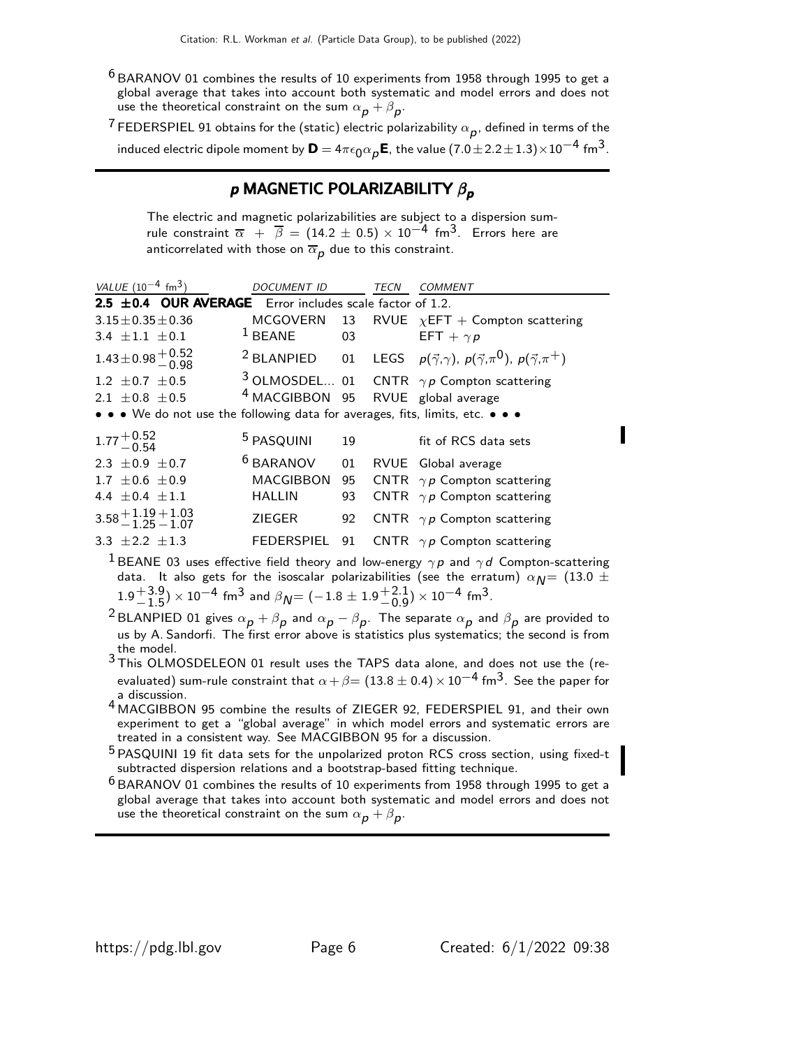$6$  BARANOV 01 combines the results of 10 experiments from 1958 through 1995 to get a global average that takes into account both systematic and model errors and does not use the theoretical constraint on the sum  $\alpha_{\bm p} + \beta_{\bm p} .$ 

 $^7$  FEDERSPIEL 91 obtains for the (static) electric polarizability  $\alpha_{\bm p}^{}$ , defined in terms of the induced electric dipole moment by  $\textbf{D}=4\pi\epsilon_0\alpha_{\bm{\rho}}\textbf{E}$ , the value  $(7.0\pm2.2\pm1.3)\times10^{-4}$  fm $^3$ .

#### $p$  MAGNETIC POLARIZABILITY  $β<sub>p</sub>$

The electric and magnetic polarizabilities are subject to a dispersion sumrule constraint  $\overline{\alpha}$  +  $\overline{\beta}$  = (14.2 ± 0.5) × 10<sup>-4</sup> fm<sup>3</sup>. Errors here are anticorrelated with those on  $\overline{\alpha}_\mathcal{p}$  due to this constraint.

| VALUE $(10^{-4}$ fm <sup>3</sup> )                                            | DOCUMENT ID                                   |    | <b>TECN</b> | COMMENT                                                                                                       |
|-------------------------------------------------------------------------------|-----------------------------------------------|----|-------------|---------------------------------------------------------------------------------------------------------------|
| 2.5 $\pm$ 0.4 OUR AVERAGE Error includes scale factor of 1.2.                 |                                               |    |             |                                                                                                               |
| $3.15 \pm 0.35 \pm 0.36$                                                      |                                               |    |             | MCGOVERN 13 RVUE $\chi$ EFT + Compton scattering                                                              |
| 3.4 $\pm$ 1.1 $\pm$ 0.1                                                       | $1$ BEANE                                     | 03 |             | EFT + $\gamma p$                                                                                              |
| $1.43 \pm 0.98 \begin{array}{c} +0.52 \\ -0.98 \end{array}$                   |                                               |    |             | <sup>2</sup> BLANPIED 01 LEGS $p(\vec{\gamma}, \gamma)$ , $p(\vec{\gamma}, \pi^0)$ , $p(\vec{\gamma}, \pi^+)$ |
| $1.2 \pm 0.7 \pm 0.5$                                                         |                                               |    |             | <sup>3</sup> OLMOSDEL 01 CNTR $\gamma p$ Compton scattering                                                   |
| 2.1 $\pm$ 0.8 $\pm$ 0.5                                                       | <sup>4</sup> MACGIBBON 95 RVUE global average |    |             |                                                                                                               |
| • • • We do not use the following data for averages, fits, limits, etc. • • • |                                               |    |             |                                                                                                               |
| $1.77^{+0.52}_{-0.54}$                                                        | <sup>5</sup> PASQUINI                         | 19 |             | fit of RCS data sets                                                                                          |
| 2.3 $\pm$ 0.9 $\pm$ 0.7                                                       | <sup>6</sup> BARANOV                          | 01 |             | RVUE Global average                                                                                           |
| $1.7 \pm 0.6 \pm 0.9$                                                         | <b>MACGIBBON</b>                              | 95 |             | CNTR $\gamma p$ Compton scattering                                                                            |
| 4.4 $\pm$ 0.4 $\pm$ 1.1                                                       | <b>HALLIN</b>                                 | 93 |             | CNTR $\gamma p$ Compton scattering                                                                            |
| $3.58 + 1.19 + 1.03$<br>$-1.25 - 1.07$                                        | <b>ZIEGER</b>                                 | 92 |             | CNTR $\gamma p$ Compton scattering                                                                            |
| $3.3 + 2.2 + 1.3$                                                             | <b>FEDERSPIEL</b>                             | 91 |             | CNTR $\gamma p$ Compton scattering                                                                            |

 $^1$ BEANE 03 uses effective field theory and low-energy  $\gamma \, p$  and  $\gamma \, d$  Compton-scattering data. It also gets for the isoscalar polarizabilities (see the erratum)  $\alpha_{\text{N}} = (13.0 \pm 1.0)$  $1.9 + 3.9$  $^{+3.9}_{-1.5})\times10^{-4}$  fm $^3$  and  $\beta_{\cal N}$ =  $(-1.8\pm1.9 {+2.1\atop -0.9}$  $^{+2.1}_{-0.9}$ ) × 10<sup>-4</sup> fm<sup>3</sup>.

 $^2$ BLANPIED 01 gives  $\alpha_{\bm p}+\beta_{\bm p}$  and  $\alpha_{\bm p}-\beta_{\bm p}.$  The separate  $\alpha_{\bm p}$  and  $\beta_{\bm p}$  are provided to us by A. Sandorfi. The first error above is statistics plus systematics; the second is from the model.

- 3 This OLMOSDELEON 01 result uses the TAPS data alone, and does not use the (reevaluated) sum-rule constraint that  $\alpha + \beta = (13.8 \pm 0.4) \times 10^{-4}$  fm<sup>3</sup>. See the paper for a discussion.
- 4 MACGIBBON 95 combine the results of ZIEGER 92, FEDERSPIEL 91, and their own experiment to get a "global average" in which model errors and systematic errors are treated in a consistent way. See MACGIBBON 95 for a discussion.

5 PASQUINI 19 fit data sets for the unpolarized proton RCS cross section, using fixed-t subtracted dispersion relations and a bootstrap-based fitting technique.

 $6$  BARANOV 01 combines the results of 10 experiments from 1958 through 1995 to get a global average that takes into account both systematic and model errors and does not use the theoretical constraint on the sum  $\alpha_{\bm p} + \beta_{\bm p} .$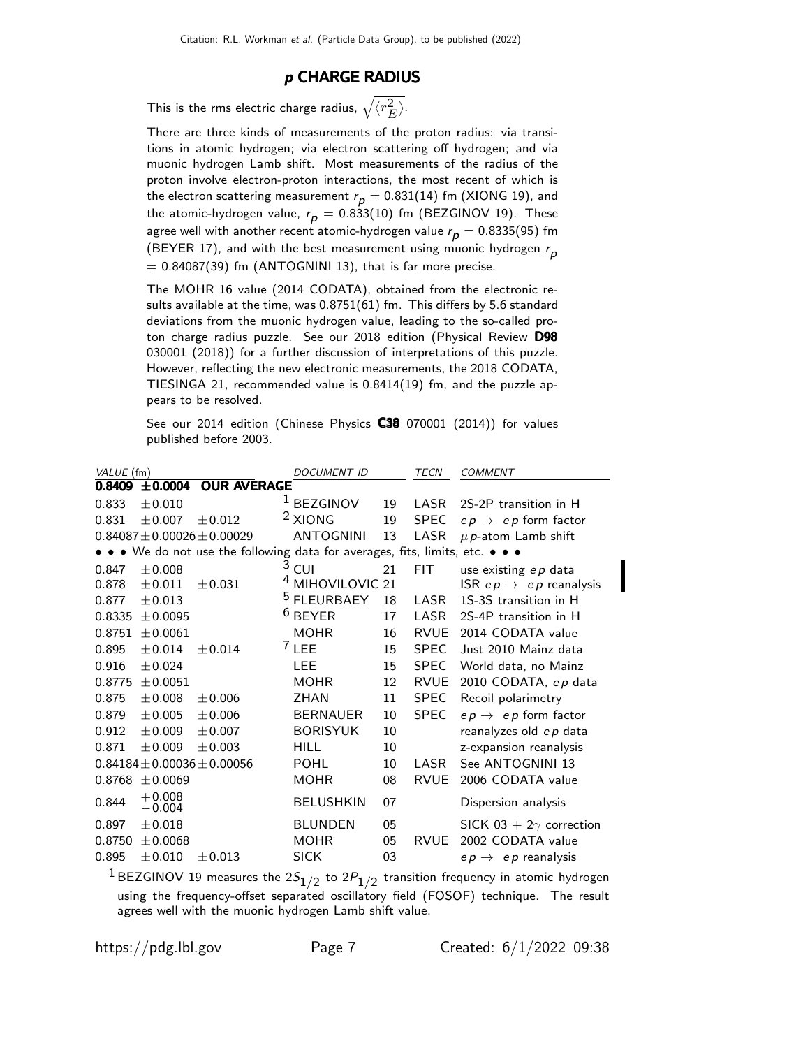#### p CHARGE RADIUS

This is the rms electric charge radius,  $\sqrt{\langle r_{\scriptscriptstyle L}^2 \rangle}$  $\overset{\text{2}}{E}$ .

There are three kinds of measurements of the proton radius: via transitions in atomic hydrogen; via electron scattering off hydrogen; and via muonic hydrogen Lamb shift. Most measurements of the radius of the proton involve electron-proton interactions, the most recent of which is the electron scattering measurement  $r_p = 0.831(14)$  fm (XIONG 19), and the atomic-hydrogen value,  $r_p = 0.833(10)$  fm (BEZGINOV 19). These agree well with another recent atomic-hydrogen value  $r_p = 0.8335(95)$  fm (BEYER 17), and with the best measurement using muonic hydrogen  $r_p$  $= 0.84087(39)$  fm (ANTOGNINI 13), that is far more precise.

The MOHR 16 value (2014 CODATA), obtained from the electronic results available at the time, was 0.8751(61) fm. This differs by 5.6 standard deviations from the muonic hydrogen value, leading to the so-called proton charge radius puzzle. See our 2018 edition (Physical Review D98 030001 (2018)) for a further discussion of interpretations of this puzzle. However, reflecting the new electronic measurements, the 2018 CODATA, TIESINGA 21, recommended value is 0.8414(19) fm, and the puzzle appears to be resolved.

See our 2014 edition (Chinese Physics C38 070001 (2014)) for values published before 2003.

| VALUE (fm) |                      |                                   | <b>DOCUMENT ID</b>                                                            |    | TECN        | <b>COMMENT</b>                     |
|------------|----------------------|-----------------------------------|-------------------------------------------------------------------------------|----|-------------|------------------------------------|
| 0.8409     | ± 0.0004             | <b>OUR AVERAGE</b>                |                                                                               |    |             |                                    |
| 0.833      | ± 0.010              |                                   | <sup>1</sup> BEZGINOV                                                         | 19 | LASR        | 2S-2P transition in H              |
| 0.831      | ±0.007               | $+0.012$                          | <sup>2</sup> XIONG                                                            | 19 | <b>SPEC</b> | $ep \rightarrow ep$ form factor    |
|            |                      | $0.84087 \pm 0.00026 \pm 0.00029$ | <b>ANTOGNINI</b>                                                              | 13 | LASR        | $\mu$ p-atom Lamb shift            |
|            |                      |                                   | • • • We do not use the following data for averages, fits, limits, etc. • • • |    |             |                                    |
| 0.847      | $\pm 0.008$          |                                   | $3$ CUI                                                                       | 21 | FIT.        | use existing $ep$ data             |
| 0.878      | $\pm 0.011$          | $\pm 0.031$                       | 4<br>MIHOVILOVIC 21                                                           |    |             | ISR $ep \rightarrow ep$ reanalysis |
| 0.877      | $\pm 0.013$          |                                   | <sup>5</sup> FLEURBAEY                                                        | 18 | LASR        | 1S-3S transition in H              |
| 0.8335     | ± 0.0095             |                                   | $6$ BEYER                                                                     | 17 | LASR        | 2S-4P transition in H              |
| 0.8751     | ± 0.0061             |                                   | <b>MOHR</b>                                                                   | 16 | <b>RVUE</b> | 2014 CODATA value                  |
| 0.895      | $\pm 0.014$          | $\pm 0.014$                       | $7$ LEE                                                                       | 15 | <b>SPEC</b> | Just 2010 Mainz data               |
| 0.916      | ± 0.024              |                                   | LEE                                                                           | 15 | <b>SPEC</b> | World data, no Mainz               |
| 0.8775     | ± 0.0051             |                                   | <b>MOHR</b>                                                                   | 12 | <b>RVUE</b> | 2010 CODATA, ep data               |
| 0.875      | $\pm 0.008$          | ± 0.006                           | <b>ZHAN</b>                                                                   | 11 | <b>SPEC</b> | Recoil polarimetry                 |
| 0.879      | $\pm 0.005$          | $\pm 0.006$                       | <b>BERNAUER</b>                                                               | 10 | <b>SPEC</b> | $ep \rightarrow ep$ form factor    |
| 0.912      | $\pm 0.009$          | $\pm 0.007$                       | <b>BORISYUK</b>                                                               | 10 |             | reanalyzes old ep data             |
| 0.871      | ± 0.009              | $+0.003$                          | <b>HILL</b>                                                                   | 10 |             | z-expansion reanalysis             |
|            |                      | $0.84184 \pm 0.00036 \pm 0.00056$ | <b>POHL</b>                                                                   | 10 | LASR        | See ANTOGNINI 13                   |
| 0.8768     | ±0.0069              |                                   | <b>MOHR</b>                                                                   | 08 | <b>RVUE</b> | 2006 CODATA value                  |
| 0.844      | $+0.008$<br>$-0.004$ |                                   | <b>BELUSHKIN</b>                                                              | 07 |             | Dispersion analysis                |
| 0.897      | $\pm 0.018$          |                                   | <b>BLUNDEN</b>                                                                | 05 |             | SICK 03 + $2\gamma$ correction     |
| 0.8750     | ± 0.0068             |                                   | <b>MOHR</b>                                                                   | 05 | <b>RVUE</b> | 2002 CODATA value                  |
| 0.895      | $+0.010$             | $\pm 0.013$                       | <b>SICK</b>                                                                   | 03 |             | $ep \rightarrow ep$ reanalysis     |
| 1.         |                      |                                   |                                                                               |    |             |                                    |

 $^1$ BEZGINOV 19 measures the 2 $S_{1/2}$  to 2 $P_{1/2}$  transition frequency in atomic hydrogen using the frequency-offset separated oscillatory field (FOSOF) technique. The result agrees well with the muonic hydrogen Lamb shift value.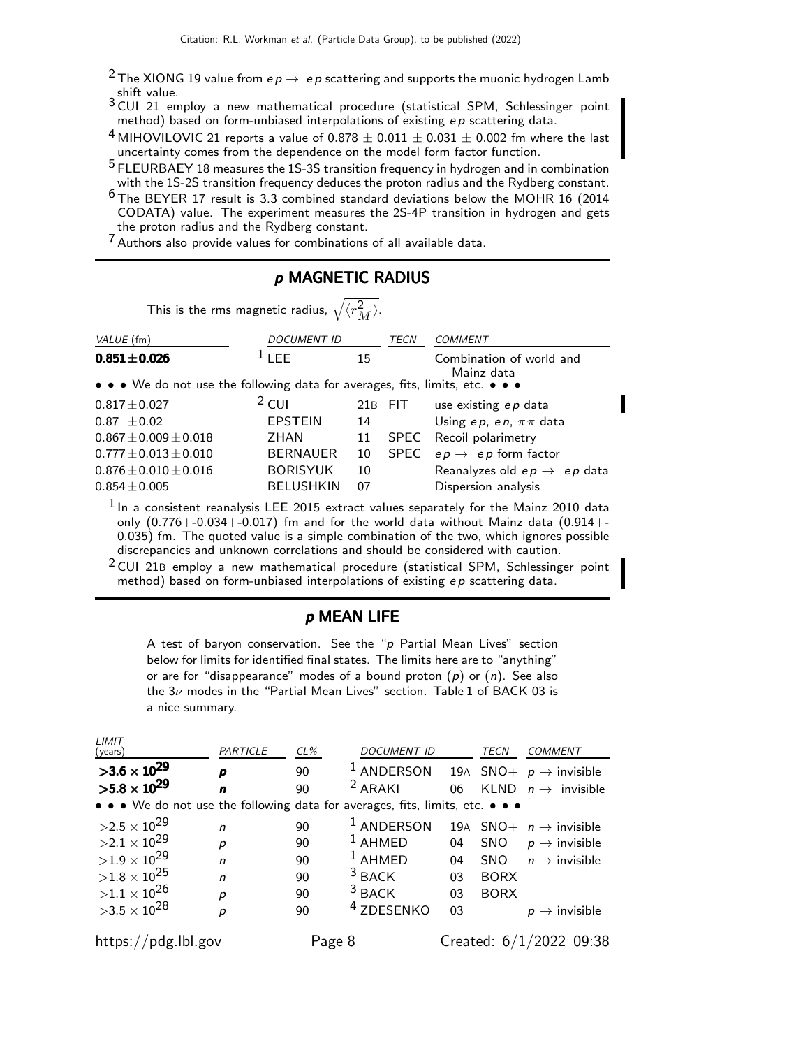- <sup>2</sup> The XIONG 19 value from  $ep \rightarrow ep$  scattering and supports the muonic hydrogen Lamb shift value.
- 3 Shirt value.<br>3 CUI 21 employ a new mathematical procedure (statistical SPM, Schlessinger point method) based on form-unbiased interpolations of existing  $ep$  scattering data.
- <sup>4</sup> MIHOVILOVIC 21 reports a value of 0.878  $\pm$  0.011  $\pm$  0.031  $\pm$  0.002 fm where the last uncertainty comes from the dependence on the model form factor function.
- 5 FLEURBAEY 18 measures the 1S-3S transition frequency in hydrogen and in combination with the 1S-2S transition frequency deduces the proton radius and the Rydberg constant.
- $6$  The BEYER 17 result is 3.3 combined standard deviations below the MOHR 16 (2014 CODATA) value. The experiment measures the 2S-4P transition in hydrogen and gets the proton radius and the Rydberg constant.

7 Authors also provide values for combinations of all available data.

#### p MAGNETIC RADIUS

| This is the rms magnetic radius, $\sqrt{\langle r_M^2 \rangle}$ . |  |  |
|-------------------------------------------------------------------|--|--|
|-------------------------------------------------------------------|--|--|

 $\overline{L}$ 

| VALUE (fm)                                                                    | <b>DOCUMENT ID</b> |    | TECN        | <b>COMMENT</b>                          |
|-------------------------------------------------------------------------------|--------------------|----|-------------|-----------------------------------------|
| $0.851 \pm 0.026$                                                             | $1$ LEE            | 15 |             | Combination of world and<br>Mainz data  |
| • • • We do not use the following data for averages, fits, limits, etc. • • • |                    |    |             |                                         |
| $0.817 \pm 0.027$                                                             | $2$ CUI            |    | 21B FIT     | use existing $ep$ data                  |
| $0.87 \pm 0.02$                                                               | <b>EPSTEIN</b>     | 14 |             | Using ep, en, $\pi \pi$ data            |
| $0.867 \pm 0.009 \pm 0.018$                                                   | ZHAN               | 11 | <b>SPEC</b> | Recoil polarimetry                      |
| $0.777 \pm 0.013 \pm 0.010$                                                   | <b>BERNAUER</b>    | 10 | <b>SPEC</b> | $ep \rightarrow ep$ form factor         |
| $0.876 \pm 0.010 \pm 0.016$                                                   | <b>BORISYUK</b>    | 10 |             | Reanalyzes old $ep \rightarrow ep$ data |
| $0.854 \pm 0.005$                                                             | <b>BELUSHKIN</b>   | 07 |             | Dispersion analysis                     |
| п.                                                                            |                    |    |             |                                         |

 $<sup>1</sup>$  In a consistent reanalysis LEE 2015 extract values separately for the Mainz 2010 data</sup> only  $(0.776 + -0.034 + -0.017)$  fm and for the world data without Mainz data  $(0.914 + -0.034)$ 0.035) fm. The quoted value is a simple combination of the two, which ignores possible discrepancies and unknown correlations and should be considered with caution.

2 CUI 21<sup>B</sup> employ a new mathematical procedure (statistical SPM, Schlessinger point method) based on form-unbiased interpolations of existing  $ep$  scattering data.

#### p MEAN LIFE

A test of baryon conservation. See the " $p$  Partial Mean Lives" section below for limits for identified final states. The limits here are to "anything" or are for "disappearance" modes of a bound proton  $(p)$  or  $(n)$ . See also the  $3\nu$  modes in the "Partial Mean Lives" section. Table 1 of BACK 03 is a nice summary.

| LIMI I<br>(years)                                                             | PARTICLE     | $CL\%$ | <b>DOCUMENT ID</b>    |    | <b>TECN</b> | <b>COMMENT</b>                     |
|-------------------------------------------------------------------------------|--------------|--------|-----------------------|----|-------------|------------------------------------|
| $>3.6\times10^{29}$                                                           | p            | 90     | $1$ ANDERSON          |    |             | 19A SNO+ $p \rightarrow$ invisible |
| $>5.8 \times 10^{29}$                                                         | $\mathbf n$  | 90     | <sup>2</sup> ARAKI    | 06 |             | KLND $n \rightarrow$ invisible     |
| • • • We do not use the following data for averages, fits, limits, etc. • • • |              |        |                       |    |             |                                    |
| $>2.5\times10^{29}$                                                           | $\mathsf{n}$ | 90     | $1$ ANDERSON          |    |             | 19A SNO+ $n \rightarrow$ invisible |
| $>2.1\times10^{29}$                                                           | p            | 90     | $1$ AHMED             | 04 | SNO         | $p\rightarrow$ invisible           |
| $>1.9\times10^{29}$                                                           | $\mathsf{n}$ | 90     | $1$ AHMED             | 04 |             | SNO $n \rightarrow$ invisible      |
| $>1.8\times10^{25}$                                                           | $\mathsf{n}$ | 90     | $3$ BACK              | 03 | <b>BORX</b> |                                    |
| $>1.1\times10^{26}$                                                           | p            | 90     | $3$ BACK              | 03 | <b>BORX</b> |                                    |
| $>3.5\times10^{28}$                                                           | р            | 90     | <sup>4</sup> ZDESENKO | 03 |             | $p \rightarrow$ invisible          |
| https://pdg.lbl.gov                                                           |              | Page 8 |                       |    |             | Created: $6/1/2022$ 09:38          |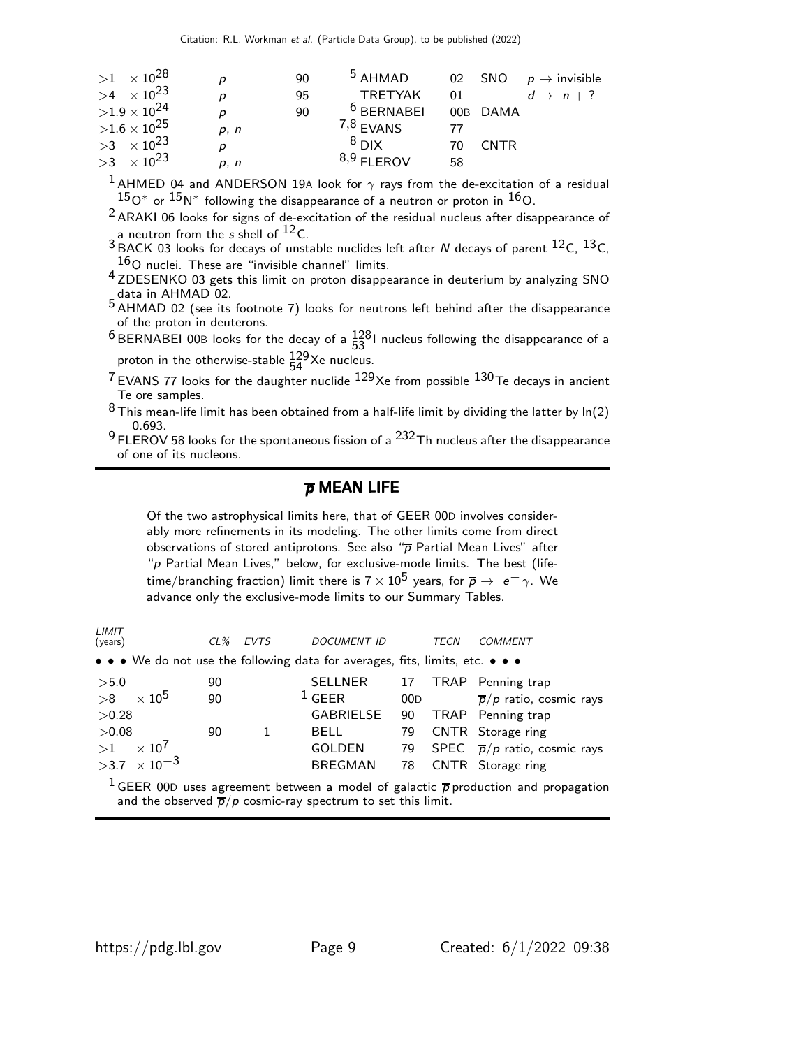| $>1$ $\times$ 10 <sup>28</sup> | D    | 90 | <sup>5</sup> AHMAD    |    |             | 02 SNO $p \rightarrow$ invisible |
|--------------------------------|------|----|-----------------------|----|-------------|----------------------------------|
| $>4$ $\times$ 10 <sup>23</sup> | D    | 95 | TRETYAK               | 01 |             | $d \rightarrow n+$ ?             |
| $>1.9\times10^{24}$            | D    | 90 | <sup>6</sup> BERNABEI |    | 00B DAMA    |                                  |
| $>1.6\times10^{25}$            | p, n |    | $^{7,8}$ EVANS        |    |             |                                  |
| $>3 \times 10^{23}$            | D    |    | $8$ DIX               | 70 | <b>CNTR</b> |                                  |
| $>3 \times 10^{23}$            | p, n |    | $8,9$ FI FROV         | 58 |             |                                  |

<sup>1</sup> AHMED 04 and ANDERSON 19A look for  $\gamma$  rays from the de-excitation of a residual  $150*$  or  $15N*$  following the disappearance of a neutron or proton in  $160$ .

 $2$  ARAKI 06 looks for signs of de-excitation of the residual nucleus after disappearance of a neutron from the  $s$  shell of  $^{12}$ C.

 $^3$ BACK 03 looks for decays of unstable nuclides left after N decays of parent  $^{12}$ C,  $^{13}$ C,  $16$ O nuclei. These are "invisible channel" limits.

<sup>4</sup> ZDESENKO 03 gets this limit on proton disappearance in deuterium by analyzing SNO

data in AHMAD 02. 5 AHMAD 02 (see its footnote 7) looks for neutrons left behind after the disappearance of the proton in deuterons.

 $6$  BERNABEI 00B looks for the decay of a  $\frac{128}{53}$ I nucleus following the disappearance of a proton in the otherwise-stable  $\frac{129}{54}$ Xe nucleus.

 $7$  EVANS 77 looks for the daughter nuclide  $129$ Xe from possible  $130$ Te decays in ancient Te ore samples.

 $8$  This mean-life limit has been obtained from a half-life limit by dividing the latter by  $ln(2)$  $= 0.693.$ 

 $9 - 0.99$ .<br> $9$  FLEROV 58 looks for the spontaneous fission of a  $232$  Th nucleus after the disappearance of one of its nucleons.

#### $\overline{p}$  MEAN LIFE

Of the two astrophysical limits here, that of GEER 00D involves considerably more refinements in its modeling. The other limits come from direct observations of stored antiprotons. See also " $\overline{p}$  Partial Mean Lives" after " $p$  Partial Mean Lives," below, for exclusive-mode limits. The best (lifetime/branching fraction) limit there is  $7 \times 10^5$  years, for  $\overline{p} \rightarrow e^- \gamma$ . We advance only the exclusive-mode limits to our Summary Tables.

| LIMIT<br>(years) |                                                                                                                                                                                        | $CL\%$ | EVTS | <b>DOCUMENT ID</b>                                                            |     | TECN | <b>COMMENT</b>                      |  |
|------------------|----------------------------------------------------------------------------------------------------------------------------------------------------------------------------------------|--------|------|-------------------------------------------------------------------------------|-----|------|-------------------------------------|--|
|                  |                                                                                                                                                                                        |        |      | • • • We do not use the following data for averages, fits, limits, etc. • • • |     |      |                                     |  |
| >5.0             |                                                                                                                                                                                        | 90     |      | <b>SELLNER</b>                                                                | 17  |      | TRAP Penning trap                   |  |
| >8               | $\times$ 10 <sup>5</sup>                                                                                                                                                               | 90     |      | $1$ GEER                                                                      | 00D |      | $\overline{p}/p$ ratio, cosmic rays |  |
| >0.28            |                                                                                                                                                                                        |        |      | <b>GABRIELSE</b>                                                              | 90  |      | TRAP Penning trap                   |  |
| >0.08            |                                                                                                                                                                                        | 90     | 1    | <b>BELL</b>                                                                   | 79  |      | CNTR Storage ring                   |  |
|                  | $>1$ $\times 10^7$                                                                                                                                                                     |        |      | <b>GOLDEN</b>                                                                 | 79  |      | SPEC $\bar{p}/p$ ratio, cosmic rays |  |
|                  | $>3.7 \times 10^{-3}$                                                                                                                                                                  |        |      | BREGMAN                                                                       | 78  |      | CNTR Storage ring                   |  |
|                  | <sup>1</sup> GEER 00D uses agreement between a model of galactic $\overline{p}$ production and propagation<br>and the observed $\overline{p}/p$ cosmic-ray spectrum to set this limit. |        |      |                                                                               |     |      |                                     |  |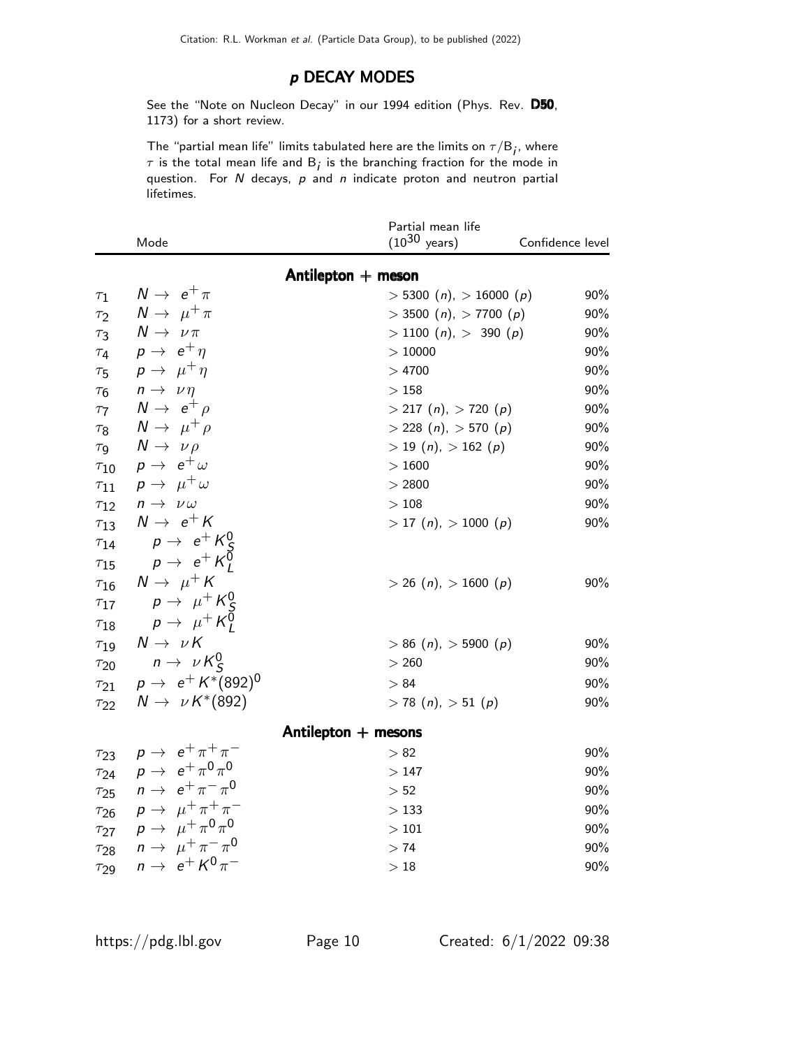### p DECAY MODES

See the "Note on Nucleon Decay" in our 1994 edition (Phys. Rev. D50, 1173) for a short review.

The "partial mean life" limits tabulated here are the limits on  $\tau/\mathsf{B}_\mathit{j}$ , where  $\tau$  is the total mean life and  $\boldsymbol{\mathsf{B}}_{\boldsymbol{j}}$  is the branching fraction for the mode in question. For  $N$  decays,  $p$  and  $n$  indicate proton and neutron partial lifetimes.

|                     | Mode                                                       | Partial mean life<br>$(10^{30} \text{ years})$ | Confidence level |
|---------------------|------------------------------------------------------------|------------------------------------------------|------------------|
|                     |                                                            |                                                |                  |
|                     |                                                            | Antilepton + meson                             |                  |
| $\tau_1$            | $N \rightarrow e^+ \pi$                                    | $> 5300 (n)$ , $> 16000 (p)$                   | 90%              |
| $\tau_2$            | $N \rightarrow \mu^+ \pi$                                  | $>$ 3500 (n), $>$ 7700 (p)                     | 90%              |
| $\tau_3$            | $N \rightarrow \nu \pi$                                    | $>$ 1100 ( <i>n</i> ), $>$ 390 ( <i>p</i> )    | 90%              |
| $\tau_4$            | $p \rightarrow e^+ \eta$                                   | >10000                                         | 90%              |
| $\tau_{5}$          | $p \rightarrow \mu^+ \eta$                                 | >4700                                          | 90%              |
| $\tau_6$            | $n \rightarrow \nu \eta$                                   | >158                                           | 90%              |
| $\tau$              | $N \rightarrow e^+ \rho$                                   | $>$ 217 (n), $>$ 720 (p)                       | 90%              |
| $\tau_8$            | $N \rightarrow \mu^+ \rho$                                 | $>$ 228 (n), $>$ 570 (p)                       | 90%              |
| $\tau$ <sub>9</sub> | $N \rightarrow \nu \rho$                                   | $> 19$ (n), $> 162$ (p)                        | 90%              |
| $\tau_{10}$         | $p \rightarrow e^+ \omega$                                 | >1600                                          | 90%              |
| $\tau_{11}$         | $p \rightarrow \mu^+ \omega$                               | > 2800                                         | 90%              |
| $\tau_{12}$         | $n \to \nu \omega$                                         | >108                                           | 90%              |
| $\tau_{13}$         | $N \rightarrow e^+ K$                                      | $>$ 17 (n), $>$ 1000 (p)                       | 90%              |
| $\tau_{14}$         |                                                            |                                                |                  |
| $\tau_{15}$         | $p \rightarrow e^{+} K_S^0$<br>$p \rightarrow e^{+} K_I^0$ |                                                |                  |
| $\tau_{16}$         | $N \rightarrow \mu^+ K$                                    | $>$ 26 (n), $>$ 1600 (p)                       | 90%              |
| $\tau_{17}$         | $p \rightarrow \mu^+ K_S^0$                                |                                                |                  |
| $\tau_{18}$         | $p \rightarrow \mu^+ K^{\vec{0}}_I$                        |                                                |                  |
| $\tau_{19}$         | $N \rightarrow \nu K$                                      | $> 86$ (n), $> 5900$ (p)                       | 90%              |
| $\tau_{20}$         | $n \to \nu K_S^0$                                          | > 260                                          | 90%              |
| $\tau_{21}$         | $p \to e^+ K^*(892)^0$                                     | > 84                                           | 90%              |
| $\tau_{22}$         | $N \rightarrow \nu K^*(892)$                               | $> 78$ (n), $> 51$ (p)                         | 90%              |
|                     |                                                            | Antilepton $+$ mesons                          |                  |
| $\tau_{23}$         | $p \rightarrow e^+ \pi^+ \pi^-$                            | > 82                                           | 90%              |
| $\tau_{24}$         | $p \rightarrow e^+ \pi^0 \pi^0$                            | >147                                           | 90%              |
| $\tau_{25}$         | $n \rightarrow e^+ \pi^- \pi^0$                            | > 52                                           | 90%              |
| $\tau_{26}$         | $p \rightarrow \mu^+ \pi^+ \pi^-$                          | >133                                           | 90%              |
| $\tau_{27}$         | $p\rightarrow \mu^+\pi^0\pi^0$                             | >101                                           | 90%              |
| $\tau_{28}$         | $n \to \mu^+ \pi^- \pi^0$                                  | >74                                            | 90%              |
| $\tau_{29}$         | $n \rightarrow e^+ K^0 \pi^-$                              | >18                                            | 90%              |
|                     |                                                            |                                                |                  |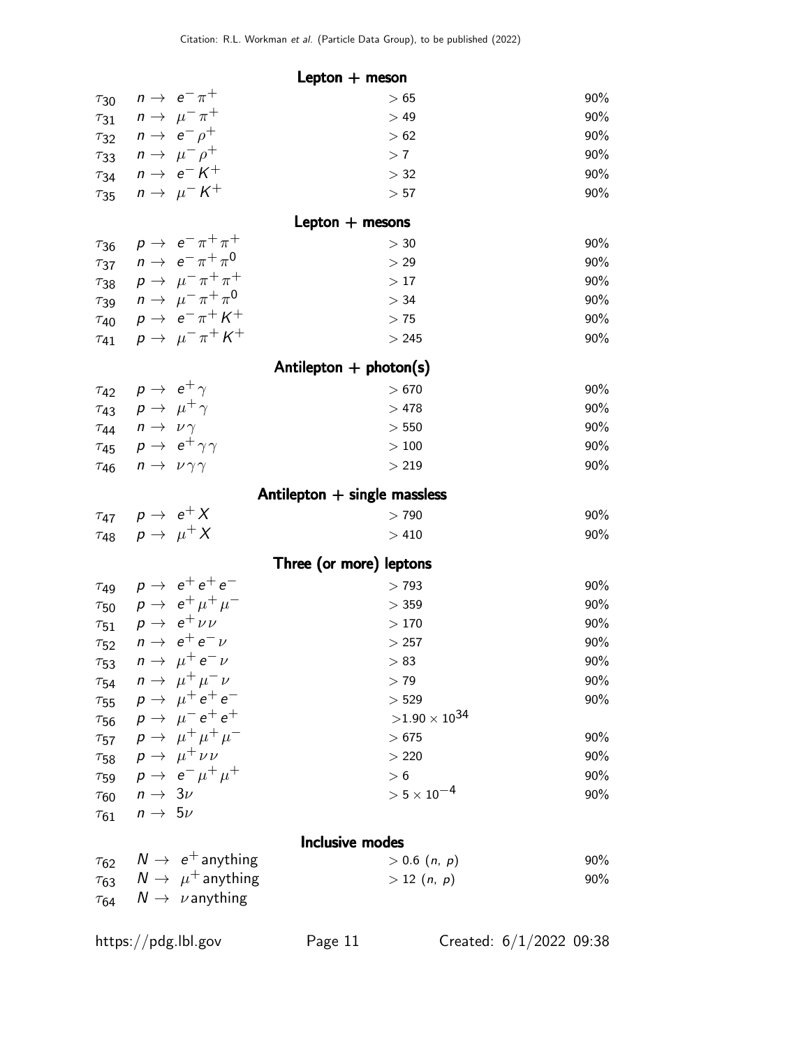Lepton  $+$  meson  $\tau_{30}$   $n \to e^- \pi$  $+$   $> 65$  90%  $\tau_{31}$   $n \to \mu^- \pi$  $+$   $>$  49  $90\%$  $\tau_{32}$   $n \rightarrow e^- \rho$  $+$   $> 62$  90%  $\tau_{33}$   $n \rightarrow \mu^- \rho$  $+$  90%  $\tau_{34}$   $n \rightarrow e^- K$  $+$   $>$  32 90%  $\tau_{35}$   $n \to \mu^- K$  $+$   $>$  57 90%  $Lepton + mesons$  $\tau_{36}$   $p \rightarrow e^- \pi^+ \pi^ +$   $>$  30 90%  $\tau_{37}$   $n \to e^- \pi^+ \pi^ > 29$  90%  $\tau_{38}$   $p \rightarrow \mu^- \pi^+ \pi^ +$   $>17$   $90\%$  $\tau_{39}$   $n \to \mu^- \pi^+ \pi^-$ 0  $> 34$  90%  $\tau_{40}$   $p \rightarrow e^- \pi^+ K$  $+$   $> 75$  90%  $\tau_{41}$   $p \rightarrow \mu^- \pi^+ K$  $+$   $>$  245 90% Antilepton  $+$  photon(s)  $\tau_{42}$   $p \rightarrow e^+ \gamma$  $^+\,\gamma$   $>$  670  $^{\circ}$  90%  $\tau_{43}$   $p \rightarrow \mu^+ \gamma$  $+\gamma$   $>$  478 90%  $\tau_{44}$   $n \rightarrow \nu \gamma$   $> 550$  90%  $\tau_{45}$   $p \rightarrow e^+ \gamma \gamma$  $^{+}\gamma\gamma$   $>100$  90%  $\tau_{46}$   $n \to \nu \gamma \gamma$  > 219 90% Antilepton  $+$  single massless  $\tau_{47}$   $p \rightarrow e^{+} X$  $^+$  X  $^+$   $>$  790  $^{\prime\prime}$  90%  $\tau_{48}$   $p \rightarrow \mu^{+} X$ <sup>+</sup> X <sup>&</sup>gt; 410 90% Three (or more) leptons  $\tau_{49}$   $p \rightarrow e^+e^+e^ > 793$  90%  $\tau_{50}$   $p \rightarrow e^+ \mu^+ \mu^ >$  359 90%  $\tau_{51}$   $p \rightarrow e^+ \nu \nu$  $+ v \nu$  > 170 90%  $\tau_{52}$   $n \rightarrow e^+e^ \nu$   $>$  257 90%  $\tau_{53}$   $n \rightarrow \mu^+e$  $\nu$   $> 83$  90%  $\tau_{54}$   $n \rightarrow \mu^+ \mu$  $\nu$   $>$  79  $>$  79 90%  $\tau_{55}$   $p \rightarrow \mu^+e^+e^ >$  529 90%  $\tau_{56}$   $p \rightarrow \mu^- e^+ e^ >$   $1.90\times 10^{34}$  $\tau_{57}$   $p \rightarrow \mu^+ \mu^+ \mu^ > 675$  90%  $\begin{array}{ccc} \tau_{57} & p \rightarrow \mu^+ \mu^+ \\ \tau_{58} & p \rightarrow \mu^+ \nu \nu \end{array}$  $+ v \nu$  > 220 90%  $\tau_{59}$   $p \rightarrow e^- \mu^+ \mu$  $+\qquad \qquad \qquad > 6 \qquad \qquad \qquad 90\%$  $\tau_{60}$  n → 3 $\nu$   $> 5 \times 10^{-4}$  90%  $\tau_{61}$   $n \rightarrow 5\nu$ Inclusive modes  $\tau_{62}$   $N \rightarrow e^+$  anything  $> 0.6$  (n, p) 90%

| $\tau_{63}$ $\quad N \rightarrow \ \mu^+$ anything | > 12(n, p) | 90% |
|----------------------------------------------------|------------|-----|
| $\tau_{64}$ $N \rightarrow \nu$ anything           |            |     |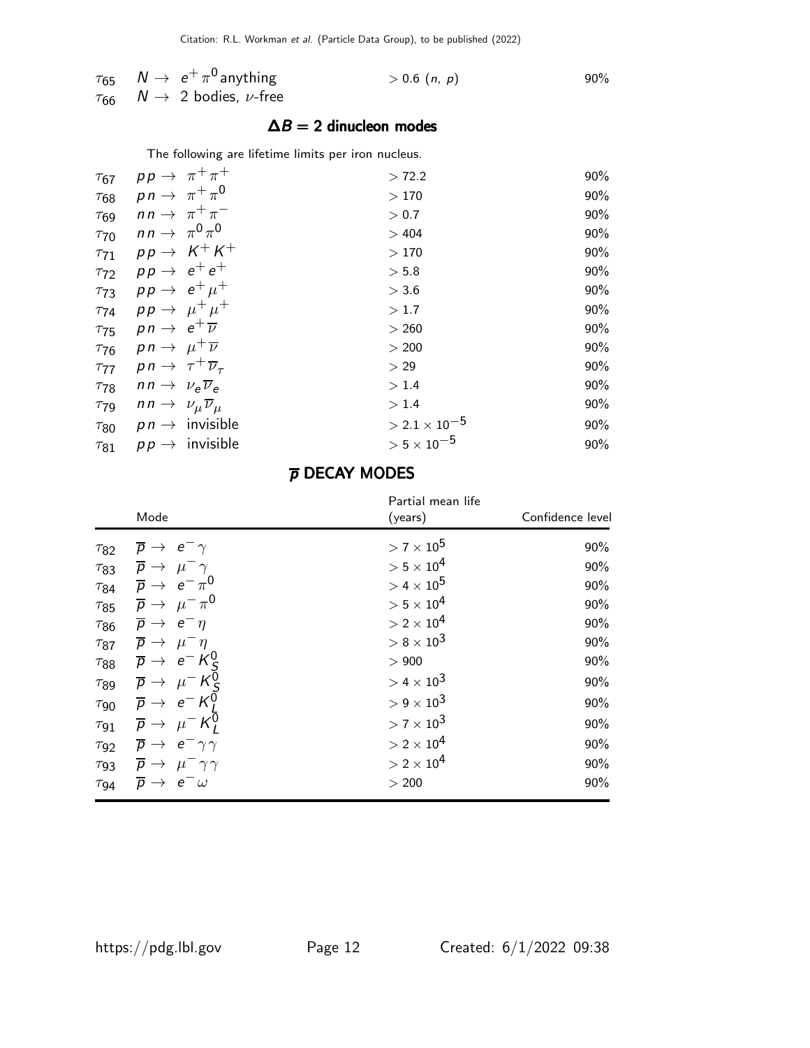|  | $> 0.6$ ( <i>n</i> , <i>p</i> )                                                                        | 90% |
|--|--------------------------------------------------------------------------------------------------------|-----|
|  |                                                                                                        |     |
|  | $\tau_{65}$ $N \rightarrow e^+ \pi^0$ anything<br>$\tau_{66}$ $N \rightarrow 2$ bodies, <i>v</i> -free |     |

## $\Delta B = 2$  dinucleon modes

|             |                                                           | The following are lifetime limits per iron nucleus. |                        |        |
|-------------|-----------------------------------------------------------|-----------------------------------------------------|------------------------|--------|
| $\tau_{67}$ |                                                           | $pp \rightarrow \pi^+ \pi^+$                        | > 72.2                 | $90\%$ |
| $\tau_{68}$ | $p n \rightarrow \pi^+ \pi^0$                             |                                                     | >170                   | $90\%$ |
| $\tau_{69}$ |                                                           | $nn \rightarrow \pi^{+}\pi^{-}$                     | > 0.7                  | $90\%$ |
| $\tau_{70}$ | $nn \rightarrow \pi^0 \pi^0$                              |                                                     | >404                   | $90\%$ |
| $\tau_{71}$ |                                                           | $pp \rightarrow K^+K^+$                             | >170                   | $90\%$ |
| $\tau_{72}$ | $pp \rightarrow e^+e^+$                                   |                                                     | > 5.8                  | $90\%$ |
| $\tau_{73}$ |                                                           | $pp \rightarrow e^+ \mu^+$                          | > 3.6                  | 90%    |
| $\tau_{74}$ |                                                           | $pp \rightarrow \mu^+ \mu^+$                        | >1.7                   | $90\%$ |
| $\tau_{75}$ | $p n \rightarrow e^+ \overline{\nu}$                      |                                                     | > 260                  | 90%    |
|             | $\tau_{76}$ pn $\rightarrow$ $\mu^+\overline{\nu}$        |                                                     | > 200                  | $90\%$ |
|             | $\tau_{77}$ pn $\rightarrow \tau^+ \overline{\nu}_{\tau}$ |                                                     | > 29                   | 90%    |
| $\tau_{78}$ | $nn \rightarrow \nu_{\rho} \overline{\nu}_{\rho}$         |                                                     | > 1.4                  | $90\%$ |
| $\tau_{79}$ | $nn \rightarrow \nu_{\mu} \overline{\nu}_{\mu}$           |                                                     | > 1.4                  | 90%    |
| $\tau_{80}$ |                                                           | $p n \rightarrow$ invisible                         | $> 2.1 \times 10^{-5}$ | 90%    |
| $\tau_{81}$ |                                                           | $p p \rightarrow$ invisible                         | $> 5 \times 10^{-5}$   | 90%    |

### $\overline{p}$  DECAY MODES

|             | Mode                                             | Partial mean life<br>(years)   | Confidence level |
|-------------|--------------------------------------------------|--------------------------------|------------------|
| $\tau_{82}$ | $\overline{p} \rightarrow e^- \gamma$            | $> 7 \times 10^5$              | $90\%$           |
| $\tau_{83}$ | $\overline{p} \rightarrow \mu^- \gamma$          | $> 5 \times 10^4$              | 90%              |
|             | $\tau_{84}$ $\overline{p} \rightarrow e^- \pi^0$ | $> 4 \times 10^5$              | 90%              |
| $\tau_{85}$ | $\overline{p} \rightarrow \mu^- \pi^0$           | $> 5 \times 10^4$              | 90%              |
| $\tau_{86}$ | $\overline{p} \rightarrow e^- \eta$              | $>$ 2 $\times$ 10 <sup>4</sup> | $90\%$           |
| $\tau_{87}$ | $\overline{p} \rightarrow \mu^- \eta$            | $> 8 \times 10^3$              | $90\%$           |
| $\tau_{88}$ | $\overline{p} \rightarrow e^{-} K_{S}^{0}$       | >900                           | $90\%$           |
| $\tau_{89}$ | $\overline{p} \rightarrow \mu^- K_c^0$           | $> 4 \times 10^3$              | $90\%$           |
| $\tau_{90}$ | $\overline{p} \rightarrow e^{-} K_{I}^{0}$       | $> 9 \times 10^3$              | $90\%$           |
| $\tau_{91}$ | $\overline{p} \rightarrow \mu^- K_l^0$           | $> 7 \times 10^3$              | 90%              |
| $\tau_{92}$ | $\overline{p} \rightarrow e^- \gamma \gamma$     | $>$ 2 $\times$ 10 <sup>4</sup> | 90%              |
| $\tau$ 93   | $\overline{p} \rightarrow \mu^- \gamma \gamma$   | $> 2 \times 10^4$              | $90\%$           |
| $\tau_{94}$ | $\overline{p} \rightarrow e^{-} \omega$          | > 200                          | $90\%$           |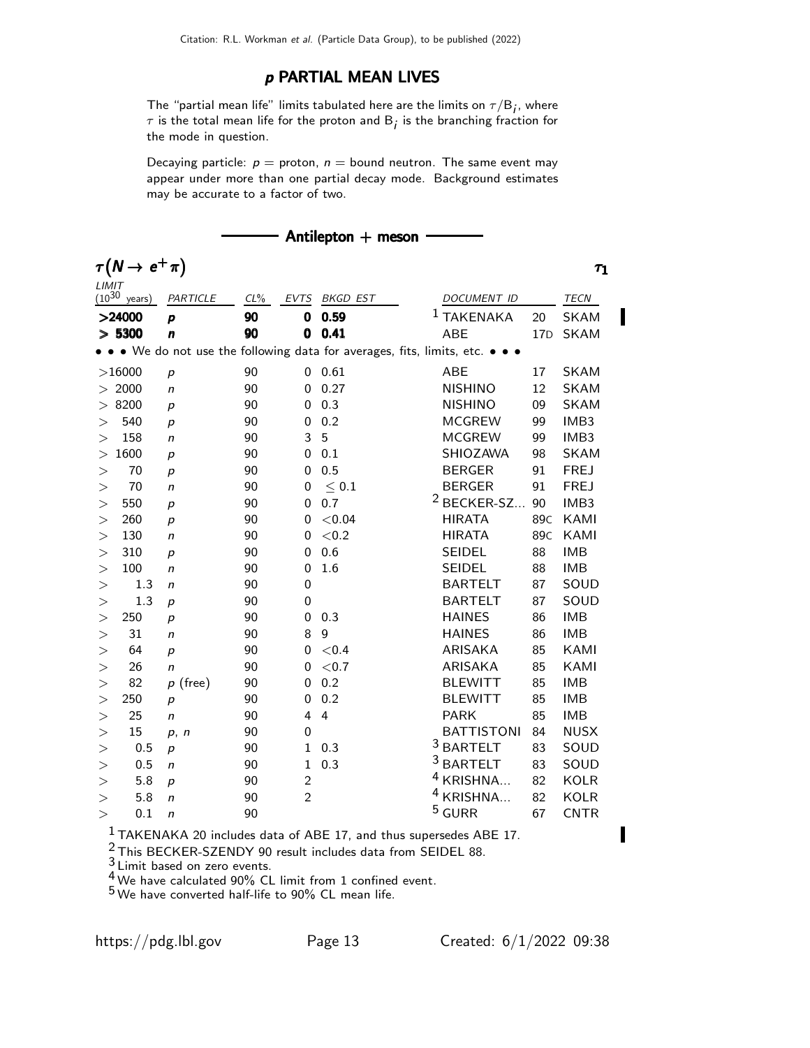#### p PARTIAL MEAN LIVES

The "partial mean life" limits tabulated here are the limits on  $\tau/\mathsf{B}_\mathit{j}$ , where  $\tau$  is the total mean life for the proton and  $\mathsf{B}_j$  is the branching fraction for the mode in question.

Decaying particle:  $p =$  proton,  $n =$  bound neutron. The same event may appear under more than one partial decay mode. Background estimates may be accurate to a factor of two.

|            | Antilepton + meson    |                  |        |                |                 |                                                                       |  |  |  |  |  |  |
|------------|-----------------------|------------------|--------|----------------|-----------------|-----------------------------------------------------------------------|--|--|--|--|--|--|
| LIMIT      | $\tau(N \to e^+ \pi)$ |                  |        |                |                 | $\boldsymbol{\tau_1}$                                                 |  |  |  |  |  |  |
| $(10^{30}$ | years)                | PARTICLE         | $CL\%$ | <b>EVTS</b>    | <b>BKGD EST</b> | DOCUMENT ID<br>TECN                                                   |  |  |  |  |  |  |
|            | >24000                | p                | 90     | 0              | 0.59            | <b>TAKENAKA</b><br><b>SKAM</b><br>20                                  |  |  |  |  |  |  |
|            | > 5300                | n                | 90     | 0              | 0.41            | <b>ABE</b><br>17 <sub>D</sub><br><b>SKAM</b>                          |  |  |  |  |  |  |
|            |                       |                  |        |                |                 | • We do not use the following data for averages, fits, limits, etc. • |  |  |  |  |  |  |
|            | >16000                | $\boldsymbol{p}$ | 90     |                | 0 0.61          | <b>ABE</b><br><b>SKAM</b><br>17                                       |  |  |  |  |  |  |
|            | >2000                 | n                | 90     | 0              | 0.27            | <b>NISHINO</b><br><b>SKAM</b><br>12                                   |  |  |  |  |  |  |
| >          | 8200                  | p                | 90     | 0              | 0.3             | <b>NISHINO</b><br><b>SKAM</b><br>09                                   |  |  |  |  |  |  |
| >          | 540                   | p                | 90     | $\mathbf 0$    | 0.2             | <b>MCGREW</b><br>IMB3<br>99                                           |  |  |  |  |  |  |
| $\rm{>}$   | 158                   | n                | 90     | 3              | 5               | <b>MCGREW</b><br>IMB3<br>99                                           |  |  |  |  |  |  |
| $\rm{>}$   | 1600                  | p                | 90     | $\mathbf 0$    | 0.1             | SHIOZAWA<br><b>SKAM</b><br>98                                         |  |  |  |  |  |  |
| >          | 70                    | $\boldsymbol{p}$ | 90     | $\mathbf 0$    | 0.5             | <b>BERGER</b><br><b>FREJ</b><br>91                                    |  |  |  |  |  |  |
| >          | 70                    | n                | 90     | $\pmb{0}$      | < 0.1           | <b>BERGER</b><br><b>FREJ</b><br>91                                    |  |  |  |  |  |  |
| >          | 550                   | р                | 90     | $\mathbf 0$    | 0.7             | <sup>2</sup> BECKER-SZ<br>90<br>IMB3                                  |  |  |  |  |  |  |
| $\rm{>}$   | 260                   | р                | 90     | $\mathbf 0$    | < 0.04          | <b>HIRATA</b><br>KAMI<br>89 <sub>C</sub>                              |  |  |  |  |  |  |
| >          | 130                   | n                | 90     | $\Omega$       | < 0.2           | <b>HIRATA</b><br>KAMI<br>89 <sub>C</sub>                              |  |  |  |  |  |  |
| >          | 310                   | p                | 90     | $\Omega$       | 0.6             | <b>SEIDEL</b><br><b>IMB</b><br>88                                     |  |  |  |  |  |  |
| >          | 100                   | $\mathsf{n}$     | 90     | $\mathbf 0$    | 1.6             | <b>SEIDEL</b><br><b>IMB</b><br>88                                     |  |  |  |  |  |  |
| >          | 1.3                   | n                | 90     | $\mathbf 0$    |                 | SOUD<br><b>BARTELT</b><br>87                                          |  |  |  |  |  |  |
| >          | 1.3                   | р                | 90     | 0              |                 | SOUD<br><b>BARTELT</b><br>87                                          |  |  |  |  |  |  |
| >          | 250                   | p                | 90     | $\mathbf 0$    | 0.3             | <b>HAINES</b><br><b>IMB</b><br>86                                     |  |  |  |  |  |  |
| >          | 31                    | n                | 90     | 8              | 9               | <b>IMB</b><br><b>HAINES</b><br>86                                     |  |  |  |  |  |  |
| >          | 64                    | р                | 90     | $\mathbf 0$    | < 0.4           | ARISAKA<br>KAMI<br>85                                                 |  |  |  |  |  |  |
| >          | 26                    | $\mathsf{n}$     | 90     | 0              | ${<}0.7$        | ARISAKA<br>KAMI<br>85                                                 |  |  |  |  |  |  |
| >          | 82                    | $p$ (free)       | 90     | 0              | 0.2             | <b>BLEWITT</b><br><b>IMB</b><br>85                                    |  |  |  |  |  |  |
| >          | 250                   | $\boldsymbol{p}$ | 90     | $\mathbf 0$    | 0.2             | <b>BLEWITT</b><br><b>IMB</b><br>85                                    |  |  |  |  |  |  |
| >          | 25                    | n                | 90     | $\overline{4}$ | $\overline{4}$  | <b>PARK</b><br><b>IMB</b><br>85                                       |  |  |  |  |  |  |
| >          | 15                    | p, n             | 90     | $\mathbf 0$    |                 | <b>NUSX</b><br><b>BATTISTONI</b><br>84                                |  |  |  |  |  |  |
| $\,>$      | 0.5                   | p                | 90     | $\mathbf 1$    | 0.3             | <sup>3</sup> BARTELT<br>SOUD<br>83                                    |  |  |  |  |  |  |
| $\,>$      | 0.5                   | n                | 90     | $\mathbf{1}$   | 0.3             | 3<br><b>BARTELT</b><br>SOUD<br>83                                     |  |  |  |  |  |  |
| $\,>$      | 5.8                   | р                | 90     | $\overline{c}$ |                 | KRISHNA<br><b>KOLR</b><br>82                                          |  |  |  |  |  |  |
| >          | 5.8                   | n                | 90     | $\overline{c}$ |                 | <sup>4</sup> KRISHNA.<br>82<br><b>KOLR</b>                            |  |  |  |  |  |  |
| >          | 0.1                   | n                | 90     |                |                 | $5$ GURR<br><b>CNTR</b><br>67                                         |  |  |  |  |  |  |

1 TAKENAKA 20 includes data of ABE 17, and thus supersedes ABE 17.

 $\frac{2}{3}$ This BECKER-SZENDY 90 result includes data from SEIDEL 88.

<sup>3</sup> Limit based on zero events.

 $^{4}_{-}$  We have calculated 90% CL limit from 1 confined event.

 $^5$  We have converted half-life to 90% CL mean life.

Π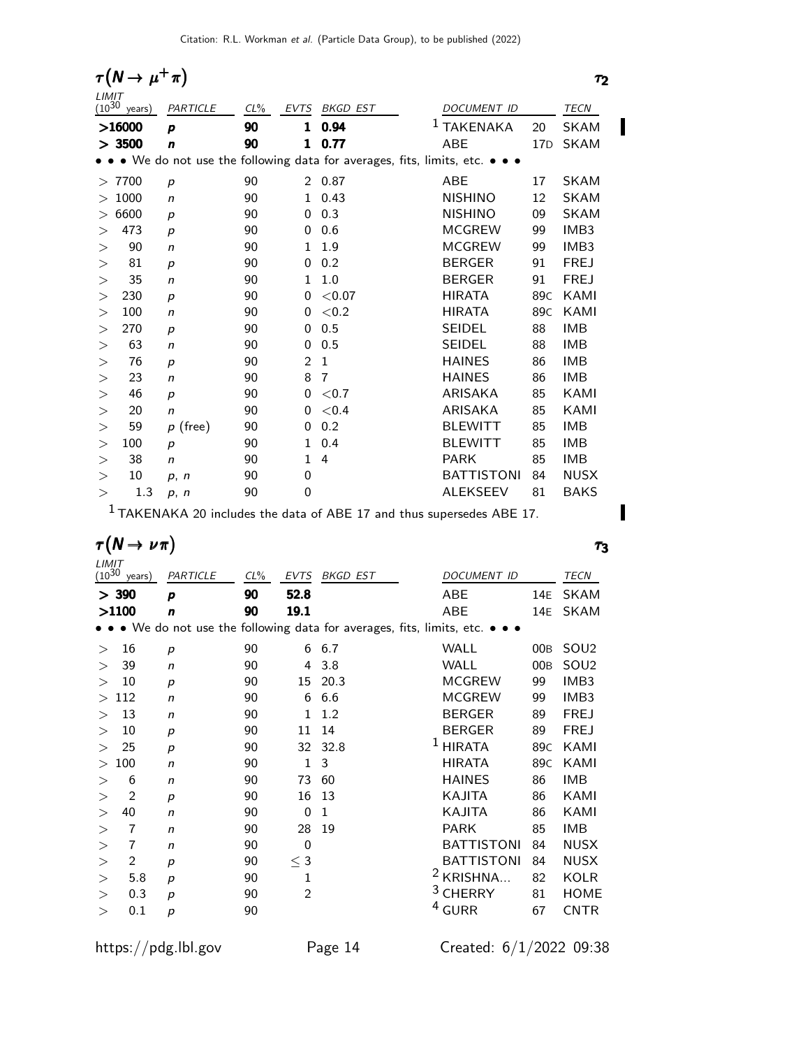|                     | $\tau(N \to \mu^+ \pi)$ |                  |        |                |                 |                                                                       | $\tau_2$         |
|---------------------|-------------------------|------------------|--------|----------------|-----------------|-----------------------------------------------------------------------|------------------|
| LIMIT<br>$(10^{30}$ | years)                  | PARTICLE         | $CL\%$ | <b>EVTS</b>    | <b>BKGD EST</b> | <b>DOCUMENT ID</b>                                                    | <b>TECN</b>      |
|                     | >16000                  | p                | 90     | 1              | 0.94            | <b>TAKFNAKA</b><br>20                                                 | <b>SKAM</b>      |
|                     | > 3500                  | n                | 90     | 1              | 0.77            | ABE<br>17D                                                            | <b>SKAM</b>      |
|                     |                         |                  |        |                |                 | • We do not use the following data for averages, fits, limits, etc. • |                  |
|                     | >7700                   | p                | 90     |                | 2 0.87          | <b>ABE</b><br>17                                                      | <b>SKAM</b>      |
|                     | 1000                    | $\mathsf{n}$     | 90     | $\mathbf{1}$   | 0.43            | <b>NISHINO</b><br>12                                                  | <b>SKAM</b>      |
| $\gt$               | 6600                    | p                | 90     | 0              | 0.3             | <b>NISHINO</b><br>09                                                  | <b>SKAM</b>      |
| >                   | 473                     | p                | 90     | $\Omega$       | 0.6             | <b>MCGREW</b><br>99                                                   | IMB3             |
| $\rm{>}$            | 90                      | n                | 90     | 1              | 1.9             | <b>MCGREW</b><br>99                                                   | IMB <sub>3</sub> |
| $\rm{>}$            | 81                      | p                | 90     | $\Omega$       | 0.2             | <b>BERGER</b><br>91                                                   | <b>FREJ</b>      |
| $\geq$              | 35                      | n                | 90     | $\mathbf{1}$   | 1.0             | <b>BERGER</b><br>91                                                   | <b>FREJ</b>      |
| $\geq$              | 230                     | p                | 90     | $\Omega$       | < 0.07          | <b>HIRATA</b><br>89 <sub>C</sub>                                      | KAMI             |
| $\rm{>}$            | 100                     | $\mathsf{n}$     | 90     | $\Omega$       | < 0.2           | <b>HIRATA</b><br>89 <sub>C</sub>                                      | KAMI             |
| $\rm{>}$            | 270                     | $\boldsymbol{p}$ | 90     | 0              | 0.5             | <b>SEIDEL</b><br>88                                                   | <b>IMB</b>       |
| $\rm{>}$            | 63                      | $\mathsf{n}$     | 90     | $\Omega$       | 0.5             | <b>SEIDEL</b><br>88                                                   | <b>IMB</b>       |
| $\rm{>}$            | 76                      | $\boldsymbol{p}$ | 90     | $\overline{2}$ | $\mathbf{1}$    | <b>HAINES</b><br>86                                                   | <b>IMB</b>       |
| $\rm{>}$            | 23                      | $\mathsf{n}$     | 90     | 8              | $\overline{7}$  | <b>HAINES</b><br>86                                                   | <b>IMB</b>       |
| $\rm{>}$            | 46                      | $\boldsymbol{p}$ | 90     | 0              | ${<}0.7$        | ARISAKA<br>85                                                         | KAMI             |
| $\geq$              | 20                      | $\mathsf{n}$     | 90     | $\Omega$       | ${<}0.4$        | <b>ARISAKA</b><br>85                                                  | KAMI             |
| $\geq$              | 59                      | $p$ (free)       | 90     | 0              | 0.2             | <b>BLEWITT</b><br>85                                                  | <b>IMB</b>       |
| $\geq$              | 100                     | $\boldsymbol{p}$ | 90     | 1              | 0.4             | <b>BLEWITT</b><br>85                                                  | <b>IMB</b>       |
| $\rm{>}$            | 38                      | $\mathsf{n}$     | 90     | $\mathbf{1}$   | 4               | <b>PARK</b><br>85                                                     | <b>IMB</b>       |
| $\rm{>}$            | 10                      | p, n             | 90     | 0              |                 | <b>BATTISTONI</b><br>84                                               | <b>NUSX</b>      |
| $\rm{>}$            | 1.3                     | p, n             | 90     | $\mathbf 0$    |                 | <b>ALEKSEEV</b><br>81                                                 | <b>BAKS</b>      |

1 TAKENAKA 20 includes the data of ABE 17 and thus supersedes ABE 17.

 $\tau(N \to \nu \pi)$   $\tau_3$  $\frac{LIMIT}{(10^{30} \text{ years})}$ PARTICLE CL% EVTS BKGD EST DOCUMENT ID TECN  $> 390$  p 90 52.8 ABE 14E SKAM **>1100 n 90 19.1** ABE 14E SKAM • • • We do not use the following data for averages, fits, limits, etc. • • •  $>$  16  $p$  90 6 6.7 WALL 00B SOU2 > 39 n 90 4 3.8 WALL 00B SOU2  $>$  10 p 90 15 20.3 MCGREW 99 IMB3 > 112 n 90 6 6.6 MCGREW 99 IMB3 > 13 n 90 1 1.2 BERGER 89 FREJ  $>$  10  $p$  90 11 14 BERGER 89 FREJ  $> 25$  p 90 32 32.8 1 HIRATA 89<sup>C</sup> KAMI  $> 100$  n 90 1 3 HIRATA 89C KAMI > 6 n 90 73 60 HAINES 86 IMB > 2 p 90 16 13 KAJITA 86 KAMI > 40 n 90 0 1 KAJITA 86 KAMI > 7 n 90 28 19 PARK 85 IMB > 7 n 90 0 BATTISTONI 84 NUSX  $>$  2 p 90  $\leq$  3 BATTISTONI 84 NUSX  $>$  5.8 p 90  $^{-1}$  2 KRISHNA... 82 KOLR  $\begin{array}{ccccccc} > & 0.3 & p & & 90 & 2 & & 3 \ \ 0.1 & p & & 90 & & 2 & & 4 \ \end{array}$  GURR 67 CNTR  $>$  0.1  $p$  90 4 GURR 67 CNTR

https://pdg.lbl.gov Page 14 Created: 6/1/2022 09:38

τ3

Π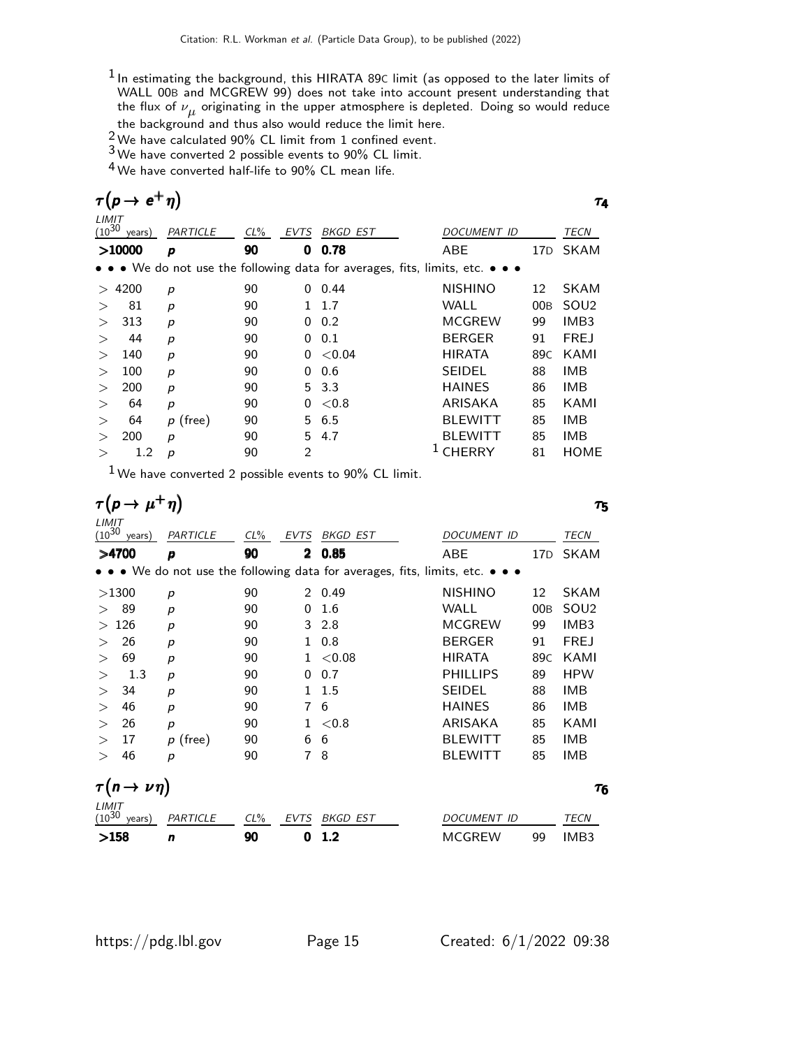- $1$ In estimating the background, this HIRATA 89C limit (as opposed to the later limits of WALL 00B and MCGREW 99) does not take into account present understanding that the flux of  $\nu_{\mu}$  originating in the upper atmosphere is depleted. Doing so would reduce the background and thus also would reduce the limit here.
- $\frac{2}{3}$  We have calculated 90% CL limit from 1 confined event.
- 3 We have converted 2 possible events to 90% CL limit.
- 4 We have converted half-life to 90% CL mean life.

| $\tau(p \rightarrow$<br>ТΔ |                                                                                                                       |            |        |                |                 |  |                    |                 |                  |  |  |  |
|----------------------------|-----------------------------------------------------------------------------------------------------------------------|------------|--------|----------------|-----------------|--|--------------------|-----------------|------------------|--|--|--|
| LIMIT<br>$(10^{30}$        | years)                                                                                                                | PARTICLE   | $CL\%$ | <b>EVTS</b>    | <b>BKGD EST</b> |  | <b>DOCUMENT ID</b> |                 | TECN             |  |  |  |
|                            | >10000                                                                                                                | p          | 90     | 0              | 0.78            |  | ABE                | 17D             | <b>SKAM</b>      |  |  |  |
|                            | $\bullet \bullet \bullet$ We do not use the following data for averages, fits, limits, etc. $\bullet \bullet \bullet$ |            |        |                |                 |  |                    |                 |                  |  |  |  |
| $\geq$                     | 4200                                                                                                                  | p          | 90     | 0              | 0.44            |  | <b>NISHINO</b>     | 12              | <b>SKAM</b>      |  |  |  |
| $\rm{>}$                   | 81                                                                                                                    | p          | 90     |                | 1.7             |  | WALL               | 00 <sub>B</sub> | SOU <sub>2</sub> |  |  |  |
| $\rm{>}$                   | 313                                                                                                                   | p          | 90     | 0              | 0.2             |  | MCGREW             | 99              | IMB3             |  |  |  |
| $\rm{>}$                   | 44                                                                                                                    | p          | 90     | 0              | 0.1             |  | <b>BERGER</b>      | 91              | <b>FREJ</b>      |  |  |  |
|                            | 140                                                                                                                   | p          | 90     | 0              | < 0.04          |  | HIRATA             | 89C             | KAMI             |  |  |  |
| $\rm{>}$                   | 100                                                                                                                   | p          | 90     | 0              | 0.6             |  | <b>SEIDEL</b>      | 88              | IMB              |  |  |  |
| $\rm{>}$                   | 200                                                                                                                   | p          | 90     | 5.             | 3.3             |  | <b>HAINES</b>      | 86              | IMB              |  |  |  |
| $\rm{>}$                   | 64                                                                                                                    | p          | 90     | 0              | < 0.8           |  | ARISAKA            | 85              | KAMI             |  |  |  |
| $\rm{>}$                   | 64                                                                                                                    | $p$ (free) | 90     | 5.             | 6.5             |  | <b>BLEWITT</b>     | 85              | IMB              |  |  |  |
| $\rm{>}$                   | 200                                                                                                                   | p          | 90     | 5.             | 4.7             |  | BLEWITT            | 85              | IMB              |  |  |  |
|                            | 1.2                                                                                                                   | р          | 90     | $\overline{2}$ |                 |  | <b>CHERRY</b>      | 81              | <b>HOME</b>      |  |  |  |
|                            |                                                                                                                       |            |        |                |                 |  |                    |                 |                  |  |  |  |

|                     |        |                  |        |               |                 |                                                                           |                 | $\tau_{5}$       |
|---------------------|--------|------------------|--------|---------------|-----------------|---------------------------------------------------------------------------|-----------------|------------------|
| LIMIT<br>$(10^{30}$ | years) | PARTICLE         | $CL\%$ | EVTS          | <b>BKGD EST</b> | <b>DOCUMENT ID</b>                                                        |                 | <b>TECN</b>      |
|                     | >4700  | p                | 90     | $\mathbf 2$   | 0.85            | ABE                                                                       | 17D             | <b>SKAM</b>      |
|                     |        |                  |        |               |                 | • We do not use the following data for averages, fits, limits, etc. • • • |                 |                  |
|                     | >1300  | $\boldsymbol{p}$ | 90     | $\mathcal{P}$ | 0.49            | <b>NISHINO</b>                                                            | 12              | <b>SKAM</b>      |
|                     | 89     | $\boldsymbol{p}$ | 90     | 0             | 1.6             | WALL                                                                      | 00 <sub>B</sub> | SOU <sub>2</sub> |
| $\gt$               | 126    | $\boldsymbol{p}$ | 90     | 3             | 2.8             | <b>MCGREW</b>                                                             | 99              | IMB <sub>3</sub> |
| ゝ                   | 26     | $\boldsymbol{p}$ | 90     | 1             | 0.8             | <b>BERGER</b>                                                             | 91              | <b>FREJ</b>      |
|                     | 69     | $\boldsymbol{p}$ | 90     | 1             | < 0.08          | <b>HIRATA</b>                                                             | 89 <sub>C</sub> | KAMI             |
| $\rm{>}$            | 1.3    | $\boldsymbol{p}$ | 90     | 0             | 0.7             | <b>PHILLIPS</b>                                                           | 89              | <b>HPW</b>       |
| $\rm{>}$            | 34     | p                | 90     | 1             | 1.5             | <b>SEIDEL</b>                                                             | 88              | <b>IMB</b>       |
| $\rm{>}$            | 46     | $\boldsymbol{p}$ | 90     | 7             | 6               | <b>HAINES</b>                                                             | 86              | <b>IMB</b>       |
|                     | 26     | $\boldsymbol{p}$ | 90     | 1             | ${<}0.8$        | ARISAKA                                                                   | 85              | KAMI             |
| $\rm{>}$            | 17     | $p$ (free)       | 90     | 6             | 6               | <b>BLEWITT</b>                                                            | 85              | <b>IMB</b>       |
|                     | 46     | $\boldsymbol{p}$ | 90     | 7             | 8               | <b>BLEWITT</b>                                                            | 85              | <b>IMB</b>       |
| $\tau(n)$           |        |                  |        |               |                 |                                                                           |                 | Τ6               |
| LIMIT<br>$(10^{30}$ | years) | PARTICLE         | $CL\%$ | EVTS          | <b>BKGD EST</b> | <b>DOCUMENT ID</b>                                                        |                 | <b>TECN</b>      |
|                     | >158   | n                | 90     | 0             | 1.2             | <b>MCGREW</b>                                                             | 99              | IMB <sub>3</sub> |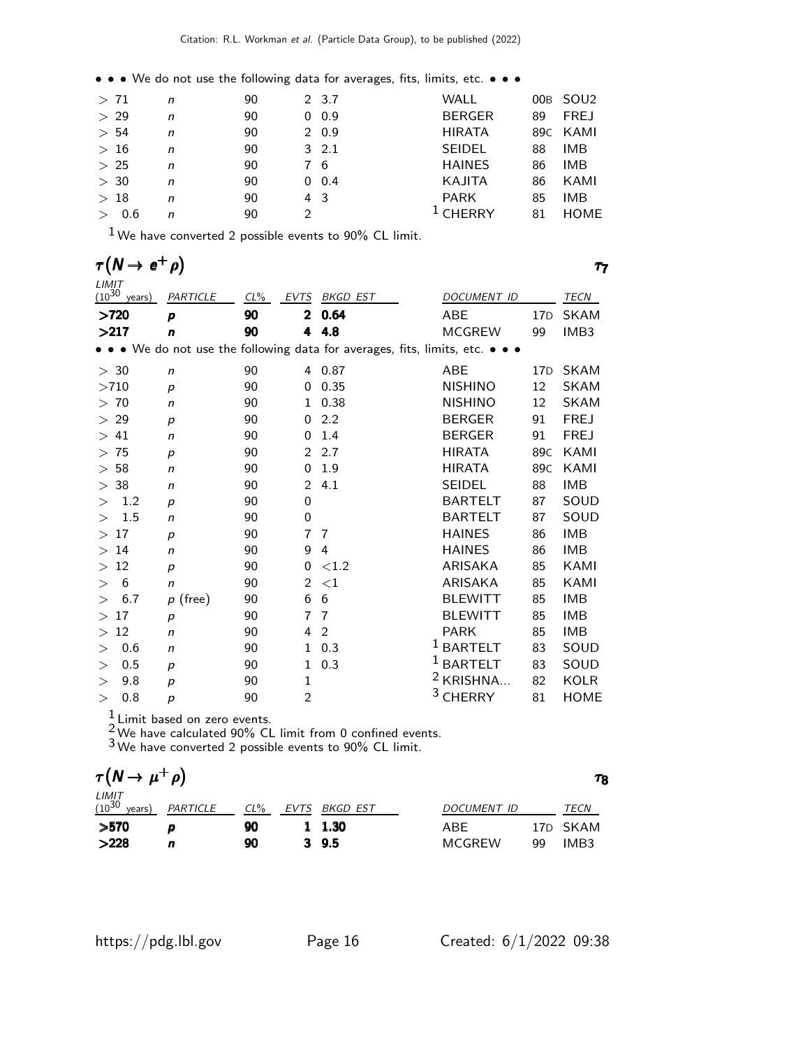| > 71  | n | 90 |   | 2 3.7        | WALL          |    | 00B SOU2    |
|-------|---|----|---|--------------|---------------|----|-------------|
| >29   | n | 90 |   | 0.0.9        | <b>BERGER</b> | 89 | <b>FREJ</b> |
| > 54  | n | 90 |   | 20.9         | <b>HIRATA</b> |    | 89C KAMI    |
| >16   | n | 90 |   | 32.1         | <b>SEIDEL</b> | 88 | IMB         |
| >25   | n | 90 |   | 76           | <b>HAINES</b> | 86 | IMB         |
| > 30  | n | 90 |   | $0\quad 0.4$ | KAJITA        | 86 | KAMI        |
| >18   | n | 90 |   | 4 3          | <b>PARK</b>   | 85 | IMB         |
| > 0.6 | n | 90 | 2 |              | CHERRY        | 81 | <b>HOME</b> |

1 We have converted 2 possible events to 90% CL limit.

| $\tau(N \to e^+ \rho)$        |                  |        |                |                 |                                                                               | Τ7          |
|-------------------------------|------------------|--------|----------------|-----------------|-------------------------------------------------------------------------------|-------------|
| LIMIT<br>$(10^{30}$<br>years) | PARTICLE         | $CL\%$ | <b>EVTS</b>    | <b>BKGD EST</b> | <b>DOCUMENT ID</b>                                                            | <b>TECN</b> |
| >720                          | p                | 90     | $\mathbf{2}$   | 0.64            | <b>ABE</b><br>17D                                                             | <b>SKAM</b> |
| >217                          | n                | 90     | 4              | 4.8             | <b>MCGREW</b><br>99                                                           | IMB3        |
|                               |                  |        |                |                 | • • • We do not use the following data for averages, fits, limits, etc. • • • |             |
| >30                           | $\mathsf{n}$     | 90     | 4              | 0.87            | <b>ABE</b><br>17D                                                             | <b>SKAM</b> |
| >710                          | $\boldsymbol{p}$ | 90     | $\Omega$       | 0.35            | <b>NISHINO</b><br>12                                                          | <b>SKAM</b> |
| 70<br>$\geq$                  | $\mathsf{n}$     | 90     | $\mathbf 1$    | 0.38            | <b>NISHINO</b><br>12                                                          | <b>SKAM</b> |
| 29<br>$\geq$                  | $\boldsymbol{p}$ | 90     | $\Omega$       | 2.2             | <b>BERGER</b><br>91                                                           | <b>FREJ</b> |
| 41<br>$\geq$                  | n                | 90     | $\Omega$       | 1.4             | <b>BERGER</b><br>91                                                           | <b>FREJ</b> |
| 75<br>$\gt$                   | $\boldsymbol{p}$ | 90     | 2              | 2.7             | <b>HIRATA</b><br>89 <sub>C</sub>                                              | KAMI        |
| > 58                          | n                | 90     | $\Omega$       | 1.9             | <b>HIRATA</b><br>89 <sub>C</sub>                                              | KAMI        |
| 38<br>$\rm{>}$                | $\mathsf{n}$     | 90     | 2              | 4.1             | <b>SEIDEL</b><br>88                                                           | <b>IMB</b>  |
| 1.2<br>$\rm{>}$               | р                | 90     | $\mathbf 0$    |                 | <b>BARTELT</b><br>87                                                          | SOUD        |
| 1.5<br>$\mathbf{L}$           | n                | 90     | 0              |                 | <b>BARTELT</b><br>87                                                          | SOUD        |
| 17<br>$\rm{>}$                | $\boldsymbol{p}$ | 90     | 7              | 7               | <b>HAINES</b><br>86                                                           | <b>IMB</b>  |
| 14<br>$\rm{>}$                | n                | 90     | 9              | 4               | <b>HAINES</b><br>86                                                           | <b>IMB</b>  |
| 12<br>$\gt$                   | p                | 90     | 0              | ${<}1.2$        | ARISAKA<br>85                                                                 | KAMI        |
| 6<br>>                        | $\mathsf{n}$     | 90     | $\overline{2}$ | ${<}1$          | <b>ARISAKA</b><br>85                                                          | KAMI        |
| 6.7<br>$\rm{>}$               | $p$ (free)       | 90     | 6              | 6               | <b>BLEWITT</b><br>85                                                          | <b>IMB</b>  |
| 17<br>$\mathcal{P}$           | p                | 90     | $\overline{7}$ | $\overline{7}$  | <b>BLEWITT</b><br>85                                                          | <b>IMB</b>  |
| 12<br>$\gt$                   | n                | 90     | 4              | $\overline{2}$  | <b>PARK</b><br>85                                                             | <b>IMB</b>  |
| 0.6<br>$\rm{>}$               | $\mathsf{n}$     | 90     | $\mathbf{1}$   | 0.3             | $1$ BARTELT<br>83                                                             | SOUD        |
| 0.5<br>$\rm{>}$               | $\boldsymbol{p}$ | 90     | $\mathbf{1}$   | 0.3             | <sup>1</sup> BARTELT<br>83                                                    | SOUD        |
| 9.8<br>$\rm{>}$               | $\boldsymbol{p}$ | 90     | $\mathbf{1}$   |                 | 2<br><b>KRISHNA</b><br>82                                                     | <b>KOLR</b> |
| 0.8<br>$\geq$                 | p                | 90     | $\overline{2}$ |                 | 3<br><b>CHERRY</b><br>81                                                      | <b>HOME</b> |

 $\frac{1}{2}$  Limit based on zero events.

 $2$  We have calculated 90% CL limit from 0 confined events.

| $\tau(N \to \mu^+ \rho)$      |          |        |  |               |               |    |          |  |  |
|-------------------------------|----------|--------|--|---------------|---------------|----|----------|--|--|
| LIMIT<br>$(10^{30}$<br>vears) | PARTICLE | $CL\%$ |  | EVTS BKGD EST | DOCUMENT ID   |    | TECN     |  |  |
| >570                          | D        | 90     |  | 1 1.30        | ABE           |    | 17D SKAM |  |  |
| >228                          | n        | 90     |  | $3\;\;9.5$    | <b>MCGREW</b> | qq | IMB3     |  |  |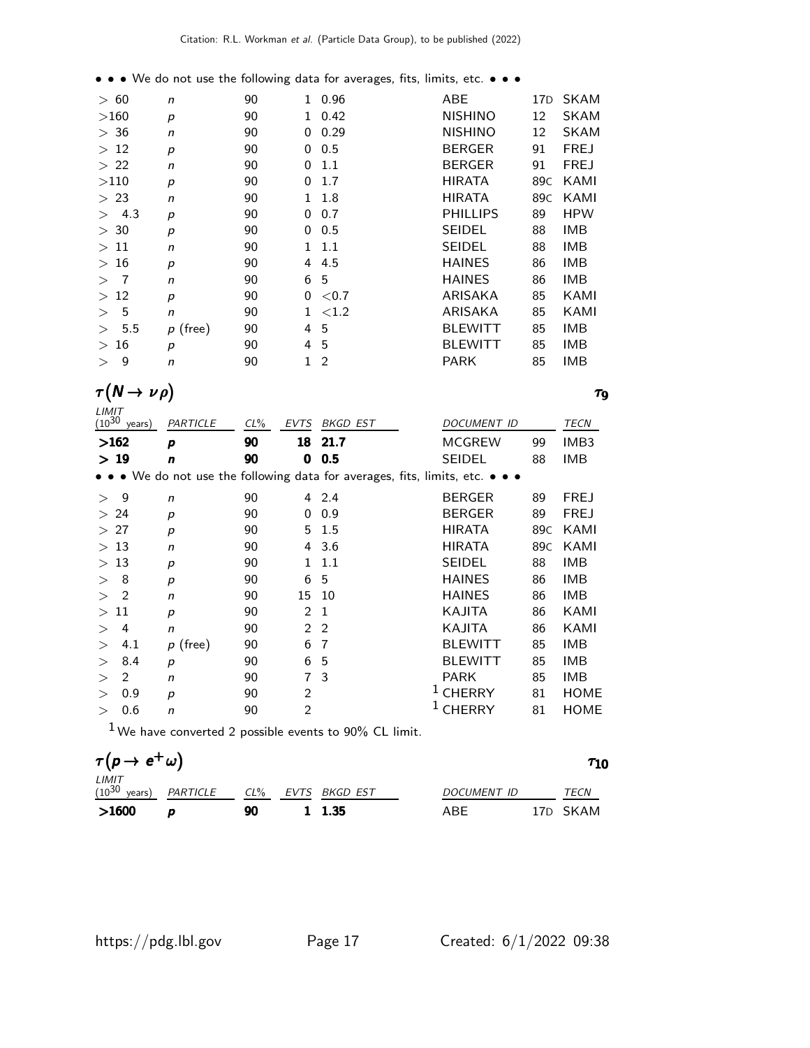| > 60          | n                | 90 | 1. | 0.96           | ABE             | 17D             | SKAM        |
|---------------|------------------|----|----|----------------|-----------------|-----------------|-------------|
|               |                  |    |    |                |                 |                 |             |
| >160          | $\boldsymbol{p}$ | 90 | 1  | 0.42           | <b>NISHINO</b>  | 12              | <b>SKAM</b> |
| > 36          | n                | 90 | 0  | 0.29           | <b>NISHINO</b>  | 12              | <b>SKAM</b> |
| >12           | p                | 90 | 0  | 0.5            | <b>BERGER</b>   | 91              | <b>FREJ</b> |
| > 22          | n                | 90 | 0  | 1.1            | <b>BERGER</b>   | 91              | <b>FREJ</b> |
| >110          | $\boldsymbol{p}$ | 90 | 0  | 1.7            | HIRATA          | 89 <sub>C</sub> | KAMI        |
| >23           | n                | 90 | 1. | 1.8            | HIRATA          | 89C             | KAMI        |
| 4.3<br>$\geq$ | p                | 90 | 0  | 0.7            | <b>PHILLIPS</b> | 89              | <b>HPW</b>  |
| > 30          | $\boldsymbol{p}$ | 90 | 0  | 0.5            | <b>SEIDEL</b>   | 88              | <b>IMB</b>  |
| >11           | n                | 90 | 1. | 1.1            | <b>SEIDEL</b>   | 88              | IMB         |
| >16           | $\boldsymbol{p}$ | 90 | 4  | 4.5            | <b>HAINES</b>   | 86              | IMB         |
| -7<br>$\geq$  | $\mathsf{n}$     | 90 | 6  | 5              | <b>HAINES</b>   | 86              | IMB         |
| >12           | p                | 90 | 0  | ${<}0.7$       | ARISAKA         | 85              | KAMI        |
| 5<br>>        | n                | 90 | 1  | ${<}1.2$       | ARISAKA         | 85              | KAMI        |
| 5.5<br>>      | $p$ (free)       | 90 | 4  | 5              | <b>BLEWITT</b>  | 85              | IMB         |
| 16<br>$\geq$  | $\boldsymbol{p}$ | 90 | 4  | 5              | <b>BLEWITT</b>  | 85              | <b>IMB</b>  |
| 9<br>>        | n                | 90 |    | $\overline{2}$ | PARK            | 85              | IMB         |

 $\tau(N \to \nu \rho)$   $\tau_9$ 

 $\tau_9$ 

| LIMIT      |        |                  |        |               |                                                                             |                    |                 |                  |
|------------|--------|------------------|--------|---------------|-----------------------------------------------------------------------------|--------------------|-----------------|------------------|
| $(10^{30}$ | years) | PARTICLE         | $CL\%$ | <b>EVTS</b>   | <b>BKGD EST</b>                                                             | <b>DOCUMENT ID</b> |                 | <b>TECN</b>      |
|            | >162   | p                | 90     | 18            | 21.7                                                                        | <b>MCGREW</b>      | 99              | IMB <sub>3</sub> |
|            | >19    | n                | 90     | 0             | 0.5                                                                         | <b>SEIDEL</b>      | 88              | <b>IMB</b>       |
|            |        |                  |        |               | • • We do not use the following data for averages, fits, limits, etc. • • • |                    |                 |                  |
|            | 9      | n                | 90     | 4             | 2.4                                                                         | <b>BERGER</b>      | 89              | <b>FREJ</b>      |
| $\geq$     | 24     | р                | 90     | 0             | 0.9                                                                         | <b>BERGER</b>      | 89              | <b>FREJ</b>      |
|            | 27     | $\boldsymbol{p}$ | 90     | 5.            | 1.5                                                                         | <b>HIRATA</b>      | 89 <sub>C</sub> | KAMI             |
|            | 13     | n                | 90     | 4             | 3.6                                                                         | <b>HIRATA</b>      | 89 <sub>C</sub> | KAMI             |
| $\rm{>}$   | 13     | р                | 90     | 1.            | 1.1                                                                         | <b>SEIDEL</b>      | 88              | IMB              |
|            | 8      | р                | 90     | 6             | 5                                                                           | <b>HAINES</b>      | 86              | IMB              |
|            | 2      | n                | 90     | 15            | 10                                                                          | <b>HAINES</b>      | 86              | IMB              |
|            | 11     | р                | 90     | $\mathcal{P}$ | $\mathbf{1}$                                                                | KAJITA             | 86              | KAMI             |
|            | 4      | $\mathsf{n}$     | 90     | $\mathcal{P}$ | 2                                                                           | KAJITA             | 86              | KAMI             |
| $\rm{>}$   | 4.1    | $p$ (free)       | 90     | 6             | 7                                                                           | <b>BLEWITT</b>     | 85              | <b>IMB</b>       |
| $\geq$     | 8.4    | р                | 90     | 6             | 5                                                                           | <b>BLEWITT</b>     | 85              | IMB              |
| $\rm{>}$   | 2      | n                | 90     | 7             | 3                                                                           | <b>PARK</b>        | 85              | <b>IMB</b>       |
|            | 0.9    | р                | 90     | 2             |                                                                             | <b>CHERRY</b>      | 81              | <b>HOME</b>      |
|            | 0.6    | n                | 90     | 2             |                                                                             | CHERRY             | 81              | HOME             |
|            |        |                  |        |               |                                                                             |                    |                 |                  |

| $\tau(p \to e^+ \omega)$ |                                   |    |  |        |             |  |          |  |  |
|--------------------------|-----------------------------------|----|--|--------|-------------|--|----------|--|--|
| $LIMIT$<br>$(10^{30}$    | years) PARTICLE CL% EVTS BKGD EST |    |  |        | DOCUMENT ID |  | TECN     |  |  |
| >1600                    |                                   | 90 |  | 1 1.35 | ABF         |  | 17D SKAM |  |  |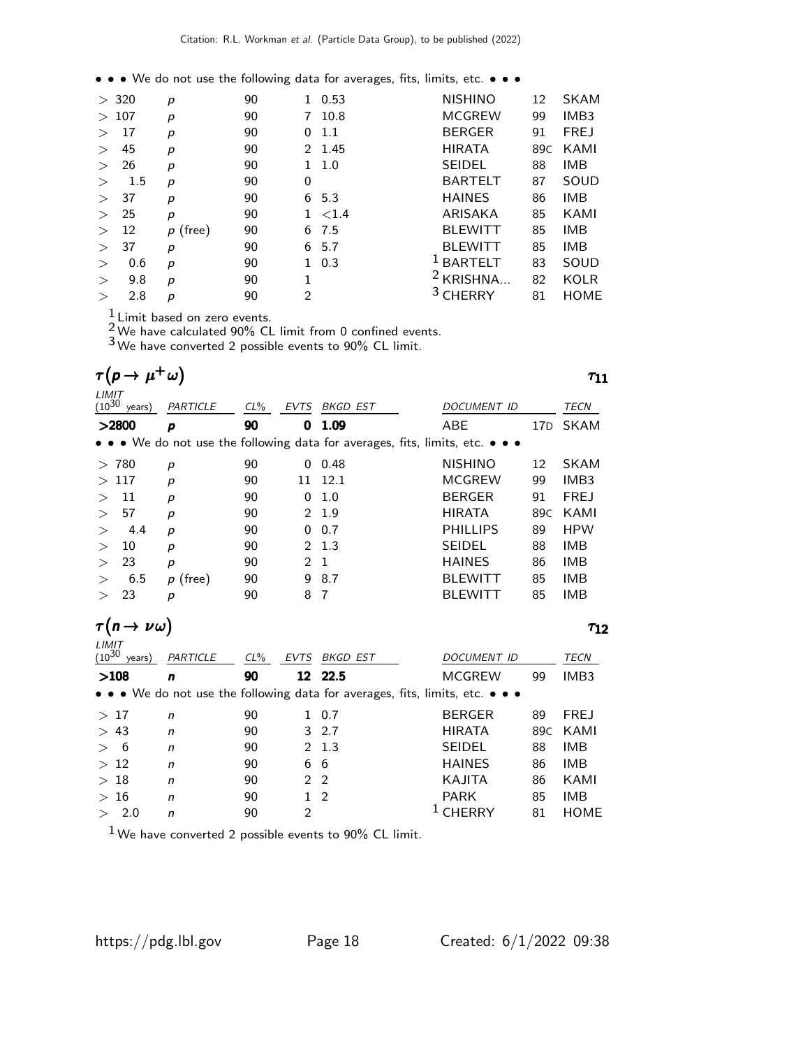|        | > 320 | p                | 90 |                | 0.53     | <b>NISHINO</b> | 12  | <b>SKAM</b>      |
|--------|-------|------------------|----|----------------|----------|----------------|-----|------------------|
| $\geq$ | 107   | p                | 90 |                | 10.8     | MCGREW         | 99  | IMB <sub>3</sub> |
| $\geq$ | 17    | p                | 90 | 0              | 1.1      | <b>BERGER</b>  | 91  | <b>FREJ</b>      |
| $\geq$ | 45    | p                | 90 | $\mathcal{P}$  | 1.45     | <b>HIRATA</b>  | 89C | KAMI             |
| $\geq$ | 26    | р                | 90 | 1.             | 1.0      | <b>SEIDEL</b>  | 88  | <b>IMB</b>       |
| $\geq$ | 1.5   | р                | 90 | 0              |          | <b>BARTELT</b> | 87  | SOUD             |
| $\geq$ | 37    | p                | 90 | 6              | 5.3      | <b>HAINES</b>  | 86  | <b>IMB</b>       |
| $\geq$ | 25    | $\boldsymbol{p}$ | 90 |                | ${<}1.4$ | ARISAKA        | 85  | KAMI             |
| $\geq$ | 12    | $p$ (free)       | 90 | 6              | 7.5      | <b>BLEWITT</b> | 85  | <b>IMB</b>       |
| $\geq$ | 37    | p                | 90 | 6              | 5.7      | <b>BLEWITT</b> | 85  | <b>IMB</b>       |
| >      | 0.6   | p                | 90 | 1.             | 0.3      | <b>BARTELT</b> | 83  | SOUD             |
| $\geq$ | 9.8   | p                | 90 | 1              |          | $2$ KRISHNA    | 82  | <b>KOLR</b>      |
| >      | 2.8   | р                | 90 | $\overline{2}$ |          | :HFRRY         | 81  | <b>HOME</b>      |
|        |       |                  |    |                |          |                |     |                  |

 $\frac{1}{2}$  Limit based on zero events.

 $\frac{2}{3}$  We have calculated 90% CL limit from 0 confined events.

3 We have converted 2 possible events to 90% CL limit.

| LIMIT<br>$(10^{30}$ | years) | PARTICLE         | $CL\%$ | EVTS          | <b>BKGD EST</b> | DOCUMENT ID                                                                   |     | TECN             |
|---------------------|--------|------------------|--------|---------------|-----------------|-------------------------------------------------------------------------------|-----|------------------|
|                     | >2800  | p                | 90     | 0             | 1.09            | ABE                                                                           | 17D | <b>SKAM</b>      |
|                     |        |                  |        |               |                 | • • • We do not use the following data for averages, fits, limits, etc. • • • |     |                  |
|                     | >780   | $\boldsymbol{p}$ | 90     | 0             | 0.48            | <b>NISHINO</b>                                                                | 12  | <b>SKAM</b>      |
|                     | >117   | p                | 90     |               | 11 12.1         | MCGREW                                                                        | 99  | IMB <sub>3</sub> |
| $\rm{>}$            | 11     | p                | 90     | 0             | 1.0             | <b>BERGER</b>                                                                 | 91  | <b>FREJ</b>      |
| $\rm{>}$            | 57     | р                | 90     |               | 2, 1.9          | <b>HIRATA</b>                                                                 | 89C | KAMI             |
| $\rm{>}$            | 4.4    | р                | 90     | 0             | 0.7             | <b>PHILLIPS</b>                                                               | 89  | <b>HPW</b>       |
| $\rm{>}$            | 10     | p                | 90     |               | $2 \t1.3$       | <b>SEIDEL</b>                                                                 | 88  | <b>IMB</b>       |
| $\gt$               | 23     | р                | 90     | $\mathcal{P}$ | 1               | <b>HAINES</b>                                                                 | 86  | <b>IMB</b>       |
|                     | 6.5    | $p$ (free)       | 90     | 9             | 8.7             | <b>BLEWITT</b>                                                                | 85  | <b>IMB</b>       |
|                     | 23     | р                | 90     | 8             | -7              | <b>BLEWITT</b>                                                                | 85  | <b>IMB</b>       |
|                     |        |                  |        |               |                 |                                                                               |     |                  |

| LIMIT<br>$(10^{30}$ | years) | PARTICLE     | $CL\%$ | <b>EVTS</b>    | BKGD EST                                                                                                              | DOCUMENT ID   |     | TECN        |
|---------------------|--------|--------------|--------|----------------|-----------------------------------------------------------------------------------------------------------------------|---------------|-----|-------------|
|                     | >108   | n            | 90     |                | 12 22.5                                                                                                               | <b>MCGREW</b> | 99  | IMB3        |
|                     |        |              |        |                | $\bullet \bullet \bullet$ We do not use the following data for averages, fits, limits, etc. $\bullet \bullet \bullet$ |               |     |             |
|                     | >17    | n            | 90     |                | $1 \t0.7$                                                                                                             | <b>BERGER</b> | 89  | <b>FREJ</b> |
|                     | > 43   | $\mathsf{n}$ | 90     |                | $3\;\;2.7$                                                                                                            | <b>HIRATA</b> | 89C | KAMI        |
| $\geq$              | - 6    | n            | 90     |                | 2 1.3                                                                                                                 | <b>SEIDEL</b> | 88  | IMB         |
|                     | >12    | n            | 90     | 66             |                                                                                                                       | <b>HAINES</b> | 86  | IMB         |
|                     | >18    | $\mathsf{n}$ | 90     | 2 <sub>2</sub> |                                                                                                                       | KAJITA        | 86  | KAMI        |
| $\geq$              | 16     | n            | 90     | 12             |                                                                                                                       | <b>PARK</b>   | 85  | IMB         |
|                     | 2.0    | n            | 90     | $\mathfrak{D}$ |                                                                                                                       |               | 81  | <b>HOME</b> |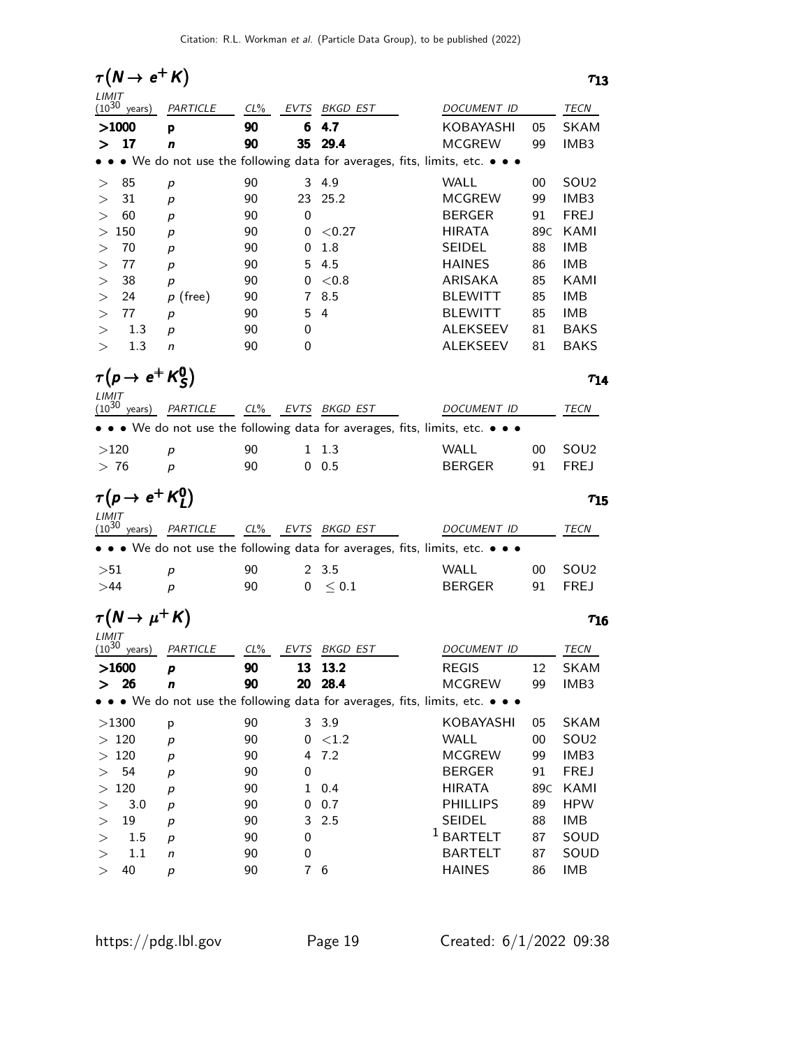| $\tau(N \to e^+ K)$                     |                  |          |              |                                                                             |                 |     | $\tau_{13}$      |
|-----------------------------------------|------------------|----------|--------------|-----------------------------------------------------------------------------|-----------------|-----|------------------|
| LIMIT<br>$(10^{30}$<br>years)           | PARTICLE         | $CL\%$   | <b>EVTS</b>  | BKGD EST                                                                    | DOCUMENT ID     |     | TECN             |
| >1000                                   | p                | 90       | 6            | 4.7                                                                         | KOBAYASHI       | 05  | <b>SKAM</b>      |
| 17<br>⋗                                 | n                | 90       | 35           | 29.4                                                                        | <b>MCGREW</b>   | 99  | IMB3             |
|                                         |                  |          |              | • We do not use the following data for averages, fits, limits, etc. • • •   |                 |     |                  |
| 85<br>>                                 | p                | 90       | 3            | 4.9                                                                         | WALL            | 00  | SOU <sub>2</sub> |
| 31<br>$\,>\,$                           | p                | 90       | 23           | 25.2                                                                        | <b>MCGREW</b>   | 99  | IMB3             |
| 60<br>$\rm{>}$                          | p                | 90       | 0            |                                                                             | <b>BERGER</b>   | 91  | <b>FREJ</b>      |
| 150<br>>                                | p                | 90       | 0            | < 0.27                                                                      | <b>HIRATA</b>   | 89C | KAMI             |
| 70<br>>                                 | p                | 90       | 0            | 1.8                                                                         | <b>SEIDEL</b>   | 88  | IMB              |
| 77<br>>                                 | p                | 90       | 5            | 4.5                                                                         | <b>HAINES</b>   | 86  | <b>IMB</b>       |
| 38<br>>                                 | p                | 90       | 0            | $<$ 0.8                                                                     | ARISAKA         | 85  | KAMI             |
| 24<br>>                                 | $p$ (free)       | 90       | 7            | 8.5                                                                         | <b>BLEWITT</b>  | 85  | <b>IMB</b>       |
| 77<br>>                                 | p                | 90       | 5            | 4                                                                           | <b>BLEWITT</b>  | 85  | IMB              |
| 1.3<br>>                                | р                | 90       | 0            |                                                                             | ALEKSEEV        | 81  | BAKS             |
| 1.3<br>$\rm{>}$                         | n                | 90       | 0            |                                                                             | ALEKSEEV        | 81  | BAKS             |
| $\tau(p \to e^+ K^0_S)$                 |                  |          |              |                                                                             |                 |     | $\tau_{14}$      |
| $\frac{LIMIT}{(10^{30} \text{ years})}$ | PARTICLE         | CL% EVTS |              | BKGD EST                                                                    | DOCUMENT ID     |     | TECN             |
|                                         |                  |          |              | • • We do not use the following data for averages, fits, limits, etc. •     |                 |     |                  |
| >120                                    | p                | 90       | 1            | 1.3                                                                         | WALL            | 00  | SOU <sub>2</sub> |
| >76                                     | p                | 90       |              | 0.5                                                                         | <b>BERGER</b>   | 91  | <b>FREJ</b>      |
| $\tau(p \to e^+ K_l^0)$                 |                  |          |              |                                                                             |                 |     | $\tau_{15}$      |
| LIMIT<br>$(10^{30}$ years)              |                  |          |              |                                                                             |                 |     |                  |
|                                         | PARTICLE         | $CL\%$   | EVTS         | BKGD EST                                                                    | DOCUMENT ID     |     | TECN             |
|                                         |                  |          |              | • • We do not use the following data for averages, fits, limits, etc. • • • |                 |     |                  |
| >51                                     | р                | 90       | 2            | 3.5                                                                         | WALL            | 00  | SOU <sub>2</sub> |
| >44                                     | p                | 90       |              | $0 \leq 0.1$                                                                | <b>BERGER</b>   | 91  | <b>FREJ</b>      |
| $\tau(N \to \mu^+ K)$                   |                  |          |              |                                                                             |                 |     | $\tau_{16}$      |
| LIMIT<br>$(10^{30}$<br>years)           | PARTICLE         |          |              | CL% EVTS BKGD EST                                                           | DOCUMENT ID     |     | TECN             |
| >1600                                   | p                | 90       |              | 13 13.2                                                                     | <b>REGIS</b>    | 12  | <b>SKAM</b>      |
| 26<br>➤                                 | n                | 90       |              | 20 28.4                                                                     | <b>MCGREW</b>   | 99  | IMB3             |
|                                         |                  |          |              | • We do not use the following data for averages, fits, limits, etc. • • •   |                 |     |                  |
| >1300                                   | p                | 90       |              | 3 3.9                                                                       | KOBAYASHI       | 05  | <b>SKAM</b>      |
| $>120$                                  | $\boldsymbol{p}$ | 90       |              | 0 < 1.2                                                                     | <b>WALL</b>     | 00  | SOU <sub>2</sub> |
| >120                                    | p                | 90       | 4            | 7.2                                                                         | <b>MCGREW</b>   | 99  | IMB3             |
| 54<br>>                                 | $\boldsymbol{p}$ | 90       | 0            |                                                                             | <b>BERGER</b>   | 91  | <b>FREJ</b>      |
| 120<br>>                                | р                | 90       | $\mathbf{1}$ | 0.4                                                                         | <b>HIRATA</b>   | 89C | KAMI             |
| 3.0<br>>                                | p                | 90       | 0            | 0.7                                                                         | <b>PHILLIPS</b> | 89  | <b>HPW</b>       |
| 19<br>>                                 | p                | 90       | 3            | 2.5                                                                         | <b>SEIDEL</b>   | 88  | IMB              |
| 1.5<br>$\,>$                            | p                | 90       | $\pmb{0}$    |                                                                             | $1$ BARTELT     | 87  | SOUD             |
| 1.1<br>>                                | n                | 90       | 0            |                                                                             | <b>BARTELT</b>  | 87  | SOUD             |
| 40<br>$\geq$                            | р                | 90       | 7            | 6                                                                           | <b>HAINES</b>   | 86  | IMB              |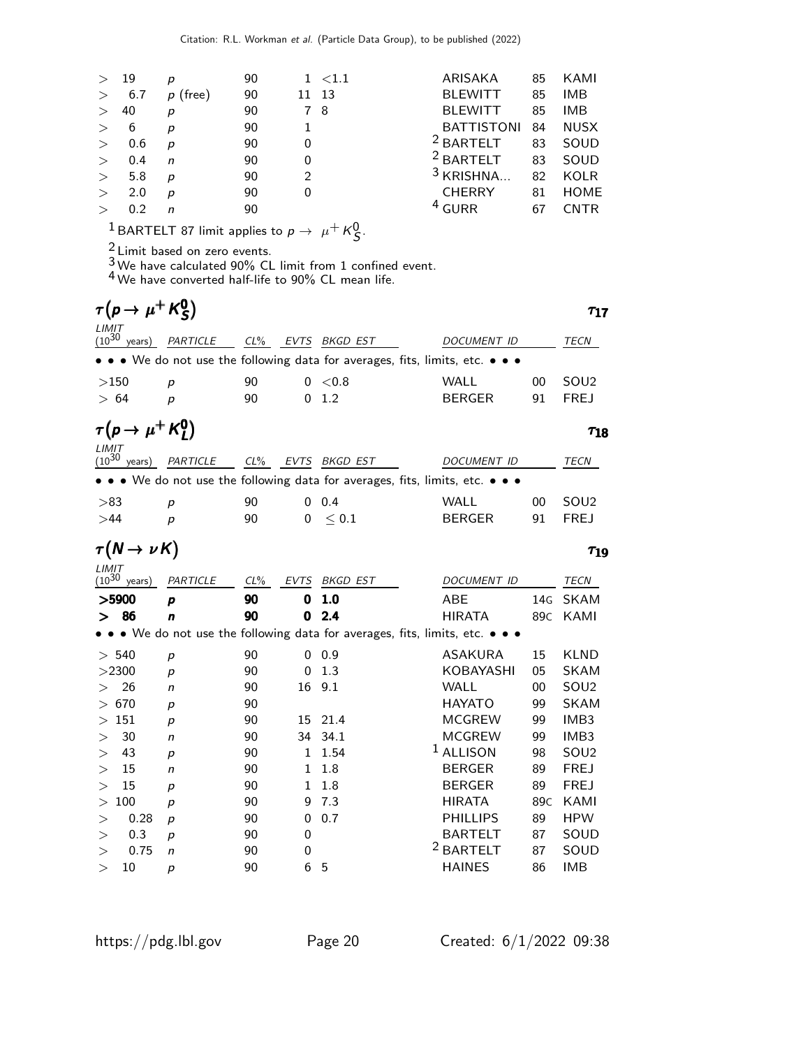| $\geq$ | 19  | р      | 90 |               | $1 \le 1.1$ | ARISAKA<br>KAMI<br>85                  |
|--------|-----|--------|----|---------------|-------------|----------------------------------------|
| >      | 6.7 | (free) | 90 | 11 13         |             | <b>IMB</b><br><b>BLEWITT</b><br>85     |
| $\geq$ | 40  | р      | 90 | 78            |             | <b>BLEWITT</b><br><b>IMB</b><br>85     |
| $\geq$ | 6   | р      | 90 |               |             | <b>BATTISTONI</b><br><b>NUSX</b><br>84 |
| $\geq$ | 0.6 | p      | 90 | 0             |             | <sup>2</sup> BARTELT<br>SOUD<br>83     |
| $\geq$ | 0.4 | n      | 90 | 0             |             | <sup>2</sup> BARTELT<br>SOUD<br>83     |
| $\geq$ | 5.8 | р      | 90 | $\mathcal{P}$ |             | $3$ KRISHNA<br>82<br><b>KOLR</b>       |
| $\geq$ | 2.0 | р      | 90 | 0             |             | <b>CHERRY</b><br><b>HOME</b><br>81     |
| $\geq$ | 0.2 | n      | 90 |               |             | $4$ GURR<br><b>CNTR</b><br>67          |
|        |     |        |    |               |             |                                        |

 $\frac{1}{\beta}$ BARTELT 87 limit applies to  $p \to \mu^+ K^0_S$ .

 $\frac{2}{3}$  Limit based on zero events.

 $3$  We have calculated 90% CL limit from 1 confined event.

4 We have converted half-life to 90% CL mean life.

| $\tau(p \to \mu^+ K^0_S)$           |                  |        |              |                   |                                                                               |                 | $\tau_{17}$      |
|-------------------------------------|------------------|--------|--------------|-------------------|-------------------------------------------------------------------------------|-----------------|------------------|
| LIMIT<br>$(10^{30} \text{ years})$  | PARTICLE         |        |              | CL% EVTS BKGD EST | DOCUMENT ID                                                                   |                 | TECN             |
|                                     |                  |        |              |                   | • • • We do not use the following data for averages, fits, limits, etc. • • • |                 |                  |
| >150                                | p                | 90     |              | 0 < 0.8           | <b>WALL</b>                                                                   | 00              | SOU <sub>2</sub> |
| > 64                                | р                | 90     | 0            | 1.2               | <b>BERGER</b>                                                                 | 91              | <b>FREJ</b>      |
| $\tau(p \to \mu^+ K_l^0)$           |                  |        |              |                   |                                                                               |                 | $\tau_{18}$      |
| $LIMIT$<br>(10 <sup>30</sup> years) | PARTICLE         |        |              | CL% EVTS BKGD EST | <b>DOCUMENT ID</b>                                                            |                 | TECN             |
|                                     |                  |        |              |                   | • • • We do not use the following data for averages, fits, limits, etc. • • • |                 |                  |
| > 83                                | $\boldsymbol{p}$ | 90     | 0            | 0.4               | <b>WALL</b>                                                                   | 00              | SOU <sub>2</sub> |
| >44                                 | $\boldsymbol{p}$ | 90     | 0            | $\leq 0.1$        | <b>BERGER</b>                                                                 | 91              | <b>FREJ</b>      |
| $\tau(N \to \nu \kappa)$<br>LIMIT   |                  |        |              |                   |                                                                               |                 | $\tau_{19}$      |
| $(10^{30}$ years)                   | PARTICLE         | $CL\%$ | <b>EVTS</b>  | BKGD EST          | DOCUMENT ID                                                                   |                 | TECN             |
| >5900                               | p                | 90     | 0            | 1.0               | <b>ABE</b>                                                                    | 14 <sub>G</sub> | <b>SKAM</b>      |
| 86<br>⋗                             | n                | 90     | 0            | 2.4               | <b>HIRATA</b>                                                                 | 89 <sub>C</sub> | KAMI             |
|                                     |                  |        |              |                   | • We do not use the following data for averages, fits, limits, etc. • • •     |                 |                  |
| > 540                               | $\boldsymbol{p}$ | 90     | 0            | 0.9               | <b>ASAKURA</b>                                                                | 15              | <b>KLND</b>      |
| >2300                               | $\boldsymbol{p}$ | 90     | 0            | 1.3               | KOBAYASHI                                                                     | 05              | <b>SKAM</b>      |
| 26<br>$\rm{>}$                      | n                | 90     | 16           | 9.1               | <b>WALL</b>                                                                   | 00              | SOU <sub>2</sub> |
| 670<br>$\rm{>}$                     | р                | 90     |              |                   | <b>HAYATO</b>                                                                 | 99              | <b>SKAM</b>      |
| 151<br>>                            | р                | 90     | 15           | 21.4              | <b>MCGREW</b>                                                                 | 99              | IMB3             |
| 30<br>$\rm{>}$                      | n                | 90     | 34           | 34.1              | <b>MCGREW</b>                                                                 | 99              | IMB3             |
| 43<br>>                             | р                | 90     | 1            | 1.54              | <sup>1</sup> ALLISON                                                          | 98              | SOU <sub>2</sub> |
| 15<br>$\rm{>}$                      | n                | 90     | 1.           | 1.8               | <b>BERGER</b>                                                                 | 89              | <b>FREJ</b>      |
| 15<br>$\rm{>}$                      | р                | 90     | $\mathbf{1}$ | 1.8               | <b>BERGER</b>                                                                 | 89              | <b>FREJ</b>      |
| 100<br>$\rm{>}$                     | р                | 90     | 9            | 7.3               | <b>HIRATA</b>                                                                 | 89 <sub>C</sub> | KAMI             |
| 0.28<br>>                           | р                | 90     | 0            | 0.7               | <b>PHILLIPS</b>                                                               | 89              | <b>HPW</b>       |
| 0.3<br>>                            | р                | 90     | 0            |                   | <b>BARTELT</b>                                                                | 87              | SOUD             |
| 0.75<br>>                           | $\mathsf{n}$     | 90     | 0            |                   | <sup>2</sup> BARTELT                                                          | 87              | SOUD             |
| 10<br>>                             | р                | 90     | 6            | 5                 | <b>HAINES</b>                                                                 | 86              | <b>IMB</b>       |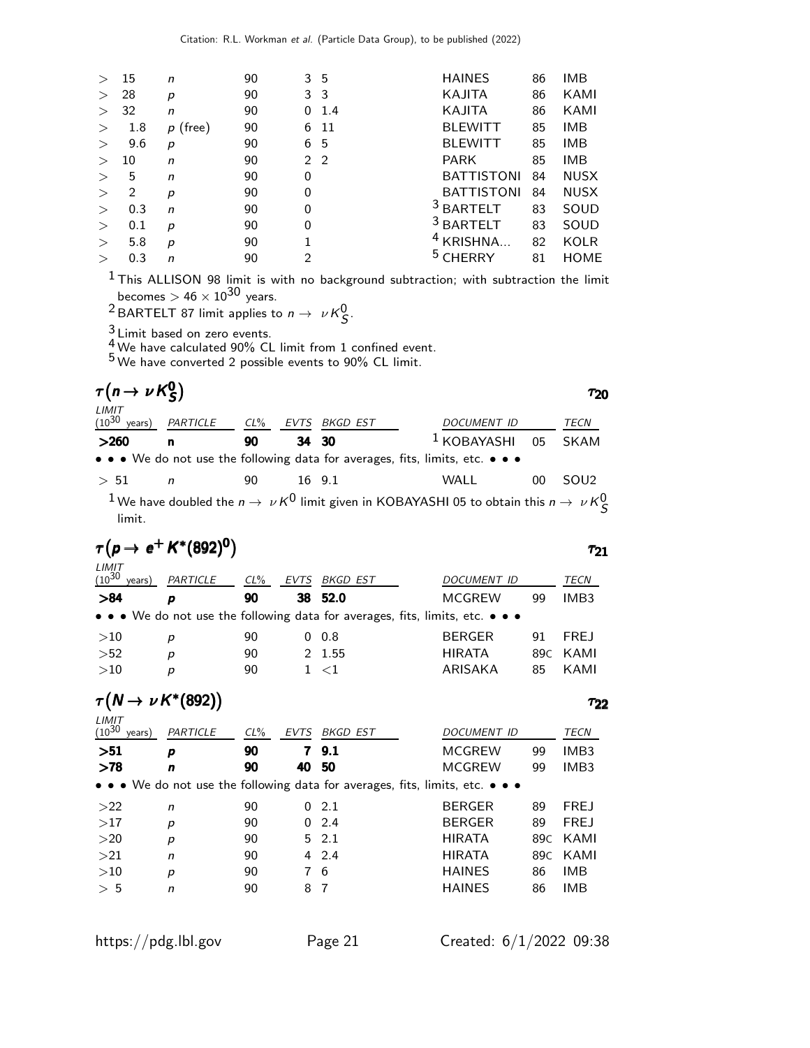| $\geq$ | 15             | n          | 90 |                | 3 <sub>5</sub> | <b>HAINES</b>        | 86 | IMB         |
|--------|----------------|------------|----|----------------|----------------|----------------------|----|-------------|
| $\geq$ | 28             | р          | 90 | 3              | - 3            | KAJITA               | 86 | KAMI        |
| $\geq$ | 32             | n          | 90 | 0              | 1.4            | KAJITA               | 86 | KAMI        |
| $\geq$ | 1.8            | $p$ (free) | 90 | 6              | -11            | <b>BLEWITT</b>       | 85 | <b>IMB</b>  |
| $\geq$ | 9.6            | р          | 90 |                | 6 5            | <b>BLEWITT</b>       | 85 | <b>IMB</b>  |
| $\geq$ | 10             | n          | 90 |                | 2 <sub>2</sub> | <b>PARK</b>          | 85 | IMB         |
| $\geq$ | 5              | n          | 90 | 0              |                | <b>BATTISTONI</b>    | 84 | <b>NUSX</b> |
| $\geq$ | $\mathfrak{D}$ | р          | 90 | 0              |                | <b>BATTISTONI</b>    | 84 | <b>NUSX</b> |
| >      | 0.3            | n          | 90 | 0              |                | <sup>3</sup> BARTELT | 83 | SOUD        |
| >      | 0.1            | р          | 90 | 0              |                | <sup>3</sup> BARTELT | 83 | SOUD        |
| >      | 5.8            | р          | 90 |                |                | $4$ KRISHNA          | 82 | <b>KOLR</b> |
| $\geq$ | 0.3            | n          | 90 | $\mathfrak{D}$ |                |                      | 81 | <b>HOME</b> |
|        |                |            |    |                |                |                      |    |             |

 $<sup>1</sup>$ This ALLISON 98 limit is with no background subtraction; with subtraction the limit</sup> becomes  $>$  46  $\times$   $10^{30}$  years.

<sup>2</sup> BARTELT 87 limit applies to  $n \to \nu \kappa_S^0$ .

 $\frac{3}{4}$  Limit based on zero events.

 $\frac{4}{5}$  We have calculated 90% CL limit from 1 confined event.

5 We have converted 2 possible events to 90% CL limit.

| $\tau(n \to \nu K_S^0)$            |                            |    |       |        |                                                                                                               | <i>T</i> 20      |
|------------------------------------|----------------------------|----|-------|--------|---------------------------------------------------------------------------------------------------------------|------------------|
| LIMIT<br>$(10^{30} \text{ years})$ | PARTICLE CL% EVTS BKGD EST |    |       |        | <b>DOCUMENT ID</b>                                                                                            | TECN             |
| >260                               | n                          | 90 | 34 30 |        | 1 KOBAYASHI 05 SKAM                                                                                           |                  |
|                                    |                            |    |       |        | • • • We do not use the following data for averages, fits, limits, etc. • • •                                 |                  |
| > 51                               | $\overline{a}$             | 90 |       | 16 9.1 | WALL<br>00                                                                                                    | SOU <sub>2</sub> |
| limit.                             |                            |    |       |        | <sup>1</sup> We have doubled the $n \to \nu K^0$ limit given in KOBAYASHI 05 to obtain this $n \to \nu K^0_S$ |                  |

$$
\tau(p \to e^+ K^*(892)^0) \qquad \qquad \tau_{21}
$$
\n
$$
\tau_{(10^{30} \text{ years})} \qquad \text{PARTICE} \qquad \text{CL\%} \qquad \text{EVTS} \qquad \text{BKGD EST} \qquad \text{DOCUMENT ID} \qquad \text{TECN}
$$

| >84 | D | 90 | 38 52.0    | MCGREW                                                                        | 99  | IMB <sub>3</sub> |
|-----|---|----|------------|-------------------------------------------------------------------------------|-----|------------------|
|     |   |    |            | • • • We do not use the following data for averages, fits, limits, etc. • • • |     |                  |
| >10 | D | 90 | $0\;\;0.8$ | <b>BERGER</b>                                                                 | 91  | FREJ             |
| >52 | D | 90 | 2 1.55     | HIRATA                                                                        |     | 89C KAMI         |
| >10 | D | 90 | 1 < 1      | ARISAKA                                                                       | 85. | KAMI             |

## $\tau(N \to \nu K^*(892))$   $\tau_{22}$

| LIMIT<br>$(10^{30}$ | <b>PARTICLE</b><br>years) | $CL\%$ | <b>EVTS</b> | BKGD EST     | <i>DOCUMENT ID</i>                                                                                                    |     | TECN        |
|---------------------|---------------------------|--------|-------------|--------------|-----------------------------------------------------------------------------------------------------------------------|-----|-------------|
| >51                 | p                         | 90     | 7           | 9.1          | <b>MCGREW</b>                                                                                                         | 99  | IMB3        |
| >78                 | n                         | 90     | 40          | 50           | <b>MCGREW</b>                                                                                                         | 99  | IMB3        |
|                     |                           |        |             |              | $\bullet \bullet \bullet$ We do not use the following data for averages, fits, limits, etc. $\bullet \bullet \bullet$ |     |             |
| >22                 | n                         | 90     |             | 02.1         | <b>BERGER</b>                                                                                                         | 89  | <b>FREJ</b> |
| >17                 | р                         | 90     | 0           | 2.4          | <b>BERGER</b>                                                                                                         | 89  | <b>FREJ</b> |
| >20                 | р                         | 90     |             | $5\quad 2.1$ | <b>HIRATA</b>                                                                                                         | 89C | KAMI        |
| >21                 | n                         | 90     |             | $4\quad 2.4$ | <b>HIRATA</b>                                                                                                         | 89C | KAMI        |
| >10                 | р                         | 90     | 7           | -6           | <b>HAINES</b>                                                                                                         | 86  | <b>IMB</b>  |
| > 5                 | n                         | 90     | 8           | -7           | <b>HAINES</b>                                                                                                         | 86  | <b>IMB</b>  |

 $T_{21}$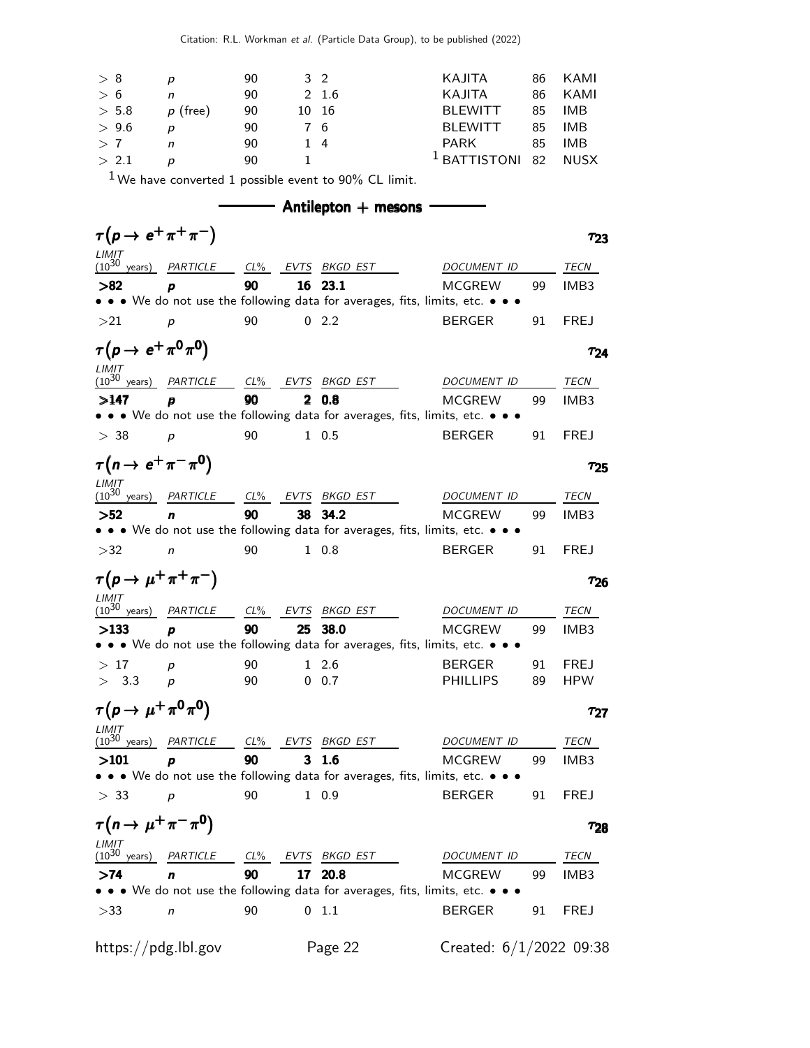| > 8   |            | 90 | 3 2 |       | KAJITA                          |    | 86 KAMI |
|-------|------------|----|-----|-------|---------------------------------|----|---------|
| > 6   | n          | 90 |     | 2 1.6 | KAJITA                          |    | 86 KAMI |
| > 5.8 | $p$ (free) | 90 |     | 10 16 | <b>BLEWITT</b>                  | 85 | IMB     |
| > 9.6 | D          | 90 | 76  |       | <b>BLEWITT</b>                  | 85 | IMB     |
| > 7   | n          | 90 |     | 14    | PARK                            | 85 | IMB     |
| > 2.1 |            | 90 |     |       | <sup>1</sup> BATTISTONI 82 NUSX |    |         |
|       |            |    |     |       |                                 |    |         |

 $1$  We have converted 1 possible event to 90% CL limit.

 $-$  Antilepton  $+$  mesons  $-$ 

| $\tau(p \to e^+ \pi^+ \pi^-)$                      |                                                |        |    |                                                                                                                                      |                           |    | $\tau_{23}$      |
|----------------------------------------------------|------------------------------------------------|--------|----|--------------------------------------------------------------------------------------------------------------------------------------|---------------------------|----|------------------|
| LIMIT<br>$(10^{30} \text{ years})$ <i>PARTICLE</i> |                                                |        |    | CL% EVTS BKGD EST                                                                                                                    | DOCUMENT ID               |    | TECN             |
| >82                                                | p                                              | 90     |    | 16 23.1<br>• • • We do not use the following data for averages, fits, limits, etc. • • •                                             | <b>MCGREW</b>             | 99 | IMB3             |
| >21                                                | $\boldsymbol{p}$                               | 90     |    | 02.2                                                                                                                                 | <b>BERGER</b>             | 91 | <b>FREJ</b>      |
| $\tau(p \to e^+ \pi^0 \pi^0)$                      |                                                |        |    |                                                                                                                                      |                           |    | $\tau_{24}$      |
| LIMIT                                              | $(10^{30} \text{ years})$ <i>PARTICLE CL</i> % |        |    | EVTS BKGD EST                                                                                                                        | DOCUMENT ID               |    | TECN             |
| >147                                               | p                                              | 90     | 2  | 0.8                                                                                                                                  | <b>MCGREW</b>             | 99 | IMB3             |
|                                                    |                                                |        |    | • • • We do not use the following data for averages, fits, limits, etc. • • •                                                        |                           |    |                  |
| > 38                                               | $\boldsymbol{p}$                               | 90     |    | $1 \t0.5$                                                                                                                            | <b>BERGER</b>             | 91 | <b>FREJ</b>      |
| $\tau(n \to e^+ \pi^- \pi^0)$                      |                                                |        |    |                                                                                                                                      |                           |    | $\tau_{25}$      |
| LIMIT<br>$(10^{30} \text{ years})$                 | PARTICLE                                       | $CL\%$ |    | EVTS BKGD EST                                                                                                                        | DOCUMENT ID               |    | TECN             |
| >52                                                | n                                              | 90     | 38 | 34.2                                                                                                                                 | <b>MCGREW</b>             | 99 | IMB <sub>3</sub> |
|                                                    |                                                |        |    | $\bullet\,\bullet\,\bullet\,$ We do not use the following data for averages, fits, limits, etc. $\bullet\,\bullet\,\bullet\,\bullet$ |                           |    |                  |
| >32                                                | n                                              | 90     |    | $1 \t0.8$                                                                                                                            | <b>BERGER</b>             | 91 | <b>FREJ</b>      |
| $\tau(p \to \mu^+ \pi^+ \pi^-)$                    |                                                |        |    |                                                                                                                                      |                           |    | $\tau_{26}$      |
| LIMIT<br>$(10^{30}$ years)                         | PARTICLE CL% EVTS BKGD EST                     |        |    |                                                                                                                                      | DOCUMENT ID               |    | TECN             |
| >133                                               | p                                              | 90     | 25 | 38.0                                                                                                                                 | <b>MCGREW</b>             | 99 | IMB3             |
|                                                    |                                                |        |    | • We do not use the following data for averages, fits, limits, etc. • • •                                                            |                           |    |                  |
| >17                                                | р                                              | 90     |    | $1\,2.6$                                                                                                                             | <b>BERGER</b>             | 91 | <b>FREJ</b>      |
| > 3.3                                              | $\boldsymbol{p}$                               | 90     |    | $0\quad 0.7$                                                                                                                         | <b>PHILLIPS</b>           | 89 | <b>HPW</b>       |
| $\tau(p \to \mu^+ \pi^0 \pi^0)$                    |                                                |        |    |                                                                                                                                      |                           |    | $\tau_{27}$      |
| LIMIT<br>$(10^{30} \text{ years})$                 | PARTICLE                                       | $CL\%$ |    | EVTS BKGD EST                                                                                                                        | DOCUMENT ID               |    | TECN             |
| $>$ 101                                            | p                                              | 90     | 3  | 1.6                                                                                                                                  | <b>MCGREW</b>             | 99 | IMB3             |
|                                                    |                                                |        |    | • • • We do not use the following data for averages, fits, limits, etc. • • •                                                        |                           |    |                  |
| > 33                                               | $\boldsymbol{p}$                               | 90     |    | 10.9                                                                                                                                 | <b>BERGER</b>             | 91 | <b>FREJ</b>      |
| $\tau(n \to \mu^+ \pi^- \pi^0)$                    |                                                |        |    |                                                                                                                                      |                           |    | 728              |
| LIMIT<br>$(10^{30}$ years)                         | PARTICLE                                       | $CL\%$ |    | EVTS BKGD EST                                                                                                                        | DOCUMENT ID               |    | TECN             |
| >74                                                | n                                              | 90     | 17 | 20.8                                                                                                                                 | <b>MCGREW</b>             | 99 | IMB3             |
|                                                    |                                                |        |    | $\bullet\;\bullet\;$ We do not use the following data for averages, fits, limits, etc. $\bullet\;\bullet\;\bullet\;$                 |                           |    |                  |
| >33                                                | n                                              | 90     |    | 0 1.1                                                                                                                                | <b>BERGER</b>             | 91 | <b>FREJ</b>      |
| https://pdg.lbl.gov                                |                                                |        |    | Page 22                                                                                                                              | Created: $6/1/2022$ 09:38 |    |                  |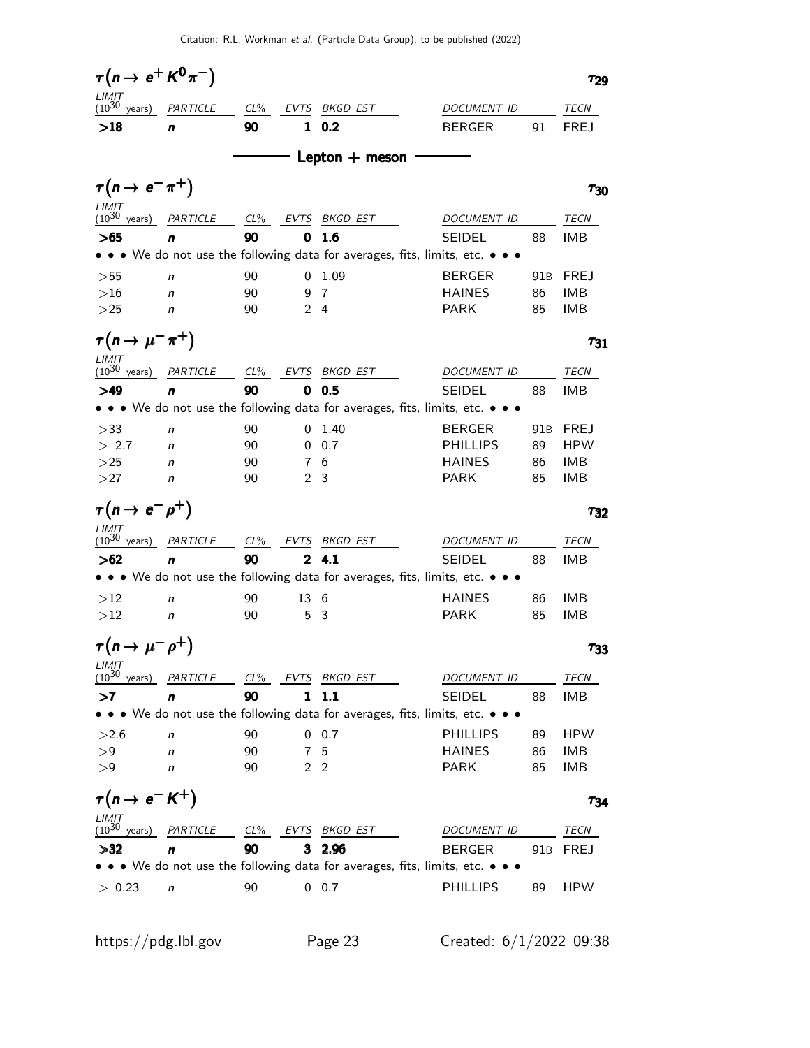| $\tau(n \to e^+ K^0 \pi^-)$        |               |              |              |                      |                                                                                                |                 | $\tau_{29}$        |
|------------------------------------|---------------|--------------|--------------|----------------------|------------------------------------------------------------------------------------------------|-----------------|--------------------|
| LIMIT<br>$(10^{30}$<br>years)      | PARTICLE      | $CL\%$       |              | EVTS BKGD EST        | DOCUMENT ID                                                                                    |                 | TECN               |
| >18                                | n             | 90           | 1            | 0.2                  | <b>BERGER</b>                                                                                  | 91              | <b>FREJ</b>        |
|                                    |               |              |              | Lepton $+$ meson     |                                                                                                |                 |                    |
| $\tau(n \to e^- \pi^+)$            |               |              |              |                      |                                                                                                |                 | $\tau_{30}$        |
| LIMIT<br>$(10^{30}$                |               |              |              |                      |                                                                                                |                 |                    |
| years)<br>>65                      | PARTICLE<br>n | $CL\%$<br>90 | 0            | EVTS BKGD EST<br>1.6 | DOCUMENT ID<br><b>SEIDEL</b>                                                                   | 88              | TECN<br><b>IMB</b> |
|                                    |               |              |              |                      | • • • We do not use the following data for averages, fits, limits, etc. • • •                  |                 |                    |
| >55                                | n             | 90           | 0            | 1.09                 | <b>BERGER</b>                                                                                  | 91B             | <b>FREJ</b>        |
| >16                                | n             | 90           |              | 97                   | <b>HAINES</b>                                                                                  | 86              | <b>IMB</b>         |
| >25                                | n             | 90           |              | 24                   | <b>PARK</b>                                                                                    | 85              | <b>IMB</b>         |
| $\tau(n \to \mu^- \pi^+)$          |               |              |              |                      |                                                                                                |                 | $\tau_{31}$        |
| LIMIT<br>$(10^{30}$<br>years)      | PARTICLE      | $CL\%$       | EVTS         | BKGD EST             | DOCUMENT ID                                                                                    |                 | TECN               |
| >49                                | n             | 90           | $\mathbf 0$  | 0.5                  | SEIDEL                                                                                         | 88              | IMB                |
|                                    |               |              |              |                      | • • We do not use the following data for averages, fits, limits, etc. • • •                    |                 |                    |
| >33                                | n             | 90           |              | $0 \t1.40$           | <b>BERGER</b>                                                                                  | 91B             | <b>FREJ</b>        |
| > 2.7                              | n             | 90           |              | $0\quad 0.7$         | <b>PHILLIPS</b>                                                                                | 89              | <b>HPW</b>         |
| >25                                | n             | 90           |              | 7 6                  | <b>HAINES</b>                                                                                  | 86              | <b>IMB</b>         |
| >27                                | n             | 90           |              | 2 <sub>3</sub>       | <b>PARK</b>                                                                                    | 85              | <b>IMB</b>         |
| $\tau(n \to e^- \rho^+)$           |               |              |              |                      |                                                                                                |                 | $\tau_{32}$        |
| LIMIT<br>$(10^{30} \text{ years})$ | PARTICLE      | $CL\%$       |              | EVTS BKGD EST        | DOCUMENT ID                                                                                    |                 | TECN               |
| >62                                | n             | 90           | $\mathbf{2}$ | 4.1                  | <b>SEIDEL</b>                                                                                  | 88              | IMB                |
|                                    |               |              |              |                      | • • • We do not use the following data for averages, fits, limits, etc. • • •                  |                 |                    |
| >12                                | n             | 90           | 13           | 6                    | <b>HAINES</b>                                                                                  | 86              | IMB                |
| >12                                | n             | 90           | 5            | 3                    | <b>PARK</b>                                                                                    | 85              | IMB                |
| $\tau(n \to \mu^- \rho^+)$         |               |              |              |                      |                                                                                                |                 | $\tau_{33}$        |
| LIMIT                              |               |              |              |                      |                                                                                                |                 |                    |
| $(10^{30}$<br>years)               | PARTICLE      | $CL\%$<br>90 | EVTS<br>1    | BKGD EST<br>1.1      | DOCUMENT ID                                                                                    |                 | TECN               |
| >7                                 | n             |              |              |                      | <b>SEIDEL</b><br>• • • We do not use the following data for averages, fits, limits, etc. • • • | 88              | IMB                |
| >2.6                               | n             | 90           |              | $0\quad 0.7$         | <b>PHILLIPS</b>                                                                                | 89              | <b>HPW</b>         |
| >9                                 | n             | 90           | 7            | 5                    | <b>HAINES</b>                                                                                  | 86              | IMB                |
| >9                                 | n             | 90           | 2            | 2                    | <b>PARK</b>                                                                                    | 85              | IMB                |
| $\tau(n \to e^- K^+)$              |               |              |              |                      |                                                                                                |                 | 734                |
| LIMIT                              |               |              |              |                      |                                                                                                |                 |                    |
| $(10^{30} \text{ years})$          | PARTICLE      | $CL\%$       | EVTS         | BKGD EST             | DOCUMENT ID                                                                                    |                 | TECN               |
| >32                                | n             | 90           | 3            | 2.96                 | <b>BERGER</b>                                                                                  | 91 <sub>B</sub> | <b>FREJ</b>        |
|                                    |               |              |              |                      | • • • We do not use the following data for averages, fits, limits, etc. • • •                  |                 |                    |
| > 0.23                             | n             | 90           |              | $0\quad 0.7$         | <b>PHILLIPS</b>                                                                                | 89              | <b>HPW</b>         |
|                                    |               |              |              |                      |                                                                                                |                 |                    |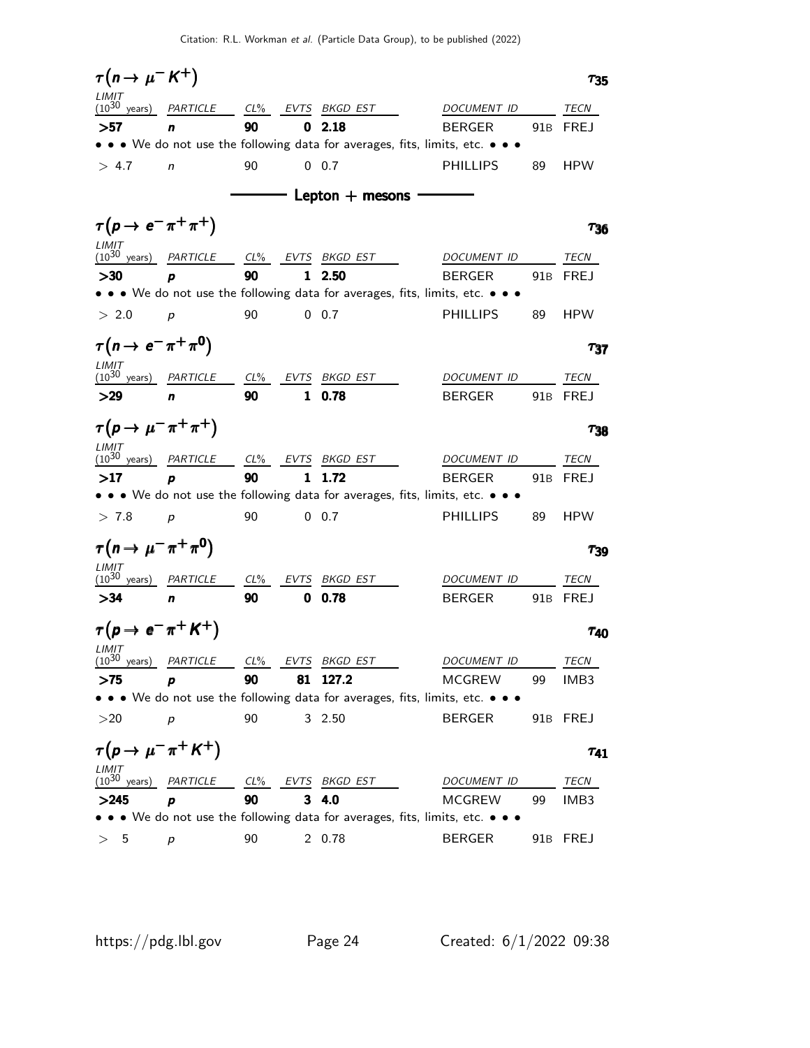| $\tau(n \to \mu^- K^+)$                            |                                                                     |        |    |                   |                                                                                                                       |    | 735              |
|----------------------------------------------------|---------------------------------------------------------------------|--------|----|-------------------|-----------------------------------------------------------------------------------------------------------------------|----|------------------|
| LIMIT                                              | $(10^{30} \text{ years})$ <i>PARTICLE CL</i> % <i>EVTS BKGD EST</i> |        |    |                   | DOCUMENT ID                                                                                                           |    | TECN             |
| >57                                                | n                                                                   | 90     |    | 02.18             | <b>BERGER</b>                                                                                                         |    | 91B FREJ         |
|                                                    |                                                                     |        |    |                   | • • We do not use the following data for averages, fits, limits, etc. • • •                                           |    |                  |
| > 4.7                                              | n                                                                   | 90     |    | $0 \t 0.7$        | <b>PHILLIPS</b>                                                                                                       | 89 | <b>HPW</b>       |
|                                                    |                                                                     |        |    |                   |                                                                                                                       |    |                  |
| $\tau(p \to e^- \pi^+ \pi^+)$                      |                                                                     |        |    |                   |                                                                                                                       |    | T <sub>36</sub>  |
| LIMIT                                              | $(10^{30}$ years) PARTICLE CL% EVTS BKGD EST                        |        |    |                   | DOCUMENT ID                                                                                                           |    | TECN             |
| >30                                                | p                                                                   | 90     |    | 1 2.50            | <b>BERGER</b>                                                                                                         |    | 91B FREJ         |
|                                                    |                                                                     |        |    |                   | • • • We do not use the following data for averages, fits, limits, etc. • • •                                         |    |                  |
| > 2.0                                              | $\boldsymbol{p}$                                                    | 90     |    | $0\quad 0.7$      | <b>PHILLIPS</b>                                                                                                       | 89 | <b>HPW</b>       |
| $\tau(n \to e^- \pi^+ \pi^0)$                      |                                                                     |        |    |                   |                                                                                                                       |    | T37              |
| LIMIT<br>$(10^{30}$ years) PARTICLE                |                                                                     |        |    | CL% EVTS BKGD EST | DOCUMENT ID                                                                                                           |    | TECN             |
| >29                                                | $\mathbf n$                                                         | 90     |    | 1 0.78            | <b>BERGER</b>                                                                                                         |    | 91B FREJ         |
| $\tau(p \to \mu^- \pi^+ \pi^+)$                    |                                                                     |        |    |                   |                                                                                                                       |    | $\tau_{38}$      |
| LIMIT                                              | $(10^{30} \text{ years})$ <i>PARTICLE</i> CL% <i>EVTS BKGD EST</i>  |        |    |                   |                                                                                                                       |    |                  |
| >17                                                | D                                                                   | 90     |    | 1 1.72            | DOCUMENT ID<br><b>BERGER</b>                                                                                          |    | TECN<br>91B FREJ |
|                                                    |                                                                     |        |    |                   | • • • We do not use the following data for averages, fits, limits, etc. • • •                                         |    |                  |
| > 7.8                                              | p                                                                   | 90     |    | $0\quad 0.7$      | <b>PHILLIPS</b>                                                                                                       | 89 | <b>HPW</b>       |
|                                                    |                                                                     |        |    |                   |                                                                                                                       |    |                  |
| $\tau(n \to \mu^- \pi^+ \pi^0)$                    |                                                                     |        |    |                   |                                                                                                                       |    | T39              |
| LIMIT<br>$(10^{30} \text{ years})$ <i>PARTICLE</i> |                                                                     | $CL\%$ |    | EVTS BKGD EST     | DOCUMENT ID                                                                                                           |    | TECN             |
| >34                                                | n                                                                   | 90     | 0  | 0.78              | <b>BERGER</b>                                                                                                         |    | 91B FREJ         |
| $\tau(p \to e^- \pi^+ K^+)$                        |                                                                     |        |    |                   |                                                                                                                       |    | $\tau_{40}$      |
| <i>LIMIT</i><br>$(10^{30} \text{ years})$          | PARTICLE                                                            | $CL\%$ |    | EVTS BKGD EST     | DOCUMENT ID                                                                                                           |    | TECN             |
| >75                                                | p                                                                   | 90     | 81 | 127.2             | <b>MCGREW</b>                                                                                                         | 99 | IMB3             |
|                                                    |                                                                     |        |    |                   | • • • We do not use the following data for averages, fits, limits, etc. • • •                                         |    |                  |
| >20                                                | p                                                                   | 90     |    | 3 2.50            | <b>BERGER</b>                                                                                                         |    | 91B FREJ         |
| $\tau(p \to \mu^- \pi^+ K^+)$                      |                                                                     |        |    |                   |                                                                                                                       |    | T41              |
| LIMIT<br>$(10^{30} \text{ years})$                 | PARTICLE                                                            |        |    | CL% EVTS BKGD EST | DOCUMENT ID                                                                                                           |    | TECN             |
| >245                                               | p                                                                   | 90     | 3  | 4.0               | <b>MCGREW</b>                                                                                                         | 99 | IMB3             |
|                                                    |                                                                     |        |    |                   | $\bullet \bullet \bullet$ We do not use the following data for averages, fits, limits, etc. $\bullet \bullet \bullet$ |    |                  |
| 5<br>>                                             | $\boldsymbol{p}$                                                    | 90     |    | 2 0.78            | BERGER                                                                                                                |    | 91B FREJ         |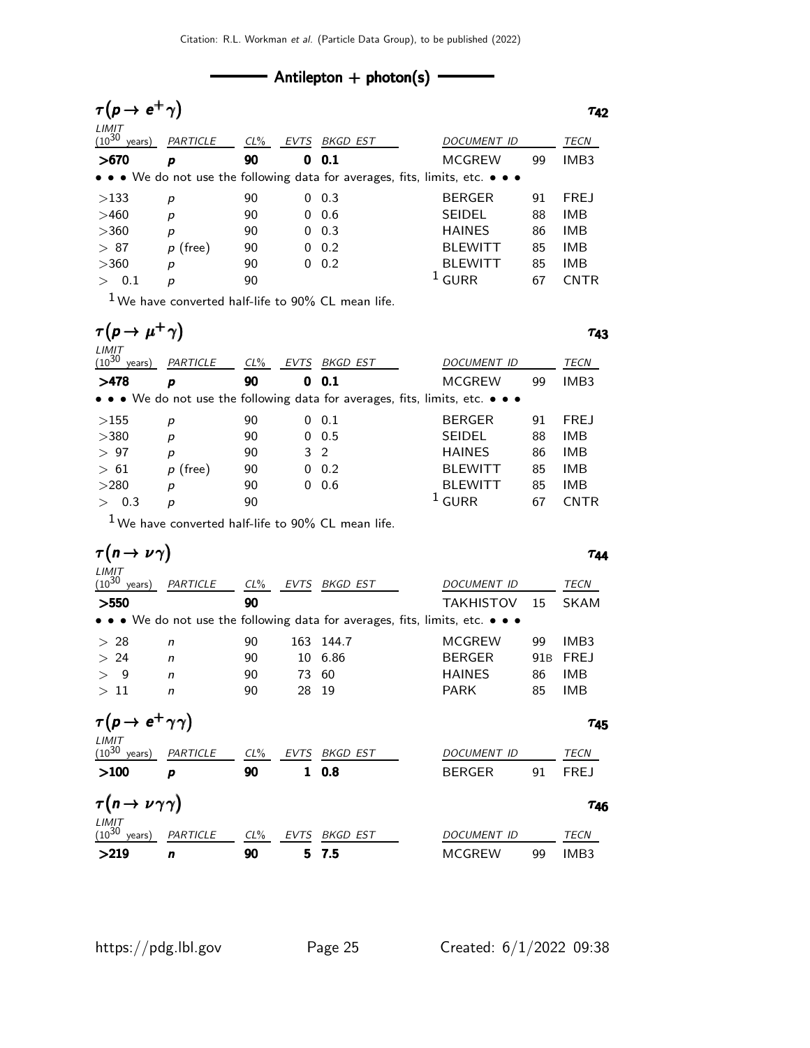## $-$  Antilepton  $+$  photon(s)  $-$

|                               |            |        |             |                                                                                                                       |                |    | $\tau_{42}$      |
|-------------------------------|------------|--------|-------------|-----------------------------------------------------------------------------------------------------------------------|----------------|----|------------------|
| LIMIT<br>$(10^{30}$<br>years) | PARTICLE   | $CL\%$ | <b>EVTS</b> | BKGD EST                                                                                                              | DOCUMENT ID    |    | <b>TECN</b>      |
| >670                          | p          | 90     | 0           | 0.1                                                                                                                   | <b>MCGREW</b>  | 99 | IMB <sub>3</sub> |
|                               |            |        |             | $\bullet \bullet \bullet$ We do not use the following data for averages, fits, limits, etc. $\bullet \bullet \bullet$ |                |    |                  |
| >133                          | p          | 90     |             | $0\quad 0.3$                                                                                                          | <b>BERGER</b>  | 91 | <b>FREJ</b>      |
| >460                          | р          | 90     | 0           | 0.6                                                                                                                   | <b>SEIDEL</b>  | 88 | IMB              |
| >360                          | р          | 90     | 0.          | 0.3                                                                                                                   | <b>HAINES</b>  | 86 | <b>IMB</b>       |
| > 87                          | $p$ (free) | 90     | 0           | 0.2                                                                                                                   | <b>BLEWITT</b> | 85 | <b>IMB</b>       |
| >360                          | р          | 90     | 0           | 0.2                                                                                                                   | <b>BLEWITT</b> | 85 | <b>IMB</b>       |
| 0.1<br>$\gt$                  | p          | 90     |             |                                                                                                                       | <b>GURR</b>    | 67 | <b>CNTR</b>      |
| -                             |            |        |             |                                                                                                                       |                |    |                  |

 $1$  We have converted half-life to 90% CL mean life.

|                               |            |        |             |                |                                                                                                                       |    | T43              |
|-------------------------------|------------|--------|-------------|----------------|-----------------------------------------------------------------------------------------------------------------------|----|------------------|
| LIMIT<br>$(10^{30}$<br>years) | PARTICLE   | $CL\%$ | <b>EVTS</b> | BKGD EST       | <b>DOCUMENT ID</b>                                                                                                    |    | <b>TECN</b>      |
| >478                          | p          | 90     | 0           | 0.1            | <b>MCGREW</b>                                                                                                         | 99 | IMB <sub>3</sub> |
|                               |            |        |             |                | $\bullet \bullet \bullet$ We do not use the following data for averages, fits, limits, etc. $\bullet \bullet \bullet$ |    |                  |
| >155                          | р          | 90     |             | $0 \t 0.1$     | <b>BERGER</b>                                                                                                         | 91 | <b>FREJ</b>      |
| >380                          | p          | 90     | 0           | 0.5            | <b>SEIDEL</b>                                                                                                         | 88 | IMB              |
| > 97                          | р          | 90     |             | 3 <sup>2</sup> | <b>HAINES</b>                                                                                                         | 86 | IMB              |
| >61                           | $p$ (free) | 90     | 0           | 0.2            | <b>BLEWITT</b>                                                                                                        | 85 | IMB              |
| >280                          | p          | 90     | 0           | 0.6            | <b>BLEWITT</b>                                                                                                        | 85 | IMB              |
| 0.3                           | p          | 90     |             |                | <sup>1</sup> GURR                                                                                                     | 67 | <b>CNTR</b>      |
| $\overline{ }$                |            |        |             |                |                                                                                                                       |    |                  |

 $1$  We have converted half-life to 90% CL mean life.

| $\tau(n \to \nu \gamma)$                 |              |        |      |                                                                               |                    |     | T44         |
|------------------------------------------|--------------|--------|------|-------------------------------------------------------------------------------|--------------------|-----|-------------|
| LIMIT<br>$(10^{30}$<br>years)            | PARTICLE     | $CL\%$ | EVTS | BKGD EST                                                                      | <b>DOCUMENT ID</b> |     | TECN        |
| >550                                     |              | 90     |      |                                                                               | <b>TAKHISTOV</b>   | 15  | <b>SKAM</b> |
|                                          |              |        |      | • • • We do not use the following data for averages, fits, limits, etc. • • • |                    |     |             |
| >28                                      | n            | 90     | 163  | 144.7                                                                         | <b>MCGREW</b>      | 99  | IMB3        |
| > 24                                     | $\mathsf{n}$ | 90     | 10   | 6.86                                                                          | <b>BERGER</b>      | 91B | <b>FREJ</b> |
| 9<br>$\geq$                              | n            | 90     | 73   | 60                                                                            | <b>HAINES</b>      | 86  | IMB         |
| >11                                      | $\mathsf{n}$ | 90     | 28   | 19                                                                            | <b>PARK</b>        | 85  | IMB         |
| $\tau(p \to e^+ \gamma \gamma)$          |              |        |      |                                                                               |                    |     | $\tau_{45}$ |
| LIMIT<br>$(10^{30}$<br>years)            | PARTICLE     | $CL\%$ | EVTS | BKGD EST                                                                      | <b>DOCUMENT ID</b> |     | TECN        |
| >100                                     | p            | 90     | 1    | 0.8                                                                           | <b>BERGER</b>      | 91  | <b>FREJ</b> |
| $\tau(n \to \nu \gamma \gamma)$<br>LIMIT |              |        |      |                                                                               |                    |     | 746         |
| $(10^{30}$<br>years)                     | PARTICLE     | $CL\%$ | EVTS | <b>BKGD EST</b>                                                               | <b>DOCUMENT ID</b> |     | <b>TECN</b> |
| >219                                     | n            | 90     | 5.   | 7.5                                                                           | <b>MCGREW</b>      | 99  | IMB3        |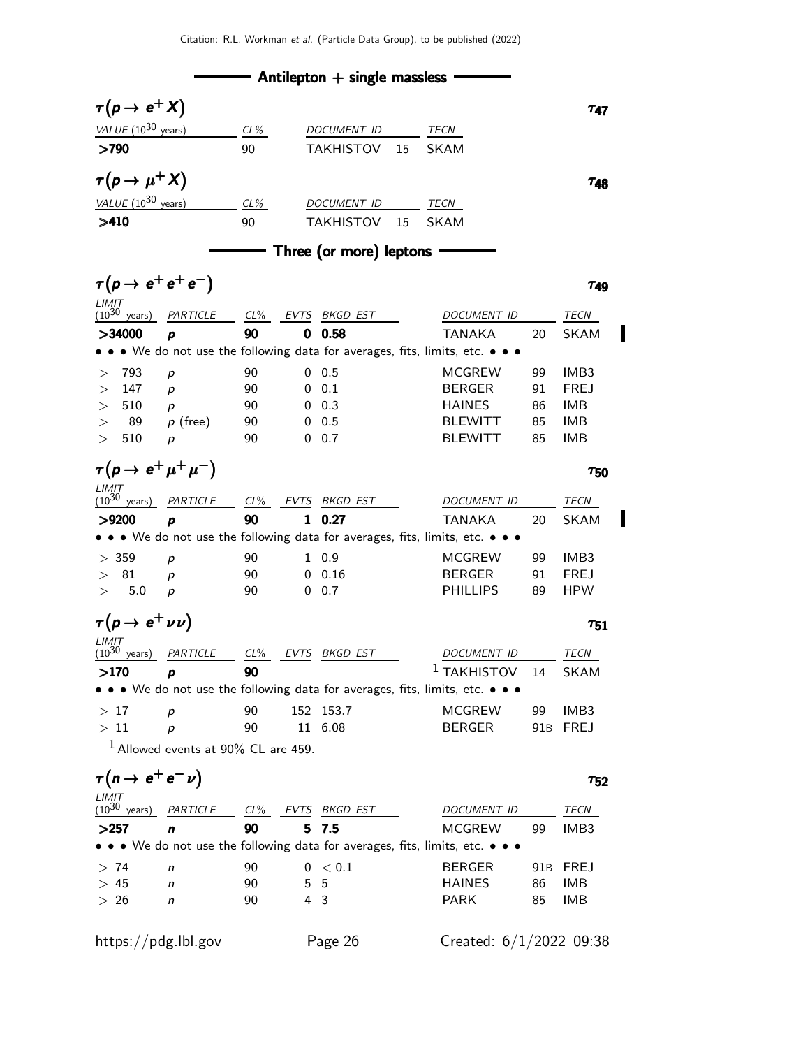|                                              |                                       |          |      | $\overline{\phantom{a}}$ Antilepton $+$ single massless |    |                                                                               |          |                  |  |
|----------------------------------------------|---------------------------------------|----------|------|---------------------------------------------------------|----|-------------------------------------------------------------------------------|----------|------------------|--|
| $\tau(p \to e^+ X)$                          |                                       |          |      |                                                         |    |                                                                               |          | T47              |  |
| VALUE $(10^{30}$ years)                      |                                       | $CL\%$   |      | DOCUMENT ID                                             |    | <b>TECN</b>                                                                   |          |                  |  |
| >790                                         |                                       | 90       |      | <b>TAKHISTOV</b>                                        | 15 | <b>SKAM</b>                                                                   |          |                  |  |
|                                              |                                       |          |      |                                                         |    |                                                                               |          |                  |  |
| $\tau(p \to \mu^+ X)$                        |                                       |          |      |                                                         |    |                                                                               |          | T48              |  |
| VALUE $(10^{30}$ years)                      |                                       | $CL\%$   |      | DOCUMENT ID                                             |    | TECN                                                                          |          |                  |  |
| >410                                         |                                       | 90       |      | <b>TAKHISTOV</b>                                        | 15 | <b>SKAM</b>                                                                   |          |                  |  |
|                                              |                                       |          |      |                                                         |    |                                                                               |          |                  |  |
|                                              |                                       |          |      |                                                         |    |                                                                               |          |                  |  |
| $\tau(p \to e^+e^+e^-)$                      |                                       |          |      |                                                         |    |                                                                               |          | T49              |  |
| LIMIT<br>$(10^{30}$ years)                   | PARTICLE                              | $CL\%$   | EVTS | BKGD EST                                                |    |                                                                               |          | <b>TECN</b>      |  |
| >34000                                       |                                       | 90       | 0    | 0.58                                                    |    | DOCUMENT ID<br><b>TANAKA</b>                                                  | 20       | <b>SKAM</b>      |  |
|                                              | p                                     |          |      |                                                         |    | • • • We do not use the following data for averages, fits, limits, etc. • • • |          |                  |  |
|                                              |                                       |          |      |                                                         |    |                                                                               |          |                  |  |
| 793<br>>                                     | р                                     | 90       | 0    | 0.5                                                     |    | <b>MCGREW</b>                                                                 | 99       | IMB3             |  |
| 147<br>>                                     | p                                     | 90       |      | $0 \t 0.1$                                              |    | <b>BERGER</b>                                                                 | 91       | <b>FREJ</b>      |  |
| 510<br>>                                     | p                                     | 90       |      | $0\quad 0.3$                                            |    | <b>HAINES</b>                                                                 | 86       | <b>IMB</b>       |  |
| 89<br>$\,>$                                  | $p$ (free)                            | 90       |      | 0.5                                                     |    | <b>BLEWITT</b>                                                                | 85       | <b>IMB</b>       |  |
| 510<br>$\geq$                                | $\boldsymbol{p}$                      | 90       |      | $0\quad 0.7$                                            |    | <b>BLEWITT</b>                                                                | 85       | IMB              |  |
| $\tau(p \to e^+ \mu^+ \mu^-)$                |                                       |          |      |                                                         |    |                                                                               |          | $\tau_{50}$      |  |
| LIMIT<br>$(10^{30} \text{ years})$           | PARTICLE                              |          |      | CL% EVTS BKGD EST                                       |    | DOCUMENT ID                                                                   |          | TECN             |  |
| >9200                                        | D                                     | 90       |      | 10.27                                                   |    | <b>TANAKA</b>                                                                 | 20       | <b>SKAM</b>      |  |
|                                              |                                       |          |      |                                                         |    | • • We do not use the following data for averages, fits, limits, etc. • • •   |          |                  |  |
| > 359                                        | p                                     | 90       |      | $1 \t0.9$                                               |    | <b>MCGREW</b>                                                                 | 99       | IMB <sub>3</sub> |  |
| 81<br>>                                      | р                                     | 90       |      | 0 0.16                                                  |    | <b>BERGER</b>                                                                 | 91       | <b>FREJ</b>      |  |
| 5.0<br>$\geq$                                | $\boldsymbol{p}$                      | 90       |      | $0\quad 0.7$                                            |    | <b>PHILLIPS</b>                                                               | 89       | <b>HPW</b>       |  |
|                                              |                                       |          |      |                                                         |    |                                                                               |          |                  |  |
| $\tau(p \to e^+ \nu \nu)$                    |                                       |          |      |                                                         |    |                                                                               |          | $\tau_{51}$      |  |
| $LIMIT$<br>(10 <sup>30</sup> years) PARTICLE |                                       |          |      | CL% EVTS BKGD EST                                       |    | DOCUMENT ID                                                                   |          | <b>TECN</b>      |  |
| >170                                         | p                                     | 90       |      |                                                         |    | T<br><b>TAKHISTOV</b>                                                         | 14       | <b>SKAM</b>      |  |
|                                              |                                       |          |      |                                                         |    | • • We do not use the following data for averages, fits, limits, etc. • • •   |          |                  |  |
| >17                                          | $\boldsymbol{p}$                      | 90       |      | 152 153.7                                               |    | <b>MCGREW</b>                                                                 | 99       | IMB3             |  |
| >11                                          | $\boldsymbol{p}$                      | 90       |      | 11 6.08                                                 |    | <b>BERGER</b>                                                                 | 91B      | <b>FREJ</b>      |  |
|                                              | $1$ Allowed events at 90% CL are 459. |          |      |                                                         |    |                                                                               |          |                  |  |
|                                              |                                       |          |      |                                                         |    |                                                                               |          |                  |  |
| $\tau(n \to e^+e^-\nu)$                      |                                       |          |      |                                                         |    |                                                                               |          | $\tau_{52}$      |  |
|                                              |                                       |          |      | CL% EVT <u>S</u> BKGD EST                               |    | DOCUMENT ID                                                                   |          | <b>TECN</b>      |  |
| LIMIT<br>$(10^{30} \text{ years})$           | PARTICLE                              |          |      |                                                         |    |                                                                               |          |                  |  |
| >257                                         | n                                     | 90       | 5    | 7.5                                                     |    | <b>MCGREW</b>                                                                 | 99       | IMB3             |  |
|                                              |                                       |          |      |                                                         |    | • • • We do not use the following data for averages, fits, limits, etc. • • • |          |                  |  |
|                                              |                                       |          |      |                                                         |    |                                                                               |          |                  |  |
| > 74                                         | n<br>n                                | 90       | 5    | 0 < 0.1                                                 |    | <b>BERGER</b>                                                                 | 91B      | <b>FREJ</b>      |  |
| >45<br>> 26                                  | n                                     | 90<br>90 |      | 5<br>4 3                                                |    | <b>HAINES</b><br><b>PARK</b>                                                  | 86<br>85 | IMB              |  |
|                                              |                                       |          |      |                                                         |    |                                                                               |          | <b>IMB</b>       |  |

https://pdg.lbl.gov Page 26 Created: 6/1/2022 09:38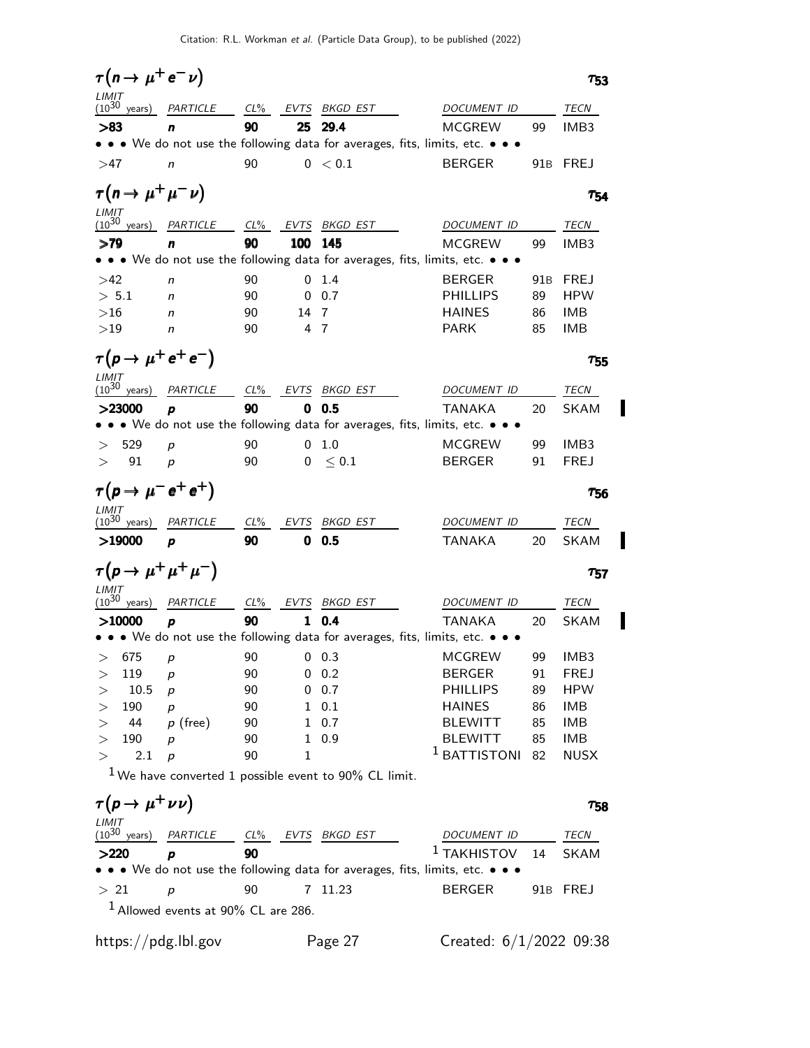| $\tau(n \to \mu^+ e^- \nu)$          |                                |          |              |                                                         |                                                                                                                                      |                 | 753                 |
|--------------------------------------|--------------------------------|----------|--------------|---------------------------------------------------------|--------------------------------------------------------------------------------------------------------------------------------------|-----------------|---------------------|
| LIMIT<br>$(10^{30}$<br>years)        | PARTICLE                       | $CL\%$   | EVTS         | BKGD EST                                                | DOCUMENT ID                                                                                                                          |                 | TECN                |
| > 83                                 | n                              | 90       | 25           | 29.4                                                    | <b>MCGREW</b>                                                                                                                        | 99              | IMB <sub>3</sub>    |
|                                      |                                |          |              |                                                         | $\bullet\,\bullet\,\bullet\,$ We do not use the following data for averages, fits, limits, etc. $\bullet\,\bullet\,\bullet\,\bullet$ |                 |                     |
| >47                                  | n                              | 90       |              | 0 < 0.1                                                 | <b>BERGER</b>                                                                                                                        | 91B             | FREJ                |
| $\tau(n \to \mu^+ \mu^- \nu)$        |                                |          |              |                                                         |                                                                                                                                      |                 | $\tau_{54}$         |
| LIMIT<br>$(10^{30}$ years)           | PARTICLE                       |          |              | CL% EVTS BKGD EST                                       | DOCUMENT ID                                                                                                                          |                 | TECN                |
| >79                                  | n                              | 90       | 100          | 145                                                     | <b>MCGREW</b>                                                                                                                        | 99              | IMB <sub>3</sub>    |
|                                      |                                |          |              |                                                         | • We do not use the following data for averages, fits, limits, etc. • • •                                                            |                 |                     |
| >42                                  | n                              | 90       | 0            | 1.4                                                     | <b>BERGER</b>                                                                                                                        | 91 <sub>B</sub> | <b>FREJ</b>         |
| > 5.1                                | n                              | 90       | 0            | 0.7                                                     | <b>PHILLIPS</b>                                                                                                                      | 89              | <b>HPW</b>          |
| >16                                  | n                              | 90       | 14           | 7                                                       | <b>HAINES</b>                                                                                                                        | 86              | <b>IMB</b>          |
| >19                                  | n                              | 90       | 4 7          |                                                         | <b>PARK</b>                                                                                                                          | 85              | <b>IMB</b>          |
| $\tau(p \to \mu^+e^+e^-)$<br>LIMIT   |                                |          |              |                                                         |                                                                                                                                      |                 | $\tau_{55}$         |
| $(10^{30}$ years)                    | PARTICLE                       | $CL\%$   | EVTS         | BKGD EST                                                | DOCUMENT ID                                                                                                                          |                 | TECN                |
| >23000                               | p                              | 90       | 0            | 0.5                                                     | <b>TANAKA</b>                                                                                                                        | 20              | <b>SKAM</b>         |
|                                      |                                |          |              |                                                         | $\bullet\,\bullet\,\bullet\,$ We do not use the following data for averages, fits, limits, etc. $\bullet\,\bullet\,\bullet\,\bullet$ |                 |                     |
| 529<br>>                             | $\boldsymbol{p}$               | 90       |              | $0$ 1.0                                                 | <b>MCGREW</b>                                                                                                                        | 99              | IMB <sub>3</sub>    |
| 91<br>$\rm{>}$                       | p                              | 90       |              | $0 \le 0.1$                                             | <b>BERGER</b>                                                                                                                        | 91              | <b>FREJ</b>         |
|                                      |                                |          |              |                                                         |                                                                                                                                      |                 |                     |
| $\tau(p \to \mu^- e^+ e^+)$<br>LIMIT |                                |          |              |                                                         |                                                                                                                                      |                 | T <sub>56</sub>     |
| $(10^{30} \text{ years})$            | PARTICLE                       | $CL\%$   | EVTS         | BKGD EST                                                | DOCUMENT ID                                                                                                                          |                 | TECN                |
| >19000                               | p                              | 90       | 0            | 0.5                                                     | <b>TANAKA</b>                                                                                                                        | 20              | <b>SKAM</b>         |
| $\tau(p \to \mu^+ \mu^+ \mu^-)$      |                                |          |              |                                                         |                                                                                                                                      |                 | $\tau_{57}$         |
| LIMIT<br>$(10^{30}$<br>years)        | PARTICLE                       | $CL\%$   |              |                                                         | DOCUMENT ID                                                                                                                          |                 | TECN                |
| $>\!\!10000$                         | D                              | 90       | 1            | EVTS BKGD EST<br>0.4                                    | TANAKA                                                                                                                               | 20              | <b>SKAM</b>         |
|                                      |                                |          |              |                                                         | • • We do not use the following data for averages, fits, limits, etc. • • •                                                          |                 |                     |
|                                      |                                | 90       |              |                                                         |                                                                                                                                      |                 |                     |
| $\qquad \qquad >$<br>675             | р                              |          | 0            | $0\quad 0.3$                                            | <b>MCGREW</b>                                                                                                                        | 99<br>91        | IMB3<br><b>FREJ</b> |
| 119<br>><br>10.5<br>>                | р<br>p                         | 90<br>90 | 0            | 0.2<br>0.7                                              | <b>BERGER</b><br><b>PHILLIPS</b>                                                                                                     | 89              | <b>HPW</b>          |
| 190<br>$\,>$                         | p                              | 90       | 1            | 0.1                                                     | <b>HAINES</b>                                                                                                                        | 86              | IMB                 |
| 44                                   |                                | 90       | $\mathbf{1}$ | 0.7                                                     | <b>BLEWITT</b>                                                                                                                       | 85              | IMB                 |
| $\rm{>}$<br>190<br>>                 | $p$ (free)<br>$\boldsymbol{p}$ | 90       | $\mathbf{1}$ | 0.9                                                     | <b>BLEWITT</b>                                                                                                                       | 85              | <b>IMB</b>          |
| 2.1<br>>                             | $\overline{p}$                 | 90       | $\mathbf{1}$ |                                                         | $1$ BATTISTONI                                                                                                                       | 82              | <b>NUSX</b>         |
|                                      |                                |          |              | $1$ We have converted 1 possible event to 90% CL limit. |                                                                                                                                      |                 |                     |
| $\tau(p \to \mu^+ \nu \nu)$          |                                |          |              |                                                         |                                                                                                                                      |                 | $\tau_{58}$         |
| LIMIT                                |                                |          |              |                                                         |                                                                                                                                      |                 |                     |
| $(10^{30} \text{ years})$            | PARTICLE                       |          |              | CL% EVTS BKGD EST                                       | DOCUMENT ID                                                                                                                          |                 | TECN                |
| >220                                 | p                              | 90       |              |                                                         | $1$ TAKHISTOV<br>• We do not use the following data for averages, fits, limits, etc. • • •                                           | 14              | <b>SKAM</b>         |

1 Allowed events at 90% CL are 286.

https://pdg.lbl.gov Page 27 Created: 6/1/2022 09:38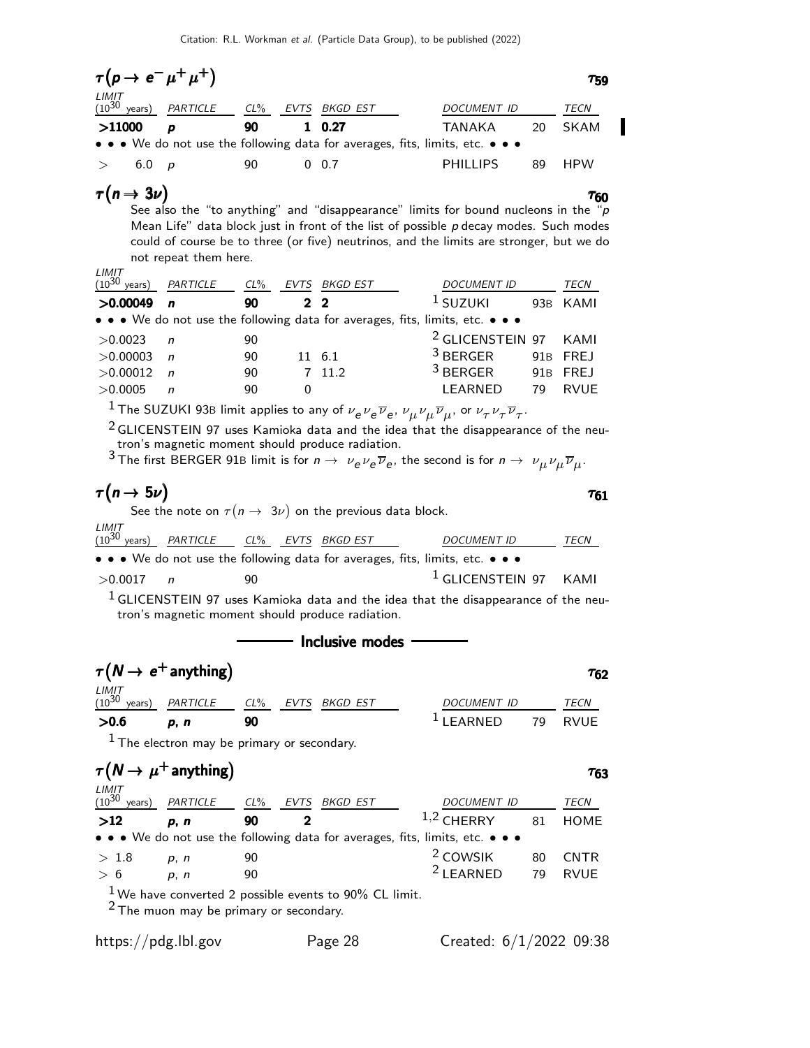| $\tau(p \to e^- \mu^+ \mu^+)$ |                                                |    |                                                                                                                       |                 |    | $\tau_{59}$ |
|-------------------------------|------------------------------------------------|----|-----------------------------------------------------------------------------------------------------------------------|-----------------|----|-------------|
| LIMIT                         | $(10^{30} \text{ years})$ <i>PARTICLE CL</i> % |    | EVTS BKGD EST                                                                                                         | DOCUMENT ID     |    | TECN        |
| >11000                        | D                                              | 90 | 1 0.27                                                                                                                | TANAKA          | 20 | SKAM        |
|                               |                                                |    | $\bullet \bullet \bullet$ We do not use the following data for averages, fits, limits, etc. $\bullet \bullet \bullet$ |                 |    |             |
| > 6.0 p                       |                                                | 90 | $0\;\;0.7$                                                                                                            | <b>PHILLIPS</b> | 89 | <b>HPW</b>  |
| $\tau(n \to 3\nu)$            |                                                |    |                                                                                                                       |                 |    | Τ60         |

## $(n \rightarrow 3\nu)$   $\tau_{60}$

 $\tau_{61}$ 

See also the "to anything" and "disappearance" limits for bound nucleons in the " $\mu$ Mean Life" data block just in front of the list of possible  $p$  decay modes. Such modes could of course be to three (or five) neutrinos, and the limits are stronger, but we do not repeat them here.

| LIMIT<br>$(10^{30}$<br>years) | PARTICLE     | $CL\%$ | EVTS   | BKGD EST | <b>DOCUMENT ID</b>                                                            | TECN        |
|-------------------------------|--------------|--------|--------|----------|-------------------------------------------------------------------------------|-------------|
| >0.00049                      | n            | 90     | 22     |          | <sup>1</sup> SUZUKI<br>93 <sub>B</sub>                                        | KAMI        |
|                               |              |        |        |          | • • • We do not use the following data for averages, fits, limits, etc. • • • |             |
| >0.0023                       | $\mathsf{n}$ | 90     |        |          | <sup>2</sup> GLICENSTEIN 97                                                   | KAMI        |
| >0.00003                      | $\mathsf{n}$ | 90     | 11 6.1 |          | $3$ BERGER                                                                    | 91B FREJ    |
| >0.00012                      | n            | 90     |        | 7 11.2   | $3$ BERGER<br>91 <sub>B</sub>                                                 | <b>FREJ</b> |
| >0.0005                       | n            | 90     |        |          | I FARNED<br>79                                                                | <b>RVUF</b> |

<sup>1</sup> The SUZUKI 93B limit applies to any of  $\nu_e \nu_e \overline{\nu}_e$ ,  $\nu_\mu \nu_\mu \overline{\nu}_\mu$ , or  $\nu_\tau \nu_\tau \overline{\nu}_\tau$ .

 $2$  GLICENSTEIN 97 uses Kamioka data and the idea that the disappearance of the neutron's magnetic moment should produce radiation.

 $^3$  The first BERGER 91B limit is for  $n\to~\nu_e\overline{\nu}_e\overline{\nu}_e$ , the second is for  $n\to~\nu_\mu\overline{\nu}_\mu\overline{\nu}_\mu.$ 

## $\tau(n \to 5\nu)$   $\tau_{61}$

See the note on  $\tau(n \to \ 3\nu)$  on the previous data block.

| LIMIT      | $(10^{30} \text{ years})$ PARTICLE CL% EVTS BKGD EST |     |  | <i>DOCUMENT ID</i>                                                            | TECN |
|------------|------------------------------------------------------|-----|--|-------------------------------------------------------------------------------|------|
|            |                                                      |     |  | • • • We do not use the following data for averages, fits, limits, etc. • • • |      |
| $>$ 0.0017 | $\mathbf n$                                          | 90. |  | $1$ GLICENSTEIN 97 KAMI                                                       |      |

 $<sup>1</sup>$  GLICENSTEIN 97 uses Kamioka data and the idea that the disappearance of the neu-</sup> tron's magnetic moment should produce radiation.

- Inclusive modes -

|       | $\tau(N \to e^+$ anything)                   |    |  |                     | Т62  |
|-------|----------------------------------------------|----|--|---------------------|------|
| LIMIT | $(10^{30}$ years) PARTICLE CL% EVTS BKGD EST |    |  | <i>DOCUMENT ID</i>  | TECN |
| >0.6  | p, n                                         | 90 |  | $1$ LEARNED 79 RVUE |      |

 $<sup>1</sup>$  The electron may be primary or secondary.</sup>

|                               | $\tau(N \to \mu^+$ anything) |        |      |                                                          |                                                                               |    | Т63         |
|-------------------------------|------------------------------|--------|------|----------------------------------------------------------|-------------------------------------------------------------------------------|----|-------------|
| LIMIT<br>$(10^{30}$<br>years) | PARTICLE                     | $CL\%$ | EVTS | BKGD EST                                                 | <b>DOCUMENT ID</b>                                                            |    | TECN        |
| >12                           | p, n                         | 90     | 2    |                                                          | $1,2$ CHERRY                                                                  | 81 | <b>HOME</b> |
|                               |                              |        |      |                                                          | • • • We do not use the following data for averages, fits, limits, etc. • • • |    |             |
| > 1.8                         | p, n                         | 90     |      |                                                          | <sup>2</sup> COWSIK                                                           | 80 | <b>CNTR</b> |
| > 6                           | p, n                         | 90     |      |                                                          | $2$ LEARNED 79                                                                |    | <b>RVUE</b> |
|                               |                              |        |      | $1$ We have converted 2 possible events to 90% CL limit. |                                                                               |    |             |

 $2$  The muon may be primary or secondary.

https://pdg.lbl.gov Page 28 Created: 6/1/2022 09:38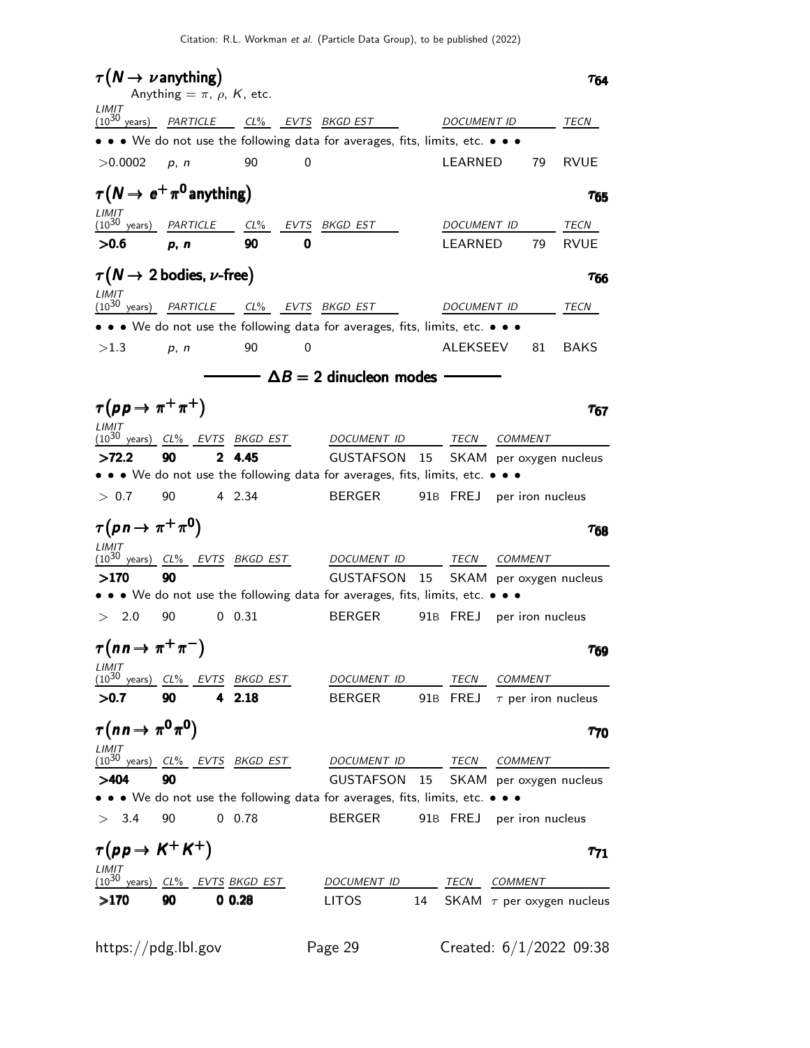$\tau(N \to \nu \text{ anything})$  anything  $\tau_{64}$ Anything  $= \pi$ ,  $\rho$ , K, etc.  $LIMIT$   $(10^{30}$ years) PARTICLE CL% EVTS BKGD EST DOCUMENT ID TECN • • • We do not use the following data for averages, fits, limits, etc. • • • >0.0002 p, n 90 0 LEARNED 79 RVUE  $\tau(N \to e^+ \pi^0$  anything) and the state of  $\tau_{65}$ LIMIT (10<sup>30</sup> years) PARTICLE CL% EVTS BKGD EST DOCUMENT ID TECN  $>0.6$  p, n 90 0 bears the LEARNED 79 RVUE  $\tau(N\to2$  bodies,  $\nu$ -free $)$  and  $\tau_{66}$ LIMIT (10<sup>30</sup> years) PARTICLE CL% EVTS BKGD EST DOCUMENT ID TECN • • • We do not use the following data for averages, fits, limits, etc. • • •  $>1.3$  p, n 90 0 0 ALEKSEEV 81 BAKS  $\textsf{C}-\Delta B=2$  dinucleon modes  $\tau(p p \to \pi^+ \pi^+)$  τ67 LIMIT<br>(10<sup>30</sup> years) CL% EVTS BKGD-EST DOCUMENT ID TECN COMMENT >72.2 90 2 4.45 GUSTAFSON 15 SKAM per oxygen nucleus • • • We do not use the following data for averages, fits, limits, etc. • • • > 0.7 90 4 2.34 BERGER 91B FREJ per iron nucleus  $\tau(p \, n \to \pi^+ \pi^0)$   $\tau_{68}$  $\tau$ 68 **LIMIT** (10<sup>30</sup> years) CL% EVTS BKGD EST DOCUMENT ID TECN COMMENT >170 90 GUSTAFSON 15 SKAM per oxygen nucleus • • • We do not use the following data for averages, fits, limits, etc. • • • > 2.0 90 0 0.31 BERGER 91B FREJ per iron nucleus  $\tau(n \to \pi^+ \pi^-)$   $\tau_{69}$ τ LIMIT (1030 years) CL% EVTS BKGD EST DOCUMENT ID TECN COMMENT  $>0.7$  90 4 2.18 BERGER 91B FREJ  $\tau$  per iron nucleus  $\tau(n \to \pi^0 \pi^0)$   $\tau_{70}$ LIMIT (10<sup>30</sup> years) CL% EVTS BKGD EST DOCUMENT ID TECN COMMENT >404 90 GUSTAFSON 15 SKAM per oxygen nucleus • • • We do not use the following data for averages, fits, limits, etc. • • • > 3.4 90 0 0.78 BERGER 91B FREJ per iron nucleus  $\tau(p \rightarrow K^+ K^+)$   $\tau_{71}$ LIMIT<br>(10<sup>30</sup> years) CL% EVTS BKGD EST DOCUMENT ID TECN COMMENT **>170 90 0.28** LITOS 14 SKAM  $\tau$  per oxygen nucleus https://pdg.lbl.gov Page 29 Created: 6/1/2022 09:38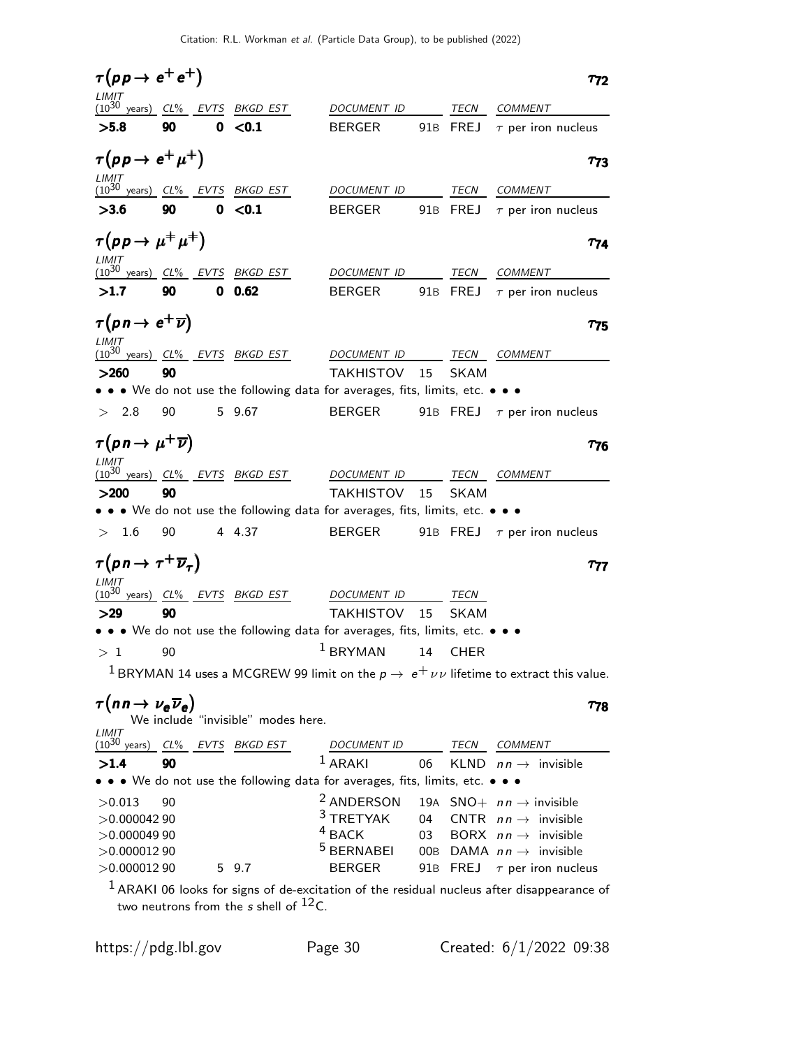$\tau(p \rightarrow e^+ e^+)$   $\tau_{72}$  $T<sub>72</sub>$ LIMIT (1030 years) CL% EVTS BKGD EST DOCUMENT ID TECN COMMENT  $>5.8$  90 0 < 0.1 BERGER 91B FREJ  $\tau$  per iron nucleus  $\tau(p \rightarrow e^+ \mu^+)$  τ73 LIMIT<br>(10<sup>30</sup> years) CL% EVTS BKGD-EST DOCUMENT ID TECN COMMENT **>3.6 90 0 <0.1** BERGER 91B FREJ  $\tau$  per iron nucleus  $\tau(p p \to \mu^+ \mu^+)$   $\tau_{74}$ LIMIT (1030 years) CL% EVTS BKGD EST DOCUMENT ID TECN COMMENT **>1.7 90 0 0.62** BERGER 91B FREJ  $\tau$  per iron nucleus  $\tau(p \, n \to \, e^+ \, \overline{\nu})$  τ<sub>75</sub>  $\mathcal{T}_{75}$ LIMIT (10<sup>30</sup> years) CL% EVTS BKGD EST DOCUMENT ID TECN COMMENT >260 90 TAKHISTOV 15 SKAM • • • We do not use the following data for averages, fits, limits, etc. • • •  $> 2.8$  90 5 9.67 BERGER 91B FREJ  $\tau$  per iron nucleus  $\tau(p \, n \to \mu^+ \overline{\nu})$   $\tau_{76}$ T76 LIMIT (1030 years) CL% EVTS BKGD EST DOCUMENT ID TECN COMMENT >200 90 TAKHISTOV 15 SKAM • • • We do not use the following data for averages, fits, limits, etc. • • •  $> 1.6$  90 4 4.37 BERGER 91B FREJ  $\tau$  per iron nucleus  $\tau(p \, n \to \tau^+ \, \overline{\nu}_{\tau})$   $\tau_{77}$ LIMIT  $(10^{30} \text{ years})$  CL% EVTS BKGD EST DOCUMENT ID TECN >29 90 TAKHISTOV 15 SKAM • • • We do not use the following data for averages, fits, limits, etc. • • •  $> 1$  90  $^{1}$  BRYMAN 14 CHER <sup>1</sup> BRYMAN 14 uses a MCGREW 99 limit on the  $p \rightarrow e^+ \nu \nu$  lifetime to extract this value.  $\tau(n \, n \to \nu_e \, \overline{\nu}_e)$   $\tau_{78}$  $T78$ We include "invisible" modes here. LIMIT (10<sup>30</sup> years) CL% EVTS BKGD EST DOCUMENT ID TECN COMMENT  $>1.4$  90  $1$  ARAKI 06 KLND  $nn \rightarrow$  invisible • • • We do not use the following data for averages, fits, limits, etc. • • •  $>0.013$  90 2 ANDERSON 19A SNO+  $nn \rightarrow$  invisible<br> $>0.00004290$  3 TRETYAK 04 CNTR  $nn \rightarrow$  invisible  $>$ 0.000042 90 3 TRETYAK 04 CNTR  $nn \rightarrow$  invisible<br> $>$ 0.000049 90 3 BORX  $nn \rightarrow$  invisible  $>$ 0.000049 90  $>$   $<sup>4</sup>$  BACK 03 BORX  $nn \rightarrow$  invisible<br> $>$ 0.000012 90  $<sup>5</sup>$  BERNABEI 00B DAMA  $nn \rightarrow$  invisible</sup></sup>  $>0.00001290$  5 BERNABEI 00B DAMA  $nn \rightarrow$  invisible  $>0.00001290$  5 9.7 BERGER 91B FREJ  $\tau$  per iron nucleus

 $<sup>1</sup>$ ARAKI 06 looks for signs of de-excitation of the residual nucleus after disappearance of</sup> two neutrons from the  $s$  shell of  $^{12}$ C.

https://pdg.lbl.gov Page 30 Created: 6/1/2022 09:38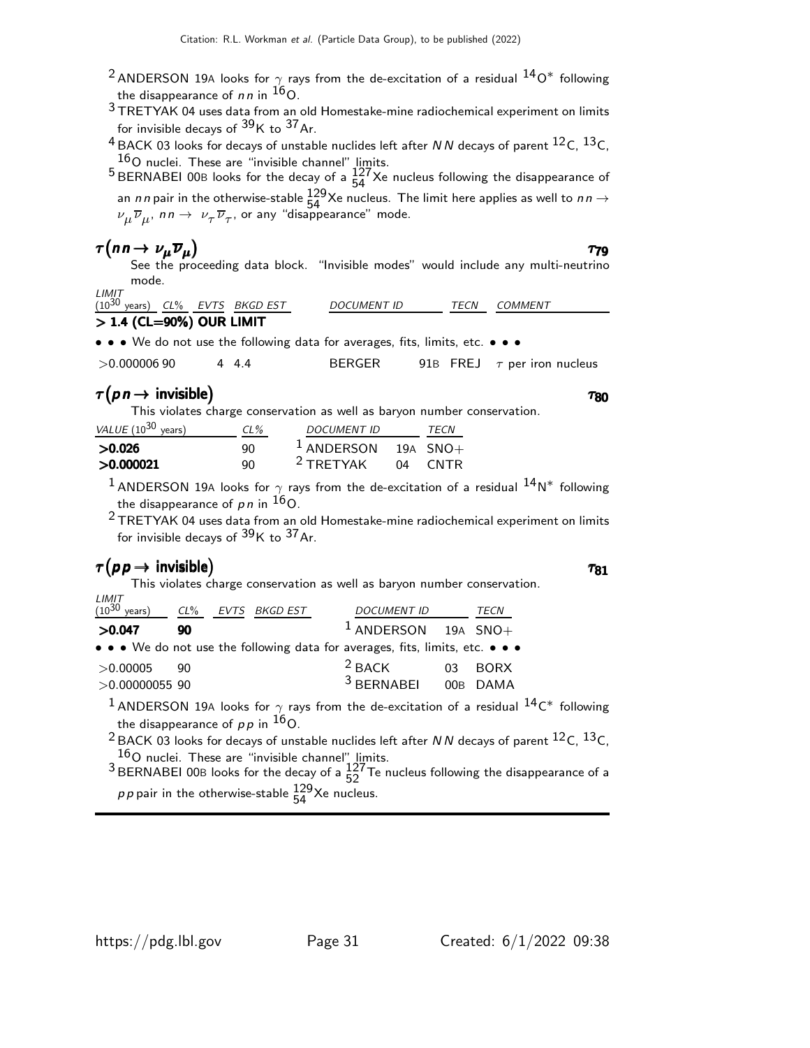- <sup>2</sup> ANDERSON 19A looks for  $\gamma$  rays from the de-excitation of a residual  $^{14}O^*$  following the disappearance of  $nn$  in  $^{16}$ O.
- 3 TRETYAK 04 uses data from an old Homestake-mine radiochemical experiment on limits for invisible decays of  $39K$  to  $37Ar$ .
- <sup>4</sup> BACK 03 looks for decays of unstable nuclides left after NN decays of parent <sup>12</sup>C, <sup>13</sup>C,  $^{16}$ O nuclei. These are "invisible channel" limits.
- <sup>5</sup> BERNABEI 00B looks for the decay of a  $\frac{127}{54}$ Xe nucleus following the disappearance of an nn pair in the otherwise-stable  $^{129}_{54}$ Xe nucleus. The limit here applies as well to nn  $\rightarrow$  $\nu_\mu \overline{\nu}_\mu$ , nn  $\rightarrow \;\nu_\tau \overline{\nu}_\tau$ , or any "disappearance" mode.

 $\tau_{81}$ 

 $\tau(n \, n \to \nu_\mu \overline{\nu}_\mu)$   $\tau_{79}$  $\tau(\mathsf{n}\,\mathsf{n}\to\nu_\mu\overline{\nu}_\mu)$   $\tau_{79}$ See the proceeding data block. "Invisible modes" would include any multi-neutrino mode.

| LIMIT                                       |  |                                                                                                                                                                                                                                                                                                                                                                                                                                                                                       |  |             |                                    |              |  |
|---------------------------------------------|--|---------------------------------------------------------------------------------------------------------------------------------------------------------------------------------------------------------------------------------------------------------------------------------------------------------------------------------------------------------------------------------------------------------------------------------------------------------------------------------------|--|-------------|------------------------------------|--------------|--|
| $(10^{30} \text{ years})$ CL% EVTS BKGD EST |  |                                                                                                                                                                                                                                                                                                                                                                                                                                                                                       |  | DOCUMENT ID |                                    | TECN COMMENT |  |
| > 1.4 (CL=90%) OUR LIMIT                    |  |                                                                                                                                                                                                                                                                                                                                                                                                                                                                                       |  |             |                                    |              |  |
|                                             |  | $\mathbf{11} \quad \mathbf{1} \quad \mathbf{1} \quad \mathbf{1} \quad \mathbf{1} \quad \mathbf{1} \quad \mathbf{1} \quad \mathbf{1} \quad \mathbf{1} \quad \mathbf{1} \quad \mathbf{1} \quad \mathbf{1} \quad \mathbf{1} \quad \mathbf{1} \quad \mathbf{1} \quad \mathbf{1} \quad \mathbf{1} \quad \mathbf{1} \quad \mathbf{1} \quad \mathbf{1} \quad \mathbf{1} \quad \mathbf{1} \quad \mathbf{1} \quad \mathbf{1} \quad \mathbf{1} \quad \mathbf{1} \quad \mathbf{1} \quad \mathbf$ |  |             | $\sim$ $\sim$ $\sim$ $\sim$ $\sim$ |              |  |

• • • We do not use the following data for averages, fits, limits, etc. • • •

| $>$ 0.000006 90 | 4 4 4 | <b>BERGER</b> | 91B FREJ $\tau$ per iron nucleus |
|-----------------|-------|---------------|----------------------------------|
|                 |       |               |                                  |

## $\tau(p \, n \rightarrow \text{invisible})$  τ

This violates charge conservation as well as baryon number conservation.

| $VALUE (10^{30} \text{ years})$ | $CL\%$ | <b>DOCUMENT ID</b>    |    | <b>TFCN</b> |
|---------------------------------|--------|-----------------------|----|-------------|
| >0.026                          | 90.    | $1$ ANDERSON 19A SNO+ |    |             |
| >0.000021                       | 90.    | $2$ TRFTYAK           | 04 | CNTR        |

<sup>1</sup> ANDERSON 19A looks for  $\gamma$  rays from the de-excitation of a residual  $14N^*$  following the disappearance of  $p n$  in  $16$ O.

 $^2$ TRETYAK 04 uses data from an old Homestake-mine radiochemical experiment on limits for invisible decays of  $^{39}\mathrm{K}$  to  $^{37}\mathrm{Ar}.$ 

## $\tau(p \, p \to \text{invisible})$   $\tau_{81}$

This violates charge conservation as well as baryon number conservation. LIMIT

| $(10^{30} \text{ years})$ $CL\%$ EVTS BKGD EST |      |  | <b>DOCUMENT ID</b>                                                                                                    | TECN    |
|------------------------------------------------|------|--|-----------------------------------------------------------------------------------------------------------------------|---------|
| >0.047                                         | 90   |  | $1$ ANDERSON 19A SNO+                                                                                                 |         |
|                                                |      |  | $\bullet \bullet \bullet$ We do not use the following data for averages, fits, limits, etc. $\bullet \bullet \bullet$ |         |
| >0.00005                                       | - 90 |  | $2$ BACK                                                                                                              | 03 BORX |
| $>0.00000055$ 90                               |      |  | <sup>3</sup> BERNABEI 00B DAMA                                                                                        |         |

 $^{\rm 1}$  ANDERSON 19A looks for  $\gamma$  rays from the de-excitation of a residual  $^{\rm 14}$ C\* following the disappearance of  $p p$  in  $^{16}$ O.

<sup>2</sup> BACK 03 looks for decays of unstable nuclides left after N N decays of parent <sup>12</sup>C, <sup>13</sup>C,  $16$ O nuclei. These are "invisible channel" limits.

<sup>3</sup> BERNABEI 00B looks for the decay of a  $\frac{127}{52}$  Te nucleus following the disappearance of a *pp* pair in the otherwise-stable  $\frac{129}{54}$ Xe nucleus.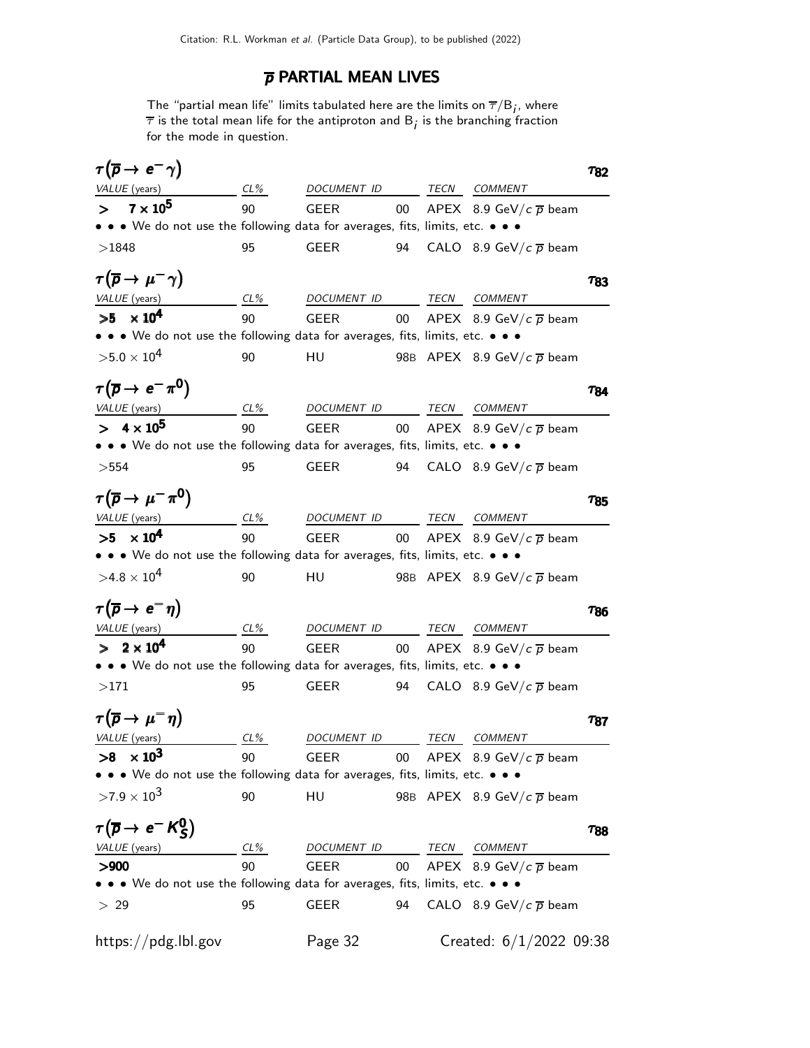## $\overline{p}$  PARTIAL MEAN LIVES

The "partial mean life" limits tabulated here are the limits on  $\overline{\tau}/\mathsf{B}_i$ , where  $\overline{\tau}$  is the total mean life for the antiproton and  $\boldsymbol{\mathsf{B}}_{\vec{\textit{\i}}}$  is the branching fraction for the mode in question.

|        | $\tau(\overline{p} \rightarrow e^-\gamma)$                                                                                           |           |                    |        |      |                                        | Τ82         |
|--------|--------------------------------------------------------------------------------------------------------------------------------------|-----------|--------------------|--------|------|----------------------------------------|-------------|
|        | VALUE (years)                                                                                                                        | $CL\%$    | DOCUMENT ID        |        |      | TECN COMMENT                           |             |
| $\geq$ | $7 \times 10^5$                                                                                                                      | 90        | <b>GEER</b>        | 00     |      | APEX 8.9 GeV/ $c\overline{p}$ beam     |             |
|        | • • We do not use the following data for averages, fits, limits, etc. • • •                                                          |           |                    |        |      |                                        |             |
|        | >1848                                                                                                                                | 95        | <b>GEER</b>        | 94     |      | CALO 8.9 GeV/ $c\bar{p}$ beam          |             |
|        | $\tau(\overline{p} \to \mu^- \gamma)$                                                                                                |           |                    |        |      |                                        | 783         |
|        | VALUE (years)                                                                                                                        | $CL\%$    | DOCUMENT ID        |        |      | TECN COMMENT                           |             |
|        | $>5 \times 10^4$                                                                                                                     | 90        | <b>GEER</b>        | $00\,$ |      | APEX 8.9 GeV/ $c\overline{p}$ beam     |             |
|        | $\bullet\,\bullet\,\bullet\,$ We do not use the following data for averages, fits, limits, etc. $\bullet\,\bullet\,\bullet\,\bullet$ |           |                    |        |      |                                        |             |
|        | $>5.0\times10^{4}$                                                                                                                   | 90        | HU                 |        |      | 98B APEX 8.9 GeV/ $c\overline{p}$ beam |             |
|        |                                                                                                                                      |           |                    |        |      |                                        |             |
|        | $\tau(\overline{p} \to e^- \pi^0)$                                                                                                   |           |                    |        |      |                                        | 784         |
|        | VALUE (years)                                                                                                                        | CL%       | DOCUMENT ID        |        |      | TECN COMMENT                           |             |
|        | $> 4 \times 10^5$                                                                                                                    | 90        | <b>GEER</b>        | $00\,$ |      | APEX 8.9 GeV/ $c\overline{p}$ beam     |             |
|        | • • • We do not use the following data for averages, fits, limits, etc. • • •                                                        |           |                    |        |      |                                        |             |
| >554   |                                                                                                                                      | 95        | <b>GEER</b>        | 94     |      | CALO 8.9 GeV/c $\overline{p}$ beam     |             |
|        | $\tau(\overline{p} \to \mu^- \pi^0)$                                                                                                 |           |                    |        |      |                                        |             |
|        |                                                                                                                                      |           |                    |        |      |                                        | 785         |
|        | VALUE (years)<br>$>5 \times 10^4$                                                                                                    | CL%<br>90 | DOCUMENT ID        |        |      | TECN COMMENT                           |             |
|        | $\bullet\,\bullet\,\bullet\,$ We do not use the following data for averages, fits, limits, etc. $\bullet\,\bullet\,\bullet\,\bullet$ |           | <b>GEER</b>        | $00\,$ |      | APEX 8.9 GeV/ $c\bar{p}$ beam          |             |
|        | $>4.8\times10^{4}$                                                                                                                   |           |                    |        |      |                                        |             |
|        |                                                                                                                                      | 90        | HU                 |        |      | 98B APEX 8.9 GeV/ $c\bar{p}$ beam      |             |
|        | $\tau(\overline{p} \to e^- \eta)$                                                                                                    |           |                    |        |      |                                        | 786         |
|        | VALUE (years)                                                                                                                        | $CL\%$    | DOCUMENT ID        |        | TECN | <b>COMMENT</b>                         |             |
|        | $> 2 \times 10^4$                                                                                                                    | 90        | <b>GEER</b>        | $00\,$ |      | APEX 8.9 GeV/c $\overline{p}$ beam     |             |
|        | • • • We do not use the following data for averages, fits, limits, etc. • • •                                                        |           |                    |        |      |                                        |             |
| >171   |                                                                                                                                      | 95        | <b>GEER</b>        | 94     |      | CALO 8.9 GeV/c $\overline{p}$ beam     |             |
|        |                                                                                                                                      |           |                    |        |      |                                        |             |
|        | $\tau(\overline{p} \to \mu^- \eta)$                                                                                                  |           |                    |        |      |                                        | 787         |
|        | VALUE (years)                                                                                                                        | CL%       | <i>DOCUMENT ID</i> |        | TECN | COMMENT                                |             |
| >8     | $\times 10^3$                                                                                                                        | 90        | <b>GEER</b>        | $00\,$ |      | APEX 8.9 GeV/ $c\overline{p}$ beam     |             |
|        | $\bullet\,\bullet\,\bullet\,$ We do not use the following data for averages, fits, limits, etc. $\bullet\,\bullet\,\bullet\,\bullet$ |           |                    |        |      |                                        |             |
|        | $>7.9\times10^{3}$                                                                                                                   | 90        | HU                 |        |      | 98B APEX 8.9 GeV/ $c\overline{p}$ beam |             |
|        |                                                                                                                                      |           |                    |        |      |                                        |             |
|        | $\tau(\overline{p} \to e^- K_S^0)$                                                                                                   |           |                    |        |      |                                        | $\tau_{88}$ |
|        | VALUE (years)                                                                                                                        | CL%       | DOCUMENT ID        |        |      | TECN COMMENT                           |             |
| > 900  |                                                                                                                                      | 90        | <b>GEER</b>        | 00     |      | APEX 8.9 GeV/ $c\overline{p}$ beam     |             |
|        | $\bullet\,\bullet\,\bullet\,$ We do not use the following data for averages, fits, limits, etc. $\bullet\,\bullet\,\bullet\,\bullet$ |           |                    |        |      |                                        |             |
| > 29   |                                                                                                                                      | 95        | <b>GEER</b>        | 94     |      | CALO 8.9 GeV/c $\overline{p}$ beam     |             |
|        | https://pdg.lbl.gov                                                                                                                  |           | Page 32            |        |      | Created: $6/1/2022$ 09:38              |             |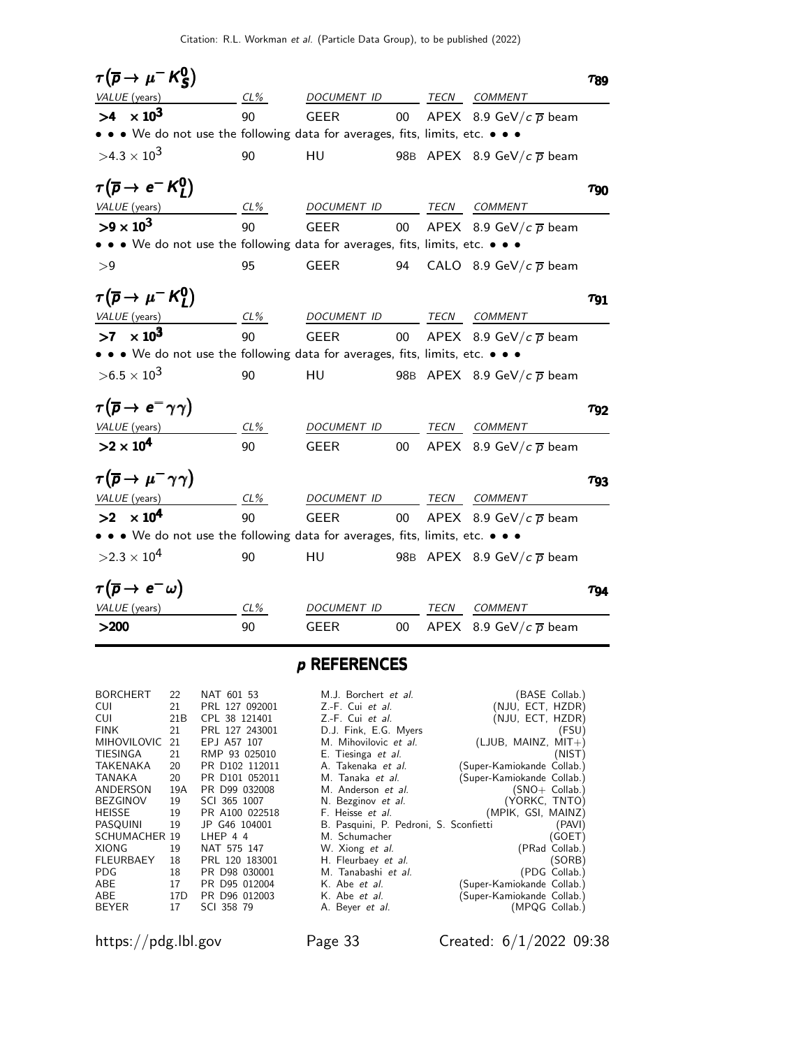| $\tau(\overline{p} \to \mu^- K_S^0)$                                          |        |                    |        |             |                                    | 789 |
|-------------------------------------------------------------------------------|--------|--------------------|--------|-------------|------------------------------------|-----|
| VALUE (years)                                                                 | $CL\%$ | DOCUMENT ID        |        | <b>TECN</b> | <b>COMMENT</b>                     |     |
| $>4 \times 10^3$                                                              | 90     | <b>GEER</b>        | $00\,$ |             | APEX 8.9 GeV/c $\overline{p}$ beam |     |
| • • We do not use the following data for averages, fits, limits, etc. • • •   |        |                    |        |             |                                    |     |
| $>4.3\times10^{3}$                                                            | 90     | HU                 |        |             | 98B APEX 8.9 GeV/ $c\bar{p}$ beam  |     |
| $\tau(\overline{p} \to e^- K_I^0)$                                            |        |                    |        |             |                                    | T90 |
| VALUE (years)                                                                 | $CL\%$ | DOCUMENT ID        |        | <b>TECN</b> | COMMENT                            |     |
| $>9 \times 10^{3}$                                                            | 90     | <b>GEER</b>        | $00\,$ |             | APEX 8.9 GeV/c $\overline{p}$ beam |     |
| • • • We do not use the following data for averages, fits, limits, etc. • • • |        |                    |        |             |                                    |     |
| >9                                                                            | 95     | <b>GEER</b>        | 94     |             | CALO 8.9 GeV/ $c\bar{p}$ beam      |     |
| $\tau(\overline{p} \to \mu^- K_I^0)$                                          |        |                    |        |             |                                    | T91 |
| VALUE (years)                                                                 | $CL\%$ | DOCUMENT ID        |        | <b>TECN</b> | COMMENT                            |     |
| $>7 \times 10^3$                                                              | 90     | <b>GEER</b>        | 00     |             | APEX 8.9 GeV/c $\overline{p}$ beam |     |
| • • • We do not use the following data for averages, fits, limits, etc. • • • |        |                    |        |             |                                    |     |
| $> 6.5 \times 10^{3}$                                                         | 90     | HU                 |        |             | 98B APEX 8.9 GeV/ $c\bar{p}$ beam  |     |
| $\tau(\overline{p} \to e^- \gamma \gamma)$                                    |        |                    |        |             |                                    | T92 |
| VALUE (years)                                                                 | CL%    | <b>DOCUMENT ID</b> |        | TECN        | COMMENT                            |     |
| $>2\times10^4$                                                                | 90     | <b>GEER</b>        | $00\,$ |             | APEX 8.9 GeV/ $c\bar{p}$ beam      |     |
| $\tau(\overline{p} \to \mu^- \gamma \gamma)$                                  |        |                    |        |             |                                    | 793 |
| VALUE (years)                                                                 | CL%    | DOCUMENT ID        |        | TECN        | COMMENT                            |     |
| $>2 \times 10^4$                                                              | 90     | <b>GEER</b>        | $00\,$ |             | APEX 8.9 GeV/ $c\bar{p}$ beam      |     |
| • • • We do not use the following data for averages, fits, limits, etc. • • • |        |                    |        |             |                                    |     |
| $>2.3\times10^{4}$                                                            | 90     | HU                 |        |             | 98B APEX 8.9 GeV/ $c\bar{p}$ beam  |     |
| $\tau(\overline{p} \to e^- \omega)$                                           |        |                    |        |             |                                    | Τ94 |
| VALUE (years)                                                                 | $CL\%$ | <b>DOCUMENT ID</b> |        | TECN        | <b>COMMENT</b>                     |     |
| >200                                                                          | 90     | <b>GEER</b>        | 00     |             | APEX 8.9 GeV/c $\overline{p}$ beam |     |

## p REFERENCES

| <b>BORCHERT</b>      | 22              | NAT 601 53     | M.J. Borchert et al.                   | (BASE Collab.)             |        |
|----------------------|-----------------|----------------|----------------------------------------|----------------------------|--------|
| CUI.                 | 21              | PRL 127 092001 | $Z.-F.$ Cui et al.                     | (NJU, ECT, HZDR)           |        |
| CUI.                 | 21 <sub>B</sub> | CPL 38 121401  | $Z.-F.$ Cui et al.                     | (NJU, ECT, HZDR)           |        |
| <b>FINK</b>          | 21              | PRL 127 243001 | D.J. Fink, E.G. Myers                  |                            | (FSU)  |
| <b>MIHOVILOVIC</b>   | 21              | EPJ A57 107    | M. Mihovilovic et al.                  | $(LJUB, MAINZ, MIT+)$      |        |
| <b>TIESINGA</b>      | 21              | RMP 93 025010  | E. Tiesinga et al.                     |                            | (NIST) |
| <b>TAKENAKA</b>      | 20              | PR D102 112011 | A. Takenaka et al.                     | (Super-Kamiokande Collab.) |        |
| <b>TANAKA</b>        | 20              | PR D101 052011 | M. Tanaka <i>et al.</i>                | (Super-Kamiokande Collab.) |        |
| ANDERSON             | 19A             | PR D99 032008  | M. Anderson et al.                     | $(SNO+$ Collab.)           |        |
| <b>BEZGINOV</b>      | 19              | SCI 365 1007   | N. Bezginov <i>et al.</i>              | (YORKC, TNTO)              |        |
| <b>HEISSE</b>        | 19              | PR A100 022518 | F. Heisse et al.                       | (MPIK, GSI, MAINZ)         |        |
| <b>PASQUINI</b>      | 19              | JP G46 104001  | B. Pasquini, P. Pedroni, S. Sconfietti |                            | (PAVI) |
| <b>SCHUMACHER 19</b> |                 | LHEP 4 4       | M. Schumacher                          |                            | (GOET) |
| <b>XIONG</b>         | 19              | NAT 575 147    | W. Xiong et al.                        | (PRad Collab.)             |        |
| <b>FLEURBAEY</b>     | 18              | PRL 120 183001 | H. Fleurbaey et al.                    |                            | (SORB) |
| PDG.                 | 18              | PR D98 030001  | M. Tanabashi et al.                    | (PDG Collab.)              |        |
| ABE                  | 17              | PR D95 012004  | K. Abe <i>et al.</i>                   | (Super-Kamiokande Collab.) |        |
| ABE                  | 17D             | PR D96 012003  | K. Abe <i>et al.</i>                   | (Super-Kamiokande Collab.) |        |
| <b>BEYER</b>         | 17              | SCI 358 79     | A. Beyer et al.                        | (MPQG Collab.)             |        |

https://pdg.lbl.gov Page 33 Created: 6/1/2022 09:38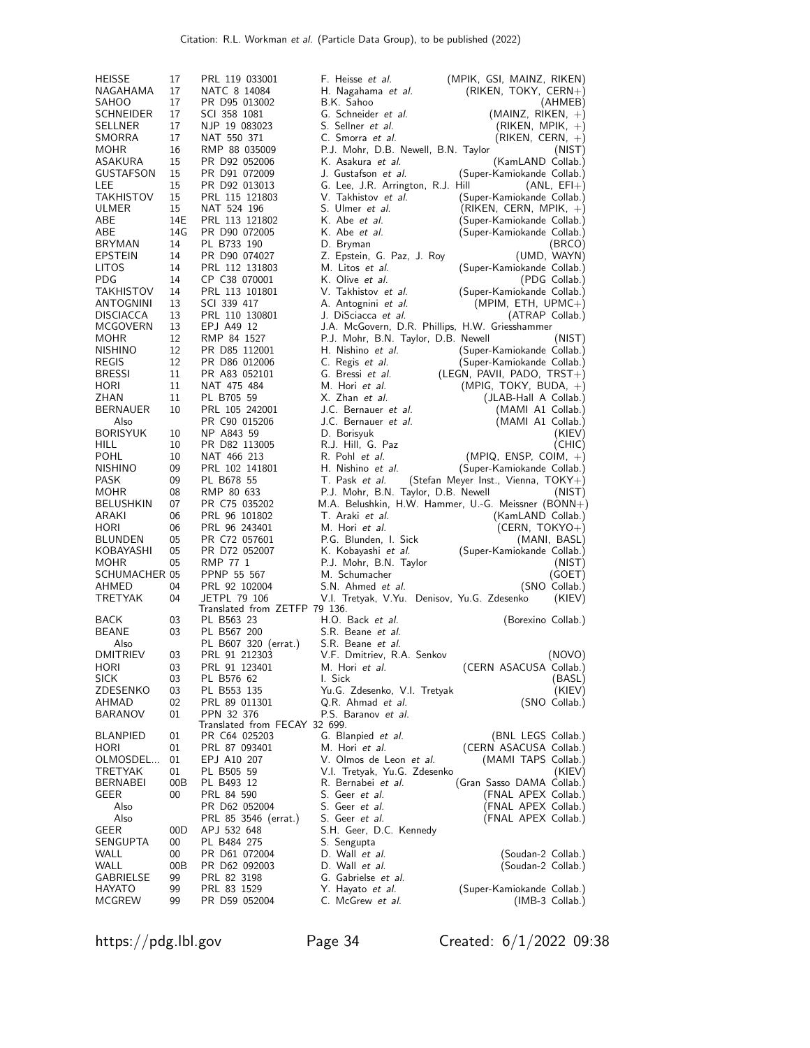| <b>HEISSE</b>               | 17       | PRL 119 033001                 | F. Heisse et al.                                        | (MPIK, GSI, MAINZ, RIKEN)                        |
|-----------------------------|----------|--------------------------------|---------------------------------------------------------|--------------------------------------------------|
| NAGAHAMA                    | 17       | NATC 8 14084                   | H. Nagahama et al.                                      | $(RIKEN, TOKY, CERN+)$                           |
| SAHOO                       | 17       | PR D95 013002                  | B.K. Sahoo                                              | (AHMEB)                                          |
| <b>SCHNEIDER</b>            | 17       | SCI 358 1081                   | G. Schneider et al.                                     | $(MAINZ, RIKEN, +)$                              |
| SELLNER                     | 17       | NJP 19 083023                  | S. Sellner et al.                                       | $(RIKEN, MPIK, +)$                               |
| SMORRA                      | 17       | NAT 550 371                    | C. Smorra et al.                                        | (RIKEN, CERN, +)                                 |
| MOHR                        | 16       | RMP 88 035009                  | P.J. Mohr, D.B. Newell, B.N. Taylor                     | (NIST)                                           |
| ASAKURA<br><b>GUSTAFSON</b> | 15<br>15 | PR D92 052006<br>PR D91 072009 | K. Asakura et al.<br>J. Gustafson et al.                | (KamLAND Collab.)                                |
| LEE                         | 15       | PR D92 013013                  | G. Lee, J.R. Arrington, R.J. Hill                       | (Super-Kamiokande Collab.)<br>$(ANL, EFI+)$      |
| TAKHISTOV                   | 15       | PRL 115 121803                 | V. Takhistov et al.                                     | (Super-Kamiokande Collab.)                       |
| <b>ULMER</b>                | 15       | NAT 524 196                    | S. Ulmer et al.                                         | $(RIKEN, CERN, MPIK, +)$                         |
| ABE                         | 14E      | PRL 113 121802                 | K. Abe et al.                                           | (Super-Kamiokande Collab.)                       |
| ABE                         | 14G      | PR D90 072005                  | K. Abe <i>et al.</i>                                    | (Super-Kamiokande Collab.)                       |
| <b>BRYMAN</b>               | 14       | PL B733 190                    | D. Bryman                                               | (BRCO)                                           |
| <b>EPSTEIN</b>              | 14       | PR D90 074027                  | Z. Epstein, G. Paz, J. Roy                              | (UMD, WAYN)                                      |
| LITOS                       | 14       | PRL 112 131803                 | M. Litos et al.                                         | (Super-Kamiokande Collab.)                       |
| <b>PDG</b>                  | 14       | CP C38 070001                  | K. Olive <i>et al.</i>                                  | (PDG Collab.)                                    |
| TAKHISTOV<br>ANTOGNINI      | 14<br>13 | PRL 113 101801<br>SCI 339 417  | V. Takhistov et al.                                     | (Super-Kamiokande Collab.)<br>(MPIM, ETH, UPMC+) |
| <b>DISCIACCA</b>            | 13       | PRL 110 130801                 | A. Antognini et al.<br>J. DiSciacca et al.              | (ATRAP Collab.)                                  |
| MCGOVERN                    | 13       | EPJ A49 12                     | J.A. McGovern, D.R. Phillips, H.W. Griesshammer         |                                                  |
| MOHR                        | 12       | RMP 84 1527                    | P.J. Mohr, B.N. Taylor, D.B. Newell                     | (NIST)                                           |
| <b>NISHINO</b>              | 12       | PR D85 112001                  | H. Nishino et al.                                       | (Super-Kamiokande Collab.)                       |
| REGIS                       | 12       | PR D86 012006                  | C. Regis <i>et al.</i>                                  | (Super-Kamiokande Collab.)                       |
| <b>BRESSI</b>               | 11       | PR A83 052101                  | G. Bressi et al.                                        | (LEGN, PAVII, PADO, TRST+)                       |
| HORI                        | 11       | NAT 475 484                    | M. Hori et al.                                          | $(MPIG, TOKY, BUDA, +)$                          |
| ZHAN                        | 11       | PL B705 59                     | X. Zhan et al.                                          | (JLAB-Hall A Collab.)                            |
| <b>BERNAUER</b>             | 10       | PRL 105 242001                 | J.C. Bernauer et al.                                    | (MAMI A1 Collab.)                                |
| Also                        |          | PR C90 015206                  | J.C. Bernauer et al.                                    | (MAMI A1 Collab.)                                |
| <b>BORISYUK</b>             | 10       | NP A843 59                     | D. Borisyuk                                             | (KIEV)<br>(CHIC)                                 |
| HILL<br><b>POHL</b>         | 10<br>10 | PR D82 113005<br>NAT 466 213   | R.J. Hill, G. Paz<br>R. Pohl et al.                     | $(MPIQ, ENSP, COIM, +)$                          |
| <b>NISHINO</b>              | 09       | PRL 102 141801                 | H. Nishino et al.                                       | (Super-Kamiokande Collab.)                       |
| <b>PASK</b>                 | 09       | PL B678 55                     | T. Pask <i>et al.</i>                                   | (Stefan Meyer Inst., Vienna, TOKY+)              |
| MOHR                        | 08       | RMP 80 633                     | P.J. Mohr, B.N. Taylor, D.B. Newell                     | (NIST)                                           |
| <b>BELUSHKIN</b>            | 07       | PR C75 035202                  | M.A. Belushkin, H.W. Hammer, U.-G. Meissner (BONN+)     |                                                  |
| ARAKI                       | 06       | PRL 96 101802                  | T. Araki et al.                                         | (KamLAND Collab.)                                |
| HORI                        | 06       | PRL 96 243401                  | M. Hori et al.                                          | (CERN, $TOKYO+$ )                                |
| <b>BLUNDEN</b>              | 05       | PR C72 057601                  | P.G. Blunden, I. Sick                                   | (MANI, BASL)                                     |
| KOBAYASHI                   | 05       | PR D72 052007                  | K. Kobayashi et al.                                     | (Super-Kamiokande Collab.)                       |
| MOHR<br>SCHUMACHER 05       | 05       | RMP 77 1<br>PPNP 55 567        | P.J. Mohr, B.N. Taylor<br>M. Schumacher                 | (NIST)                                           |
| AHMED                       | 04       | PRL 92 102004                  | S.N. Ahmed et al.                                       | (GOET)<br>(SNO Collab.)                          |
| <b>TRETYAK</b>              | 04       | <b>JETPL 79 106</b>            | V.I. Tretyak, V.Yu. Denisov, Yu.G. Zdesenko             | (KIEV)                                           |
|                             |          | Translated from ZETFP 79 136.  |                                                         |                                                  |
| BACK                        | 03       | PL B563 23                     | H.O. Back et al.                                        | (Borexino Collab.)                               |
| BEANE                       | 03       | PL B567 200                    | S.R. Beane et al.                                       |                                                  |
| Also                        |          | PL B607 320 (errat.)           | S.R. Beane <i>et al.</i>                                |                                                  |
| DMITRIEV                    | 03       | PRL 91 212303                  | V.F. Dmitriev, R.A. Senkov                              | (NOVO)                                           |
| HORI<br><b>SICK</b>         | 03<br>03 | PRL 91 123401<br>PL B576 62    | M. Hori <i>et al.</i><br>I. Sick                        | (CERN ASACUSA Collab.)<br>(BASL)                 |
| ZDESENKO                    | 03       | PL B553 135                    | Yu.G. Zdesenko, V.I. Tretyak                            | (KIEV)                                           |
| AHMAD                       | 02       | PRL 89 011301                  | Q.R. Ahmad et al.                                       | (SNO Collab.)                                    |
| <b>BARANOV</b>              | 01       | PPN 32 376                     | P.S. Baranov et al.                                     |                                                  |
|                             |          | Translated from FECAY 32 699.  |                                                         |                                                  |
| <b>BLANPIED</b>             | 01       | PR C64 025203                  | G. Blanpied et al.                                      | (BNL LEGS Collab.)                               |
| <b>HORI</b>                 | 01       | PRL 87 093401                  | M. Hori et al.                                          | (CERN ASACUSA Collab.)                           |
| OLMOSDEL<br>TRETYAK         | 01<br>01 | EPJ A10 207<br>PL B505 59      | V. Olmos de Leon et al.<br>V.I. Tretyak, Yu.G. Zdesenko | (MAMI TAPS Collab.)                              |
| BERNABEI                    | 00B      | PL B493 12                     | R. Bernabei et al.                                      | (KIEV)<br>(Gran Sasso DAMA Collab.)              |
| GEER                        | 00       | PRL 84 590                     | S. Geer et al.                                          | (FNAL APEX Collab.)                              |
| Also                        |          | PR D62 052004                  | S. Geer et al.                                          | (FNAL APEX Collab.)                              |
| Also                        |          | PRL 85 3546 (errat.)           | S. Geer et al.                                          | (FNAL APEX Collab.)                              |
| <b>GEER</b>                 | 00D      | APJ 532 648                    | S.H. Geer, D.C. Kennedy                                 |                                                  |
| SENGUPTA                    | 00       | PL B484 275                    | S. Sengupta                                             |                                                  |
| WALL                        | 00       | PR D61 072004                  | D. Wall et al.                                          | (Soudan-2 Collab.)                               |
| WALL                        | 00B      | PR D62 092003                  | D. Wall et al.                                          | (Soudan-2 Collab.)                               |
| GABRIELSE<br>HAYATO         | 99<br>99 | PRL 82 3198<br>PRL 83 1529     | G. Gabrielse et al.<br>Y. Hayato <i>et al.</i>          | (Super-Kamiokande Collab.)                       |
| <b>MCGREW</b>               | 99       | PR D59 052004                  | C. McGrew et al.                                        | $(MB-3$ Collab.)                                 |
|                             |          |                                |                                                         |                                                  |